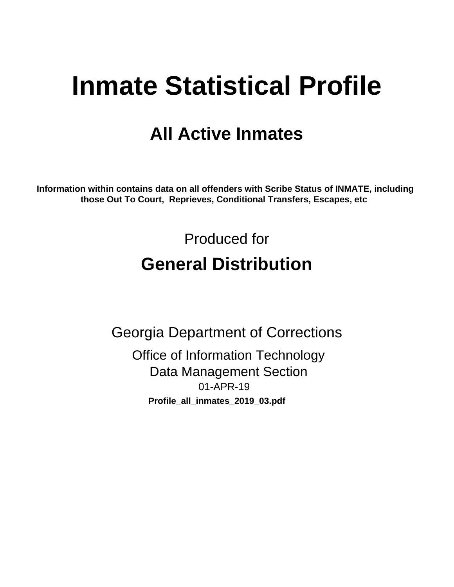# **Inmate Statistical Profile**

# **All Active Inmates**

Information within contains data on all offenders with Scribe Status of INMATE, including those Out To Court, Reprieves, Conditional Transfers, Escapes, etc

> Produced for **General Distribution**

**Georgia Department of Corrections Office of Information Technology Data Management Section** 01-APR-19 Profile\_all\_inmates\_2019\_03.pdf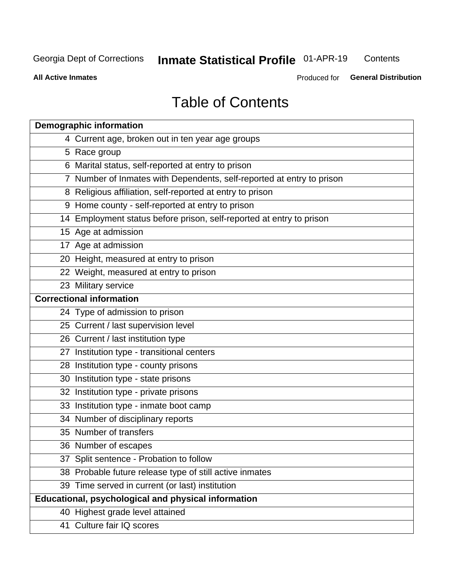#### **Inmate Statistical Profile 01-APR-19** Contents

**All Active Inmates** 

Produced for General Distribution

# **Table of Contents**

| <b>Demographic information</b>                                        |
|-----------------------------------------------------------------------|
| 4 Current age, broken out in ten year age groups                      |
| 5 Race group                                                          |
| 6 Marital status, self-reported at entry to prison                    |
| 7 Number of Inmates with Dependents, self-reported at entry to prison |
| 8 Religious affiliation, self-reported at entry to prison             |
| 9 Home county - self-reported at entry to prison                      |
| 14 Employment status before prison, self-reported at entry to prison  |
| 15 Age at admission                                                   |
| 17 Age at admission                                                   |
| 20 Height, measured at entry to prison                                |
| 22 Weight, measured at entry to prison                                |
| 23 Military service                                                   |
| <b>Correctional information</b>                                       |
| 24 Type of admission to prison                                        |
| 25 Current / last supervision level                                   |
| 26 Current / last institution type                                    |
| 27 Institution type - transitional centers                            |
| 28 Institution type - county prisons                                  |
| 30 Institution type - state prisons                                   |
| 32 Institution type - private prisons                                 |
| 33 Institution type - inmate boot camp                                |
| 34 Number of disciplinary reports                                     |
| 35 Number of transfers                                                |
| 36 Number of escapes                                                  |
| 37 Split sentence - Probation to follow                               |
| 38 Probable future release type of still active inmates               |
| 39 Time served in current (or last) institution                       |
| Educational, psychological and physical information                   |
| 40 Highest grade level attained                                       |
| 41 Culture fair IQ scores                                             |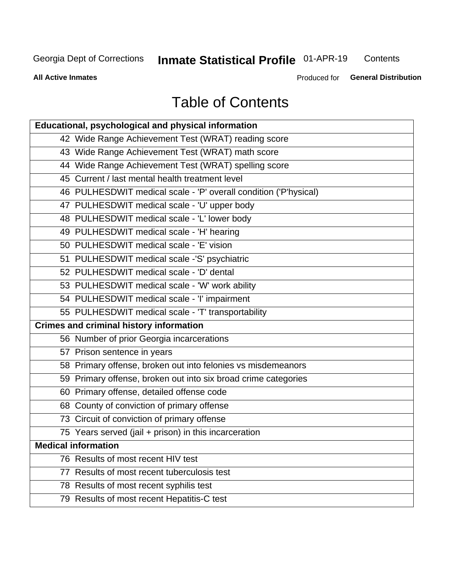# **Inmate Statistical Profile 01-APR-19**

Contents

**All Active Inmates** 

Produced for General Distribution

# **Table of Contents**

| Educational, psychological and physical information              |
|------------------------------------------------------------------|
| 42 Wide Range Achievement Test (WRAT) reading score              |
| 43 Wide Range Achievement Test (WRAT) math score                 |
| 44 Wide Range Achievement Test (WRAT) spelling score             |
| 45 Current / last mental health treatment level                  |
| 46 PULHESDWIT medical scale - 'P' overall condition ('P'hysical) |
| 47 PULHESDWIT medical scale - 'U' upper body                     |
| 48 PULHESDWIT medical scale - 'L' lower body                     |
| 49 PULHESDWIT medical scale - 'H' hearing                        |
| 50 PULHESDWIT medical scale - 'E' vision                         |
| 51 PULHESDWIT medical scale -'S' psychiatric                     |
| 52 PULHESDWIT medical scale - 'D' dental                         |
| 53 PULHESDWIT medical scale - 'W' work ability                   |
| 54 PULHESDWIT medical scale - 'I' impairment                     |
| 55 PULHESDWIT medical scale - 'T' transportability               |
| <b>Crimes and criminal history information</b>                   |
| 56 Number of prior Georgia incarcerations                        |
| 57 Prison sentence in years                                      |
| 58 Primary offense, broken out into felonies vs misdemeanors     |
| 59 Primary offense, broken out into six broad crime categories   |
| 60 Primary offense, detailed offense code                        |
| 68 County of conviction of primary offense                       |
| 73 Circuit of conviction of primary offense                      |
| 75 Years served (jail + prison) in this incarceration            |
| <b>Medical information</b>                                       |
| 76 Results of most recent HIV test                               |
| 77 Results of most recent tuberculosis test                      |
| 78 Results of most recent syphilis test                          |
| 79 Results of most recent Hepatitis-C test                       |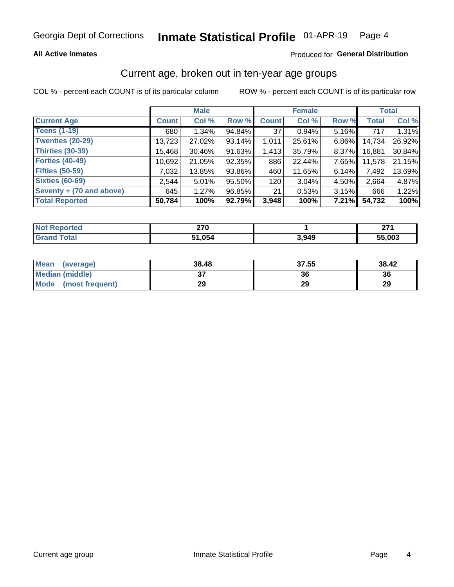#### Inmate Statistical Profile 01-APR-19 Page 4

### **All Active Inmates**

## Produced for General Distribution

# Current age, broken out in ten-year age groups

COL % - percent each COUNT is of its particular column

|                          | <b>Male</b>  |          |        | <b>Female</b> |          |          | <b>Total</b> |        |
|--------------------------|--------------|----------|--------|---------------|----------|----------|--------------|--------|
| <b>Current Age</b>       | <b>Count</b> | Col %    | Row %  | <b>Count</b>  | Col %    | Row %    | <b>Total</b> | Col %  |
| <b>Teens (1-19)</b>      | 680          | $1.34\%$ | 94.84% | 37            | 0.94%    | 5.16%    | 717          | 1.31%  |
| <b>Twenties (20-29)</b>  | 13,723       | 27.02%   | 93.14% | 1,011         | 25.61%   | 6.86%    | 14,734       | 26.92% |
| Thirties (30-39)         | 15,468       | 30.46%   | 91.63% | 1,413         | 35.79%   | 8.37%    | 16,881       | 30.84% |
| <b>Forties (40-49)</b>   | 10,692       | 21.05%   | 92.35% | 886           | 22.44%   | 7.65%    | 11,578       | 21.15% |
| <b>Fifties (50-59)</b>   | 7,032        | 13.85%   | 93.86% | 460           | 11.65%   | 6.14%    | 7,492        | 13.69% |
| <b>Sixties (60-69)</b>   | 2.544        | 5.01%    | 95.50% | 120           | $3.04\%$ | 4.50%    | 2.664        | 4.87%  |
| Seventy + (70 and above) | 645          | 1.27%    | 96.85% | 21            | 0.53%    | $3.15\%$ | 666          | 1.22%  |
| <b>Total Reported</b>    | 50,784       | 100%     | 92.79% | 3,948         | 100%     | 7.21%    | 54,732       | 100%   |

| <b>Not Reported</b> | מדה<br>-- |       | <b>074</b> |
|---------------------|-----------|-------|------------|
| Total               | . ሰ54     | 3,949 | 55,003     |

| <b>Mean</b><br>(average) | 38.48    | 37.55 | 38.42 |
|--------------------------|----------|-------|-------|
| Median (middle)          | ^<br>ا پ | 36    | 36    |
| Mode<br>(most frequent)  | 29       | 29    | 29    |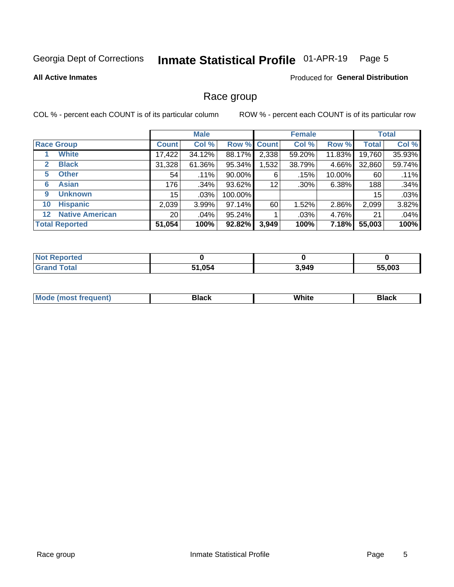#### Inmate Statistical Profile 01-APR-19 Page 5

#### **All Active Inmates**

### Produced for General Distribution

## Race group

COL % - percent each COUNT is of its particular column

|                                   |                 | <b>Male</b> |         |                    | <b>Female</b> |        |              | <b>Total</b> |  |
|-----------------------------------|-----------------|-------------|---------|--------------------|---------------|--------|--------------|--------------|--|
| <b>Race Group</b>                 | <b>Count</b>    | Col %       |         | <b>Row % Count</b> | Col %         | Row %  | <b>Total</b> | Col %        |  |
| <b>White</b>                      | 17,422          | 34.12%      | 88.17%  | 2,338              | 59.20%        | 11.83% | 19,760       | 35.93%       |  |
| <b>Black</b><br>2                 | 31,328          | 61.36%      | 95.34%  | .532               | 38.79%        | 4.66%  | 32,860       | 59.74%       |  |
| <b>Other</b><br>5.                | 54              | .11%        | 90.00%  | 6                  | .15%          | 10.00% | 60           | .11%         |  |
| <b>Asian</b><br>6                 | 176             | .34%        | 93.62%  | 12                 | $.30\%$       | 6.38%  | 188          | .34%         |  |
| <b>Unknown</b><br>9               | 15              | $.03\%$     | 100.00% |                    |               |        | 15           | .03%         |  |
| <b>Hispanic</b><br>10             | 2,039           | 3.99%       | 97.14%  | 60                 | 1.52%         | 2.86%  | 2,099        | 3.82%        |  |
| <b>Native American</b><br>$12 \,$ | 20 <sup>1</sup> | .04%        | 95.24%  |                    | .03%          | 4.76%  | 21           | .04%         |  |
| <b>Total Reported</b>             | 51,054          | 100%        | 92.82%  | 3,949              | 100%          | 7.18%  | 55,003       | 100%         |  |

| <b>orted</b><br>NO. |               |       |        |
|---------------------|---------------|-------|--------|
| `otal<br>'Grand     | 51,054<br>E4. | 3,949 | 55,003 |

| m | <br>w |  |
|---|-------|--|
|   |       |  |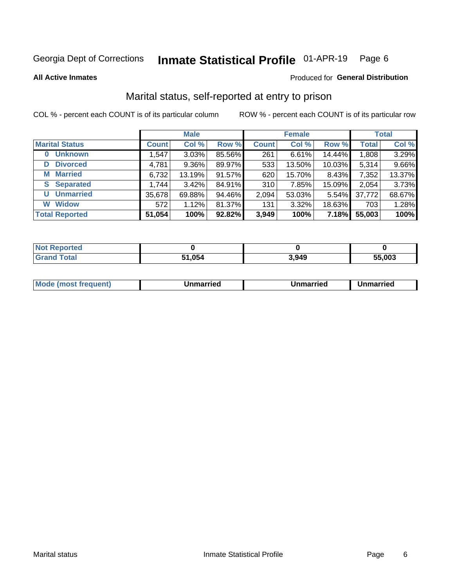#### Inmate Statistical Profile 01-APR-19 Page 6

**All Active Inmates** 

### Produced for General Distribution

# Marital status, self-reported at entry to prison

COL % - percent each COUNT is of its particular column

|                            | <b>Male</b>  |        |        |              | <b>Female</b> | <b>Total</b> |              |        |
|----------------------------|--------------|--------|--------|--------------|---------------|--------------|--------------|--------|
| <b>Marital Status</b>      | <b>Count</b> | Col %  | Row %  | <b>Count</b> | Col %         | Row %        | <b>Total</b> | Col %  |
| <b>Unknown</b><br>$\bf{0}$ | 1,547        | 3.03%  | 85.56% | 261          | 6.61%         | 14.44%       | 1,808        | 3.29%  |
| <b>Divorced</b><br>D       | 4,781        | 9.36%  | 89.97% | 533          | 13.50%        | 10.03%       | 5,314        | 9.66%  |
| <b>Married</b><br>М        | 6,732        | 13.19% | 91.57% | 620          | 15.70%        | 8.43%        | 7,352        | 13.37% |
| <b>Separated</b><br>S.     | 1,744        | 3.42%  | 84.91% | 310          | 7.85%         | 15.09%       | 2,054        | 3.73%  |
| <b>Unmarried</b><br>U      | 35,678       | 69.88% | 94.46% | 2,094        | 53.03%        | 5.54%        | 37,772       | 68.67% |
| <b>Widow</b><br>W          | 572          | 1.12%  | 81.37% | 131          | 3.32%         | 18.63%       | 703          | 1.28%  |
| <b>Total Reported</b>      | 51,054       | 100%   | 92.82% | 3,949        | 100%          | 7.18%        | 55,003       | 100%   |

| orted<br>I NOT |      |       |        |
|----------------|------|-------|--------|
| int            | .054 | 3.949 | 55.003 |

| <b>Mode (most frequent)</b><br>Unmarried<br>Unmarried<br>Jnmarried |
|--------------------------------------------------------------------|
|--------------------------------------------------------------------|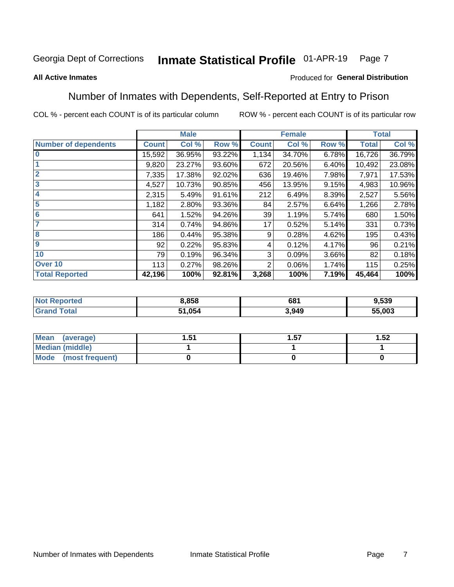#### Inmate Statistical Profile 01-APR-19 Page 7

### **All Active Inmates**

### Produced for General Distribution

# Number of Inmates with Dependents, Self-Reported at Entry to Prison

COL % - percent each COUNT is of its particular column

|                             |              | <b>Male</b> |        |                 | <b>Female</b> |       |              | <b>Total</b> |
|-----------------------------|--------------|-------------|--------|-----------------|---------------|-------|--------------|--------------|
| <b>Number of dependents</b> | <b>Count</b> | Col %       | Row %  | <b>Count</b>    | Col %         | Row % | <b>Total</b> | Col %        |
| l 0                         | 15,592       | 36.95%      | 93.22% | 1,134           | 34.70%        | 6.78% | 16,726       | 36.79%       |
|                             | 9,820        | 23.27%      | 93.60% | 672             | 20.56%        | 6.40% | 10,492       | 23.08%       |
| $\overline{2}$              | 7,335        | 17.38%      | 92.02% | 636             | 19.46%        | 7.98% | 7,971        | 17.53%       |
| $\overline{\mathbf{3}}$     | 4,527        | 10.73%      | 90.85% | 456             | 13.95%        | 9.15% | 4,983        | 10.96%       |
| 4                           | 2,315        | 5.49%       | 91.61% | 212             | 6.49%         | 8.39% | 2,527        | 5.56%        |
| 5                           | 1,182        | 2.80%       | 93.36% | 84              | 2.57%         | 6.64% | 1,266        | 2.78%        |
| 6                           | 641          | 1.52%       | 94.26% | 39              | 1.19%         | 5.74% | 680          | 1.50%        |
| 7                           | 314          | 0.74%       | 94.86% | 17 <sub>1</sub> | 0.52%         | 5.14% | 331          | 0.73%        |
| 8                           | 186          | 0.44%       | 95.38% | 9               | 0.28%         | 4.62% | 195          | 0.43%        |
| 9                           | 92           | 0.22%       | 95.83% | 4               | 0.12%         | 4.17% | 96           | 0.21%        |
| 10                          | 79           | 0.19%       | 96.34% | 3               | 0.09%         | 3.66% | 82           | 0.18%        |
| Over 10                     | 113          | 0.27%       | 98.26% | $\overline{2}$  | 0.06%         | 1.74% | 115          | 0.25%        |
| <b>Total Reported</b>       | 42,196       | 100%        | 92.81% | 3,268           | 100%          | 7.19% | 45,464       | 100%         |

| 3,858  | 681   | 539. د |
|--------|-------|--------|
| 51,054 | 8,949 | 55,003 |

| Mean (average)          | ا ب. | 57.، | 1.52 |
|-------------------------|------|------|------|
| <b>Median (middle)</b>  |      |      |      |
| Mode<br>(most frequent) |      |      |      |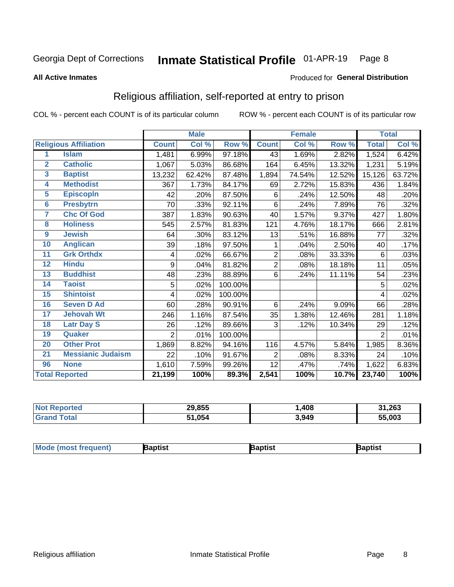#### Inmate Statistical Profile 01-APR-19 Page 8

#### **All Active Inmates**

### Produced for General Distribution

# Religious affiliation, self-reported at entry to prison

COL % - percent each COUNT is of its particular column

|                         |                              |                | <b>Male</b> |         |              | <b>Female</b>             |        |              | <b>Total</b> |
|-------------------------|------------------------------|----------------|-------------|---------|--------------|---------------------------|--------|--------------|--------------|
|                         | <b>Religious Affiliation</b> | <b>Count</b>   | Col %       | Row %   | <b>Count</b> | $\overline{\text{Col}}$ % | Row %  | <b>Total</b> | Col %        |
| 1                       | <b>Islam</b>                 | 1,481          | 6.99%       | 97.18%  | 43           | 1.69%                     | 2.82%  | 1,524        | 6.42%        |
| $\mathbf{2}$            | <b>Catholic</b>              | 1,067          | 5.03%       | 86.68%  | 164          | 6.45%                     | 13.32% | 1,231        | 5.19%        |
| $\overline{\mathbf{3}}$ | <b>Baptist</b>               | 13,232         | 62.42%      | 87.48%  | 1,894        | 74.54%                    | 12.52% | 15,126       | 63.72%       |
| 4                       | <b>Methodist</b>             | 367            | 1.73%       | 84.17%  | 69           | 2.72%                     | 15.83% | 436          | 1.84%        |
| $\overline{5}$          | <b>EpiscopIn</b>             | 42             | .20%        | 87.50%  | 6            | .24%                      | 12.50% | 48           | .20%         |
| $6\phantom{a}$          | <b>Presbytrn</b>             | 70             | .33%        | 92.11%  | 6            | .24%                      | 7.89%  | 76           | .32%         |
| 7                       | <b>Chc Of God</b>            | 387            | 1.83%       | 90.63%  | 40           | 1.57%                     | 9.37%  | 427          | 1.80%        |
| 8                       | <b>Holiness</b>              | 545            | 2.57%       | 81.83%  | 121          | 4.76%                     | 18.17% | 666          | 2.81%        |
| $\boldsymbol{9}$        | <b>Jewish</b>                | 64             | .30%        | 83.12%  | 13           | .51%                      | 16.88% | 77           | .32%         |
| 10                      | <b>Anglican</b>              | 39             | .18%        | 97.50%  | 1            | .04%                      | 2.50%  | 40           | .17%         |
| 11                      | <b>Grk Orthdx</b>            | 4              | .02%        | 66.67%  | 2            | .08%                      | 33.33% | 6            | .03%         |
| 12                      | <b>Hindu</b>                 | 9              | .04%        | 81.82%  | 2            | .08%                      | 18.18% | 11           | .05%         |
| 13                      | <b>Buddhist</b>              | 48             | .23%        | 88.89%  | 6            | .24%                      | 11.11% | 54           | .23%         |
| 14                      | <b>Taoist</b>                | 5              | .02%        | 100.00% |              |                           |        | 5            | .02%         |
| 15                      | <b>Shintoist</b>             | 4              | .02%        | 100.00% |              |                           |        | 4            | .02%         |
| 16                      | <b>Seven D Ad</b>            | 60             | .28%        | 90.91%  | 6            | .24%                      | 9.09%  | 66           | .28%         |
| 17                      | <b>Jehovah Wt</b>            | 246            | 1.16%       | 87.54%  | 35           | 1.38%                     | 12.46% | 281          | 1.18%        |
| 18                      | <b>Latr Day S</b>            | 26             | .12%        | 89.66%  | 3            | .12%                      | 10.34% | 29           | .12%         |
| 19                      | Quaker                       | $\overline{2}$ | .01%        | 100.00% |              |                           |        | 2            | .01%         |
| 20                      | <b>Other Prot</b>            | 1,869          | 8.82%       | 94.16%  | 116          | 4.57%                     | 5.84%  | 1,985        | 8.36%        |
| $\overline{21}$         | <b>Messianic Judaism</b>     | 22             | .10%        | 91.67%  | 2            | .08%                      | 8.33%  | 24           | .10%         |
| 96                      | <b>None</b>                  | 1,610          | 7.59%       | 99.26%  | 12           | .47%                      | .74%   | 1,622        | 6.83%        |
|                         | <b>Total Reported</b>        | 21,199         | 100%        | 89.3%   | 2,541        | 100%                      | 10.7%  | 23,740       | 100%         |

|                 | 29,855        | ,408  | 1,263<br>24 |
|-----------------|---------------|-------|-------------|
| $int^{\bullet}$ | 51.054<br>64. | 3,949 | 55,003      |

| Mode (most frequent) | Baptist | aptist | Baptist |
|----------------------|---------|--------|---------|
|----------------------|---------|--------|---------|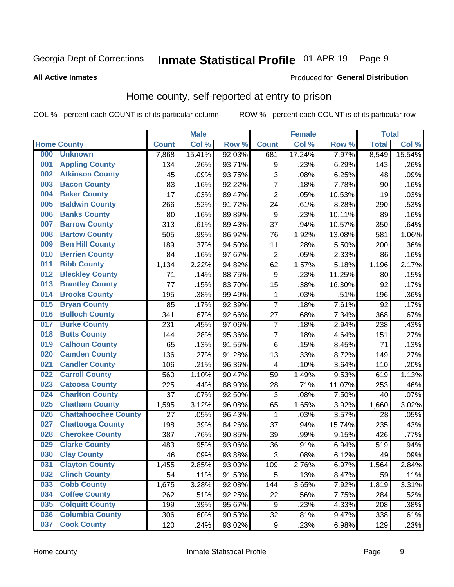#### Inmate Statistical Profile 01-APR-19 Page 9

#### **All Active Inmates**

## Produced for General Distribution

# Home county, self-reported at entry to prison

COL % - percent each COUNT is of its particular column

|     |                             |              | <b>Male</b> |        |                  | <b>Female</b> |        | <b>Total</b> |        |
|-----|-----------------------------|--------------|-------------|--------|------------------|---------------|--------|--------------|--------|
|     | <b>Home County</b>          | <b>Count</b> | Col %       | Row %  | <b>Count</b>     | Col %         | Row %  | <b>Total</b> | Col %  |
| 000 | <b>Unknown</b>              | 7,868        | 15.41%      | 92.03% | 681              | 17.24%        | 7.97%  | 8,549        | 15.54% |
| 001 | <b>Appling County</b>       | 134          | .26%        | 93.71% | 9                | .23%          | 6.29%  | 143          | .26%   |
| 002 | <b>Atkinson County</b>      | 45           | .09%        | 93.75% | 3                | .08%          | 6.25%  | 48           | .09%   |
| 003 | <b>Bacon County</b>         | 83           | .16%        | 92.22% | 7                | .18%          | 7.78%  | 90           | .16%   |
| 004 | <b>Baker County</b>         | 17           | .03%        | 89.47% | $\overline{2}$   | .05%          | 10.53% | 19           | .03%   |
| 005 | <b>Baldwin County</b>       | 266          | .52%        | 91.72% | 24               | .61%          | 8.28%  | 290          | .53%   |
| 006 | <b>Banks County</b>         | 80           | .16%        | 89.89% | 9                | .23%          | 10.11% | 89           | .16%   |
| 007 | <b>Barrow County</b>        | 313          | .61%        | 89.43% | 37               | .94%          | 10.57% | 350          | .64%   |
| 008 | <b>Bartow County</b>        | 505          | .99%        | 86.92% | 76               | 1.92%         | 13.08% | 581          | 1.06%  |
| 009 | <b>Ben Hill County</b>      | 189          | .37%        | 94.50% | 11               | .28%          | 5.50%  | 200          | .36%   |
| 010 | <b>Berrien County</b>       | 84           | .16%        | 97.67% | $\overline{c}$   | .05%          | 2.33%  | 86           | .16%   |
| 011 | <b>Bibb County</b>          | 1,134        | 2.22%       | 94.82% | 62               | 1.57%         | 5.18%  | 1,196        | 2.17%  |
| 012 | <b>Bleckley County</b>      | 71           | .14%        | 88.75% | 9                | .23%          | 11.25% | 80           | .15%   |
| 013 | <b>Brantley County</b>      | 77           | .15%        | 83.70% | 15               | .38%          | 16.30% | 92           | .17%   |
| 014 | <b>Brooks County</b>        | 195          | .38%        | 99.49% | 1                | .03%          | .51%   | 196          | .36%   |
| 015 | <b>Bryan County</b>         | 85           | .17%        | 92.39% | 7                | .18%          | 7.61%  | 92           | .17%   |
| 016 | <b>Bulloch County</b>       | 341          | .67%        | 92.66% | 27               | .68%          | 7.34%  | 368          | .67%   |
| 017 | <b>Burke County</b>         | 231          | .45%        | 97.06% | 7                | .18%          | 2.94%  | 238          | .43%   |
| 018 | <b>Butts County</b>         | 144          | .28%        | 95.36% | $\overline{7}$   | .18%          | 4.64%  | 151          | .27%   |
| 019 | <b>Calhoun County</b>       | 65           | .13%        | 91.55% | 6                | .15%          | 8.45%  | 71           | .13%   |
| 020 | <b>Camden County</b>        | 136          | .27%        | 91.28% | 13               | .33%          | 8.72%  | 149          | .27%   |
| 021 | <b>Candler County</b>       | 106          | .21%        | 96.36% | 4                | .10%          | 3.64%  | 110          | .20%   |
| 022 | <b>Carroll County</b>       | 560          | 1.10%       | 90.47% | 59               | 1.49%         | 9.53%  | 619          | 1.13%  |
| 023 | <b>Catoosa County</b>       | 225          | .44%        | 88.93% | 28               | .71%          | 11.07% | 253          | .46%   |
| 024 | <b>Charlton County</b>      | 37           | .07%        | 92.50% | 3                | .08%          | 7.50%  | 40           | .07%   |
| 025 | <b>Chatham County</b>       | 1,595        | 3.12%       | 96.08% | 65               | 1.65%         | 3.92%  | 1,660        | 3.02%  |
| 026 | <b>Chattahoochee County</b> | 27           | .05%        | 96.43% | 1                | .03%          | 3.57%  | 28           | .05%   |
| 027 | <b>Chattooga County</b>     | 198          | .39%        | 84.26% | 37               | .94%          | 15.74% | 235          | .43%   |
| 028 | <b>Cherokee County</b>      | 387          | .76%        | 90.85% | 39               | .99%          | 9.15%  | 426          | .77%   |
| 029 | <b>Clarke County</b>        | 483          | .95%        | 93.06% | 36               | .91%          | 6.94%  | 519          | .94%   |
| 030 | <b>Clay County</b>          | 46           | .09%        | 93.88% | $\mathbf{3}$     | .08%          | 6.12%  | 49           | .09%   |
| 031 | <b>Clayton County</b>       | 1,455        | 2.85%       | 93.03% | 109              | 2.76%         | 6.97%  | 1,564        | 2.84%  |
| 032 | <b>Clinch County</b>        | 54           | .11%        | 91.53% | 5                | .13%          | 8.47%  | 59           | .11%   |
| 033 | <b>Cobb County</b>          | 1,675        | 3.28%       | 92.08% | 144              | 3.65%         | 7.92%  | 1,819        | 3.31%  |
| 034 | <b>Coffee County</b>        | 262          | .51%        | 92.25% | 22               | .56%          | 7.75%  | 284          | .52%   |
| 035 | <b>Colquitt County</b>      | 199          | .39%        | 95.67% | 9                | .23%          | 4.33%  | 208          | .38%   |
| 036 | <b>Columbia County</b>      | 306          | .60%        | 90.53% | 32               | .81%          | 9.47%  | 338          | .61%   |
| 037 | <b>Cook County</b>          | 120          | .24%        | 93.02% | $\boldsymbol{9}$ | .23%          | 6.98%  | 129          | .23%   |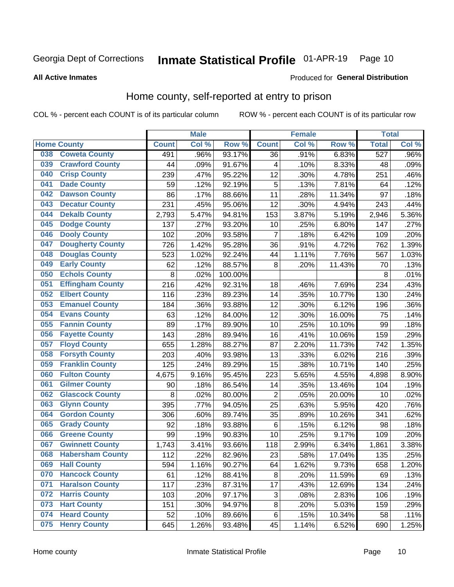#### Inmate Statistical Profile 01-APR-19 Page 10

### **All Active Inmates**

## Produced for General Distribution

# Home county, self-reported at entry to prison

COL % - percent each COUNT is of its particular column

|     |                         |              | <b>Male</b> |         |                | <b>Female</b> |        | <b>Total</b>     |       |
|-----|-------------------------|--------------|-------------|---------|----------------|---------------|--------|------------------|-------|
|     | <b>Home County</b>      | <b>Count</b> | Col%        | Row %   | <b>Count</b>   | Col %         | Row %  | <b>Total</b>     | Col % |
| 038 | <b>Coweta County</b>    | 491          | .96%        | 93.17%  | 36             | .91%          | 6.83%  | $\overline{527}$ | .96%  |
| 039 | <b>Crawford County</b>  | 44           | .09%        | 91.67%  | 4              | .10%          | 8.33%  | 48               | .09%  |
| 040 | <b>Crisp County</b>     | 239          | .47%        | 95.22%  | 12             | .30%          | 4.78%  | 251              | .46%  |
| 041 | <b>Dade County</b>      | 59           | .12%        | 92.19%  | 5              | .13%          | 7.81%  | 64               | .12%  |
| 042 | <b>Dawson County</b>    | 86           | .17%        | 88.66%  | 11             | .28%          | 11.34% | 97               | .18%  |
| 043 | <b>Decatur County</b>   | 231          | .45%        | 95.06%  | 12             | .30%          | 4.94%  | 243              | .44%  |
| 044 | <b>Dekalb County</b>    | 2,793        | 5.47%       | 94.81%  | 153            | 3.87%         | 5.19%  | 2,946            | 5.36% |
| 045 | <b>Dodge County</b>     | 137          | .27%        | 93.20%  | 10             | .25%          | 6.80%  | 147              | .27%  |
| 046 | <b>Dooly County</b>     | 102          | .20%        | 93.58%  | $\overline{7}$ | .18%          | 6.42%  | 109              | .20%  |
| 047 | <b>Dougherty County</b> | 726          | 1.42%       | 95.28%  | 36             | .91%          | 4.72%  | 762              | 1.39% |
| 048 | <b>Douglas County</b>   | 523          | 1.02%       | 92.24%  | 44             | 1.11%         | 7.76%  | 567              | 1.03% |
| 049 | <b>Early County</b>     | 62           | .12%        | 88.57%  | 8              | .20%          | 11.43% | 70               | .13%  |
| 050 | <b>Echols County</b>    | 8            | .02%        | 100.00% |                |               |        | 8                | .01%  |
| 051 | <b>Effingham County</b> | 216          | .42%        | 92.31%  | 18             | .46%          | 7.69%  | 234              | .43%  |
| 052 | <b>Elbert County</b>    | 116          | .23%        | 89.23%  | 14             | .35%          | 10.77% | 130              | .24%  |
| 053 | <b>Emanuel County</b>   | 184          | .36%        | 93.88%  | 12             | .30%          | 6.12%  | 196              | .36%  |
| 054 | <b>Evans County</b>     | 63           | .12%        | 84.00%  | 12             | .30%          | 16.00% | 75               | .14%  |
| 055 | <b>Fannin County</b>    | 89           | .17%        | 89.90%  | 10             | .25%          | 10.10% | 99               | .18%  |
| 056 | <b>Fayette County</b>   | 143          | .28%        | 89.94%  | 16             | .41%          | 10.06% | 159              | .29%  |
| 057 | <b>Floyd County</b>     | 655          | 1.28%       | 88.27%  | 87             | 2.20%         | 11.73% | 742              | 1.35% |
| 058 | <b>Forsyth County</b>   | 203          | .40%        | 93.98%  | 13             | .33%          | 6.02%  | 216              | .39%  |
| 059 | <b>Franklin County</b>  | 125          | .24%        | 89.29%  | 15             | .38%          | 10.71% | 140              | .25%  |
| 060 | <b>Fulton County</b>    | 4,675        | 9.16%       | 95.45%  | 223            | 5.65%         | 4.55%  | 4,898            | 8.90% |
| 061 | <b>Gilmer County</b>    | 90           | .18%        | 86.54%  | 14             | .35%          | 13.46% | 104              | .19%  |
| 062 | <b>Glascock County</b>  | 8            | .02%        | 80.00%  | $\overline{2}$ | .05%          | 20.00% | 10               | .02%  |
| 063 | <b>Glynn County</b>     | 395          | .77%        | 94.05%  | 25             | .63%          | 5.95%  | 420              | .76%  |
| 064 | <b>Gordon County</b>    | 306          | .60%        | 89.74%  | 35             | .89%          | 10.26% | 341              | .62%  |
| 065 | <b>Grady County</b>     | 92           | .18%        | 93.88%  | $\,6$          | .15%          | 6.12%  | 98               | .18%  |
| 066 | <b>Greene County</b>    | 99           | .19%        | 90.83%  | 10             | .25%          | 9.17%  | 109              | .20%  |
| 067 | <b>Gwinnett County</b>  | 1,743        | 3.41%       | 93.66%  | 118            | 2.99%         | 6.34%  | 1,861            | 3.38% |
| 068 | <b>Habersham County</b> | 112          | .22%        | 82.96%  | 23             | .58%          | 17.04% | 135              | .25%  |
| 069 | <b>Hall County</b>      | 594          | 1.16%       | 90.27%  | 64             | 1.62%         | 9.73%  | 658              | 1.20% |
| 070 | <b>Hancock County</b>   | 61           | .12%        | 88.41%  | 8              | .20%          | 11.59% | 69               | .13%  |
| 071 | <b>Haralson County</b>  | 117          | .23%        | 87.31%  | 17             | .43%          | 12.69% | 134              | .24%  |
| 072 | <b>Harris County</b>    | 103          | .20%        | 97.17%  | 3              | .08%          | 2.83%  | 106              | .19%  |
| 073 | <b>Hart County</b>      | 151          | .30%        | 94.97%  | 8              | .20%          | 5.03%  | 159              | .29%  |
| 074 | <b>Heard County</b>     | 52           | .10%        | 89.66%  | 6              | .15%          | 10.34% | 58               | .11%  |
| 075 | <b>Henry County</b>     | 645          | 1.26%       | 93.48%  | 45             | 1.14%         | 6.52%  | 690              | 1.25% |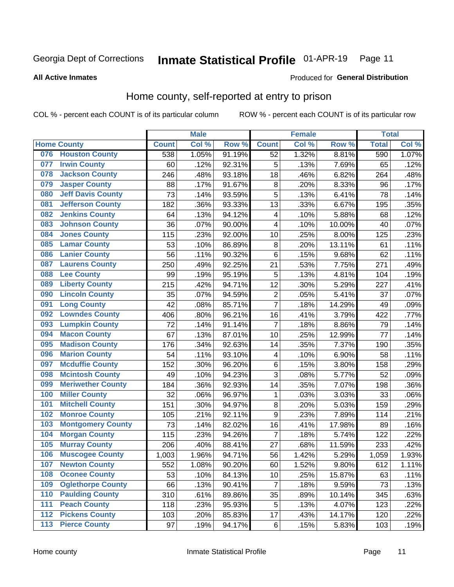#### Inmate Statistical Profile 01-APR-19 Page 11

**All Active Inmates** 

### Produced for General Distribution

# Home county, self-reported at entry to prison

COL % - percent each COUNT is of its particular column

|                  |                          |              | <b>Male</b> |        |                | <b>Female</b> |                  | <b>Total</b> |       |
|------------------|--------------------------|--------------|-------------|--------|----------------|---------------|------------------|--------------|-------|
|                  | <b>Home County</b>       | <b>Count</b> | Col %       | Row %  | <b>Count</b>   | Col %         | Row <sup>%</sup> | <b>Total</b> | Col % |
| 076              | <b>Houston County</b>    | 538          | 1.05%       | 91.19% | 52             | 1.32%         | 8.81%            | 590          | 1.07% |
| 077              | <b>Irwin County</b>      | 60           | .12%        | 92.31% | 5              | .13%          | 7.69%            | 65           | .12%  |
| 078              | <b>Jackson County</b>    | 246          | .48%        | 93.18% | 18             | .46%          | 6.82%            | 264          | .48%  |
| 079              | <b>Jasper County</b>     | 88           | .17%        | 91.67% | 8              | .20%          | 8.33%            | 96           | .17%  |
| 080              | <b>Jeff Davis County</b> | 73           | .14%        | 93.59% | 5              | .13%          | 6.41%            | 78           | .14%  |
| 081              | <b>Jefferson County</b>  | 182          | .36%        | 93.33% | 13             | .33%          | 6.67%            | 195          | .35%  |
| 082              | <b>Jenkins County</b>    | 64           | .13%        | 94.12% | 4              | .10%          | 5.88%            | 68           | .12%  |
| 083              | <b>Johnson County</b>    | 36           | .07%        | 90.00% | 4              | .10%          | 10.00%           | 40           | .07%  |
| 084              | <b>Jones County</b>      | 115          | .23%        | 92.00% | 10             | .25%          | 8.00%            | 125          | .23%  |
| 085              | <b>Lamar County</b>      | 53           | .10%        | 86.89% | 8              | .20%          | 13.11%           | 61           | .11%  |
| 086              | <b>Lanier County</b>     | 56           | .11%        | 90.32% | $\,6$          | .15%          | 9.68%            | 62           | .11%  |
| 087              | <b>Laurens County</b>    | 250          | .49%        | 92.25% | 21             | .53%          | 7.75%            | 271          | .49%  |
| 088              | <b>Lee County</b>        | 99           | .19%        | 95.19% | 5              | .13%          | 4.81%            | 104          | .19%  |
| 089              | <b>Liberty County</b>    | 215          | .42%        | 94.71% | 12             | .30%          | 5.29%            | 227          | .41%  |
| 090              | <b>Lincoln County</b>    | 35           | .07%        | 94.59% | $\overline{2}$ | .05%          | 5.41%            | 37           | .07%  |
| 091              | <b>Long County</b>       | 42           | .08%        | 85.71% | $\overline{7}$ | .18%          | 14.29%           | 49           | .09%  |
| 092              | <b>Lowndes County</b>    | 406          | .80%        | 96.21% | 16             | .41%          | 3.79%            | 422          | .77%  |
| 093              | <b>Lumpkin County</b>    | 72           | .14%        | 91.14% | $\overline{7}$ | .18%          | 8.86%            | 79           | .14%  |
| 094              | <b>Macon County</b>      | 67           | .13%        | 87.01% | 10             | .25%          | 12.99%           | 77           | .14%  |
| 095              | <b>Madison County</b>    | 176          | .34%        | 92.63% | 14             | .35%          | 7.37%            | 190          | .35%  |
| 096              | <b>Marion County</b>     | 54           | .11%        | 93.10% | 4              | .10%          | 6.90%            | 58           | .11%  |
| 097              | <b>Mcduffie County</b>   | 152          | .30%        | 96.20% | $\,6$          | .15%          | 3.80%            | 158          | .29%  |
| 098              | <b>Mcintosh County</b>   | 49           | .10%        | 94.23% | $\overline{3}$ | .08%          | 5.77%            | 52           | .09%  |
| 099              | <b>Meriwether County</b> | 184          | .36%        | 92.93% | 14             | .35%          | 7.07%            | 198          | .36%  |
| 100              | <b>Miller County</b>     | 32           | .06%        | 96.97% | 1              | .03%          | 3.03%            | 33           | .06%  |
| 101              | <b>Mitchell County</b>   | 151          | .30%        | 94.97% | 8              | .20%          | 5.03%            | 159          | .29%  |
| 102              | <b>Monroe County</b>     | 105          | .21%        | 92.11% | 9              | .23%          | 7.89%            | 114          | .21%  |
| 103              | <b>Montgomery County</b> | 73           | .14%        | 82.02% | 16             | .41%          | 17.98%           | 89           | .16%  |
| 104              | <b>Morgan County</b>     | 115          | .23%        | 94.26% | 7              | .18%          | 5.74%            | 122          | .22%  |
| 105              | <b>Murray County</b>     | 206          | .40%        | 88.41% | 27             | .68%          | 11.59%           | 233          | .42%  |
| 106              | <b>Muscogee County</b>   | 1,003        | 1.96%       | 94.71% | 56             | 1.42%         | 5.29%            | 1,059        | 1.93% |
| 107              | <b>Newton County</b>     | 552          | 1.08%       | 90.20% | 60             | 1.52%         | 9.80%            | 612          | 1.11% |
| 108              | <b>Oconee County</b>     | 53           | .10%        | 84.13% | 10             | .25%          | 15.87%           | 63           | .11%  |
| 109              | <b>Oglethorpe County</b> | 66           | .13%        | 90.41% | $\overline{7}$ | .18%          | 9.59%            | 73           | .13%  |
| 110              | <b>Paulding County</b>   | 310          | .61%        | 89.86% | 35             | .89%          | 10.14%           | 345          | .63%  |
| 111              | <b>Peach County</b>      | 118          | .23%        | 95.93% | 5              | .13%          | 4.07%            | 123          | .22%  |
| $\overline{112}$ | <b>Pickens County</b>    | 103          | .20%        | 85.83% | 17             | .43%          | 14.17%           | 120          | .22%  |
| 113              | <b>Pierce County</b>     | 97           | .19%        | 94.17% | $\,6$          | .15%          | 5.83%            | 103          | .19%  |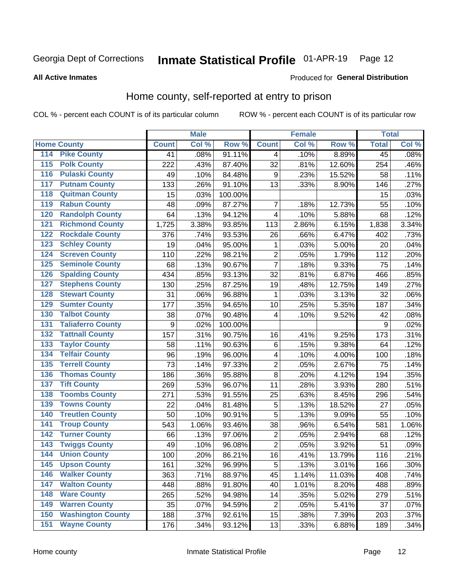# Inmate Statistical Profile 01-APR-19 Page 12

**All Active Inmates** 

### Produced for General Distribution

# Home county, self-reported at entry to prison

COL % - percent each COUNT is of its particular column

|     |                          |              | <b>Male</b> |         |                         | <b>Female</b> |        | <b>Total</b>    |       |
|-----|--------------------------|--------------|-------------|---------|-------------------------|---------------|--------|-----------------|-------|
|     | <b>Home County</b>       | <b>Count</b> | Col %       | Row %   | <b>Count</b>            | Col %         | Row %  | <b>Total</b>    | Col % |
| 114 | <b>Pike County</b>       | 41           | .08%        | 91.11%  | 4                       | .10%          | 8.89%  | $\overline{45}$ | .08%  |
| 115 | <b>Polk County</b>       | 222          | .43%        | 87.40%  | 32                      | .81%          | 12.60% | 254             | .46%  |
| 116 | <b>Pulaski County</b>    | 49           | .10%        | 84.48%  | $\boldsymbol{9}$        | .23%          | 15.52% | 58              | .11%  |
| 117 | <b>Putnam County</b>     | 133          | .26%        | 91.10%  | 13                      | .33%          | 8.90%  | 146             | .27%  |
| 118 | <b>Quitman County</b>    | 15           | .03%        | 100.00% |                         |               |        | 15              | .03%  |
| 119 | <b>Rabun County</b>      | 48           | .09%        | 87.27%  | 7                       | .18%          | 12.73% | 55              | .10%  |
| 120 | <b>Randolph County</b>   | 64           | .13%        | 94.12%  | $\overline{\mathbf{4}}$ | .10%          | 5.88%  | 68              | .12%  |
| 121 | <b>Richmond County</b>   | 1,725        | 3.38%       | 93.85%  | 113                     | 2.86%         | 6.15%  | 1,838           | 3.34% |
| 122 | <b>Rockdale County</b>   | 376          | .74%        | 93.53%  | 26                      | .66%          | 6.47%  | 402             | .73%  |
| 123 | <b>Schley County</b>     | 19           | .04%        | 95.00%  | 1                       | .03%          | 5.00%  | 20              | .04%  |
| 124 | <b>Screven County</b>    | 110          | .22%        | 98.21%  | $\overline{c}$          | .05%          | 1.79%  | 112             | .20%  |
| 125 | <b>Seminole County</b>   | 68           | .13%        | 90.67%  | $\overline{7}$          | .18%          | 9.33%  | 75              | .14%  |
| 126 | <b>Spalding County</b>   | 434          | .85%        | 93.13%  | 32                      | .81%          | 6.87%  | 466             | .85%  |
| 127 | <b>Stephens County</b>   | 130          | .25%        | 87.25%  | 19                      | .48%          | 12.75% | 149             | .27%  |
| 128 | <b>Stewart County</b>    | 31           | .06%        | 96.88%  | 1                       | .03%          | 3.13%  | 32              | .06%  |
| 129 | <b>Sumter County</b>     | 177          | .35%        | 94.65%  | 10                      | .25%          | 5.35%  | 187             | .34%  |
| 130 | <b>Talbot County</b>     | 38           | .07%        | 90.48%  | 4                       | .10%          | 9.52%  | 42              | .08%  |
| 131 | <b>Taliaferro County</b> | 9            | .02%        | 100.00% |                         |               |        | 9               | .02%  |
| 132 | <b>Tattnall County</b>   | 157          | .31%        | 90.75%  | 16                      | .41%          | 9.25%  | 173             | .31%  |
| 133 | <b>Taylor County</b>     | 58           | .11%        | 90.63%  | $\,6$                   | .15%          | 9.38%  | 64              | .12%  |
| 134 | <b>Telfair County</b>    | 96           | .19%        | 96.00%  | 4                       | .10%          | 4.00%  | 100             | .18%  |
| 135 | <b>Terrell County</b>    | 73           | .14%        | 97.33%  | $\overline{2}$          | .05%          | 2.67%  | 75              | .14%  |
| 136 | <b>Thomas County</b>     | 186          | .36%        | 95.88%  | $\overline{8}$          | .20%          | 4.12%  | 194             | .35%  |
| 137 | <b>Tift County</b>       | 269          | .53%        | 96.07%  | 11                      | .28%          | 3.93%  | 280             | .51%  |
| 138 | <b>Toombs County</b>     | 271          | .53%        | 91.55%  | 25                      | .63%          | 8.45%  | 296             | .54%  |
| 139 | <b>Towns County</b>      | 22           | .04%        | 81.48%  | 5                       | .13%          | 18.52% | 27              | .05%  |
| 140 | <b>Treutlen County</b>   | 50           | .10%        | 90.91%  | 5                       | .13%          | 9.09%  | 55              | .10%  |
| 141 | <b>Troup County</b>      | 543          | 1.06%       | 93.46%  | 38                      | .96%          | 6.54%  | 581             | 1.06% |
| 142 | <b>Turner County</b>     | 66           | .13%        | 97.06%  | $\mathbf 2$             | .05%          | 2.94%  | 68              | .12%  |
| 143 | <b>Twiggs County</b>     | 49           | .10%        | 96.08%  | $\overline{2}$          | .05%          | 3.92%  | 51              | .09%  |
| 144 | <b>Union County</b>      | 100          | .20%        | 86.21%  | 16                      | .41%          | 13.79% | 116             | .21%  |
| 145 | <b>Upson County</b>      | 161          | .32%        | 96.99%  | 5                       | .13%          | 3.01%  | 166             | .30%  |
| 146 | <b>Walker County</b>     | 363          | .71%        | 88.97%  | 45                      | 1.14%         | 11.03% | 408             | .74%  |
| 147 | <b>Walton County</b>     | 448          | .88%        | 91.80%  | 40                      | 1.01%         | 8.20%  | 488             | .89%  |
| 148 | <b>Ware County</b>       | 265          | .52%        | 94.98%  | 14                      | .35%          | 5.02%  | 279             | .51%  |
| 149 | <b>Warren County</b>     | 35           | .07%        | 94.59%  | $\overline{c}$          | .05%          | 5.41%  | 37              | .07%  |
| 150 | <b>Washington County</b> | 188          | .37%        | 92.61%  | 15                      | .38%          | 7.39%  | 203             | .37%  |
| 151 | <b>Wayne County</b>      | 176          | .34%        | 93.12%  | 13                      | .33%          | 6.88%  | 189             | .34%  |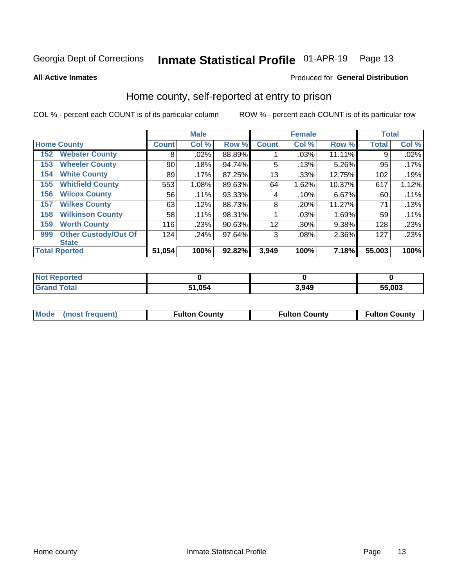**All Active Inmates** 

#### Inmate Statistical Profile 01-APR-19 Page 13

#### Produced for General Distribution

## Home county, self-reported at entry to prison

COL % - percent each COUNT is of its particular column

|     |                             |              | <b>Male</b> |        |              | <b>Female</b> |        | <b>Total</b> |       |
|-----|-----------------------------|--------------|-------------|--------|--------------|---------------|--------|--------------|-------|
|     | <b>Home County</b>          | <b>Count</b> | Col %       | Row %  | <b>Count</b> | Col %         | Row %  | <b>Total</b> | Col % |
| 152 | <b>Webster County</b>       | 8            | .02%        | 88.89% |              | .03%          | 11.11% | 9            | .02%  |
| 153 | <b>Wheeler County</b>       | 90           | .18%        | 94.74% | 5            | .13%          | 5.26%  | 95           | .17%  |
| 154 | <b>White County</b>         | 89           | $.17\%$     | 87.25% | 13           | .33%          | 12.75% | 102          | .19%  |
| 155 | <b>Whitfield County</b>     | 553          | 1.08%       | 89.63% | 64           | 1.62%         | 10.37% | 617          | 1.12% |
| 156 | <b>Wilcox County</b>        | 56           | $.11\%$     | 93.33% | 4            | .10%          | 6.67%  | 60           | .11%  |
| 157 | <b>Wilkes County</b>        | 63           | .12%        | 88.73% | 8            | .20%          | 11.27% | 71           | .13%  |
| 158 | <b>Wilkinson County</b>     | 58           | .11%        | 98.31% |              | .03%          | 1.69%  | 59           | .11%  |
| 159 | <b>Worth County</b>         | 116          | .23%        | 90.63% | 12           | .30%          | 9.38%  | 128          | .23%  |
| 999 | <b>Other Custody/Out Of</b> | 124          | .24%        | 97.64% | 3            | .08%          | 2.36%  | 127          | .23%  |
|     | <b>State</b>                |              |             |        |              |               |        |              |       |
|     | <b>Total Rported</b>        | 51,054       | 100%        | 92.82% | 3,949        | 100%          | 7.18%  | 55,003       | 100%  |

| <b>Not</b><br>Reported |              |       |        |
|------------------------|--------------|-------|--------|
| <b>Total</b>           | 51.054<br>51 | 3.949 | 55,003 |

| Mode (most frequent) | <b>Fulton County</b> | <b>Fulton County</b> | <b>Fulton County</b> |
|----------------------|----------------------|----------------------|----------------------|
|                      |                      |                      |                      |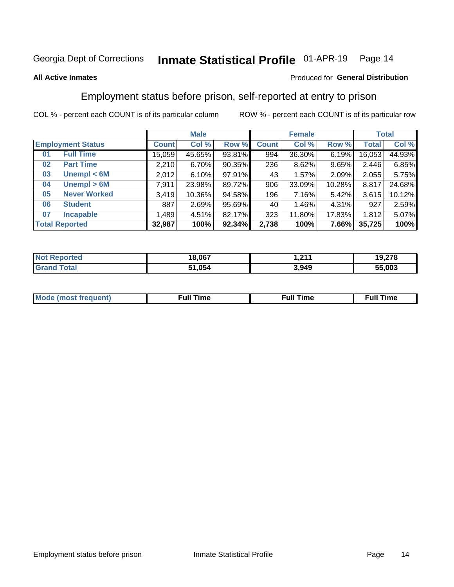#### Inmate Statistical Profile 01-APR-19 Page 14

### **All Active Inmates**

### Produced for General Distribution

# Employment status before prison, self-reported at entry to prison

COL % - percent each COUNT is of its particular column

|                           | <b>Male</b>  |        |        |              | <b>Female</b> |        | <b>Total</b> |        |
|---------------------------|--------------|--------|--------|--------------|---------------|--------|--------------|--------|
| <b>Employment Status</b>  | <b>Count</b> | Col %  | Row %  | <b>Count</b> | Col %         | Row %  | <b>Total</b> | Col %  |
| <b>Full Time</b><br>01    | 15,059       | 45.65% | 93.81% | 994          | 36.30%        | 6.19%  | 16,053       | 44.93% |
| <b>Part Time</b><br>02    | 2,210        | 6.70%  | 90.35% | 236          | 8.62%         | 9.65%  | 2,446        | 6.85%  |
| Unempl $<$ 6M<br>03       | 2,012        | 6.10%  | 97.91% | 43           | 1.57%         | 2.09%  | 2,055        | 5.75%  |
| Unempl > 6M<br>04         | 7,911        | 23.98% | 89.72% | 906          | 33.09%        | 10.28% | 8,817        | 24.68% |
| <b>Never Worked</b><br>05 | 3,419        | 10.36% | 94.58% | 196          | 7.16%         | 5.42%  | 3,615        | 10.12% |
| <b>Student</b><br>06      | 887          | 2.69%  | 95.69% | 40           | 1.46%         | 4.31%  | 927          | 2.59%  |
| <b>Incapable</b><br>07    | ,489         | 4.51%  | 82.17% | 323          | 11.80%        | 17.83% | 1,812        | 5.07%  |
| <b>Total Reported</b>     | 32,987       | 100%   | 92.34% | 2,738        | 100%          | 7.66%  | 35,725       | 100%   |

| วorted<br>NO | 18.067 | 244<br>. | 279<br>10<br>19.ZI 0 |
|--------------|--------|----------|----------------------|
| $\sim$ 10    | 51,054 | 3,949    | 55,003               |

| Mc | ∙u∥<br>----<br>ıme | ίuΙ<br>Πmε |
|----|--------------------|------------|
|    |                    |            |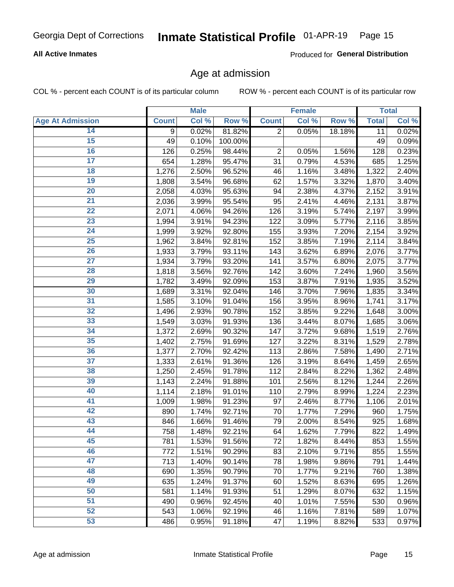#### Inmate Statistical Profile 01-APR-19 Page 15

## **All Active Inmates**

Produced for General Distribution

# Age at admission

COL % - percent each COUNT is of its particular column

|                         |                    | <b>Male</b> |         |                | <b>Female</b>       |        |              | <b>Total</b> |
|-------------------------|--------------------|-------------|---------|----------------|---------------------|--------|--------------|--------------|
| <b>Age At Admission</b> | <b>Count</b>       | Col %       | Row %   | <b>Count</b>   | Col %               | Row %  | <b>Total</b> | Col %        |
| 14                      | 9                  | 0.02%       | 81.82%  | $\overline{2}$ | 0.05%               | 18.18% | 11           | 0.02%        |
| 15                      | 49                 | 0.10%       | 100.00% |                |                     |        | 49           | 0.09%        |
| 16                      | 126                | 0.25%       | 98.44%  | 2              | 0.05%               | 1.56%  | 128          | 0.23%        |
| $\overline{17}$         | 654                | 1.28%       | 95.47%  | 31             | 0.79%               | 4.53%  | 685          | 1.25%        |
| $\overline{18}$         | $\overline{1,276}$ | 2.50%       | 96.52%  | 46             | 1.16%               | 3.48%  | 1,322        | 2.40%        |
| 19                      | 1,808              | 3.54%       | 96.68%  | 62             | 1.57%               | 3.32%  | 1,870        | 3.40%        |
| 20                      | 2,058              | 4.03%       | 95.63%  | 94             | 2.38%               | 4.37%  | 2,152        | 3.91%        |
| $\overline{21}$         | 2,036              | 3.99%       | 95.54%  | 95             | 2.41%               | 4.46%  | 2,131        | 3.87%        |
| $\overline{22}$         | 2,071              | 4.06%       | 94.26%  | 126            | 3.19%               | 5.74%  | 2,197        | 3.99%        |
| 23                      | 1,994              | 3.91%       | 94.23%  | 122            | 3.09%               | 5.77%  | 2,116        | 3.85%        |
| 24                      | 1,999              | 3.92%       | 92.80%  | 155            | 3.93%               | 7.20%  | 2,154        | 3.92%        |
| $\overline{25}$         | 1,962              | 3.84%       | 92.81%  | 152            | 3.85%               | 7.19%  | 2,114        | 3.84%        |
| $\overline{26}$         | 1,933              | 3.79%       | 93.11%  | 143            | 3.62%               | 6.89%  | 2,076        | 3.77%        |
| $\overline{27}$         | 1,934              | 3.79%       | 93.20%  | 141            | 3.57%               | 6.80%  | 2,075        | 3.77%        |
| 28                      | 1,818              | 3.56%       | 92.76%  | 142            | 3.60%               | 7.24%  | 1,960        | 3.56%        |
| 29                      | 1,782              | 3.49%       | 92.09%  | 153            | 3.87%               | 7.91%  | 1,935        | 3.52%        |
| 30                      | 1,689              | 3.31%       | 92.04%  | 146            | 3.70%               | 7.96%  | 1,835        | 3.34%        |
| 31                      | 1,585              | 3.10%       | 91.04%  | 156            | 3.95%               | 8.96%  | 1,741        | 3.17%        |
| 32                      | 1,496              | 2.93%       | 90.78%  | 152            | 3.85%               | 9.22%  | 1,648        | 3.00%        |
| 33                      | 1,549              | 3.03%       | 91.93%  | 136            | 3.44%               | 8.07%  | 1,685        | 3.06%        |
| 34                      | 1,372              | 2.69%       | 90.32%  | 147            | 3.72%               | 9.68%  | 1,519        | 2.76%        |
| 35                      | 1,402              | 2.75%       | 91.69%  | 127            | 3.22%               | 8.31%  | 1,529        | 2.78%        |
| 36                      | 1,377              | 2.70%       | 92.42%  | 113            | 2.86%               | 7.58%  | 1,490        | 2.71%        |
| 37                      | 1,333              | 2.61%       | 91.36%  | 126            | 3.19%               | 8.64%  | 1,459        | 2.65%        |
| 38                      | 1,250              | 2.45%       | 91.78%  | 112            | 2.84%               | 8.22%  | 1,362        | 2.48%        |
| 39                      | 1,143              | 2.24%       | 91.88%  | 101            | 2.56%               | 8.12%  | 1,244        | 2.26%        |
| 40                      | 1,114              | 2.18%       | 91.01%  | 110            | 2.79%               | 8.99%  | 1,224        | 2.23%        |
| 41                      | 1,009              | 1.98%       | 91.23%  | 97             | 2.46%               | 8.77%  | 1,106        | 2.01%        |
| 42                      | 890                | 1.74%       | 92.71%  | 70             | $\overline{1.77\%}$ | 7.29%  | 960          | 1.75%        |
| 43                      | 846                | 1.66%       | 91.46%  | 79             | 2.00%               | 8.54%  | 925          | 1.68%        |
| 44                      | 758                | 1.48%       | 92.21%  | 64             | 1.62%               | 7.79%  | 822          | 1.49%        |
| 45                      | 781                | 1.53%       | 91.56%  | 72             | 1.82%               | 8.44%  | 853          | 1.55%        |
| 46                      | 772                | 1.51%       | 90.29%  | 83             | 2.10%               | 9.71%  | 855          | 1.55%        |
| 47                      | 713                | 1.40%       | 90.14%  | 78             | 1.98%               | 9.86%  | 791          | 1.44%        |
| 48                      | 690                | 1.35%       | 90.79%  | 70             | 1.77%               | 9.21%  | 760          | 1.38%        |
| 49                      | 635                | 1.24%       | 91.37%  | 60             | 1.52%               | 8.63%  | 695          | 1.26%        |
| 50                      | 581                | 1.14%       | 91.93%  | 51             | 1.29%               | 8.07%  | 632          | 1.15%        |
| 51                      | 490                | 0.96%       | 92.45%  | 40             | 1.01%               | 7.55%  | 530          | 0.96%        |
| 52                      | 543                | 1.06%       | 92.19%  | 46             | 1.16%               | 7.81%  | 589          | 1.07%        |
| 53                      | 486                | 0.95%       | 91.18%  | 47             | 1.19%               | 8.82%  | 533          | 0.97%        |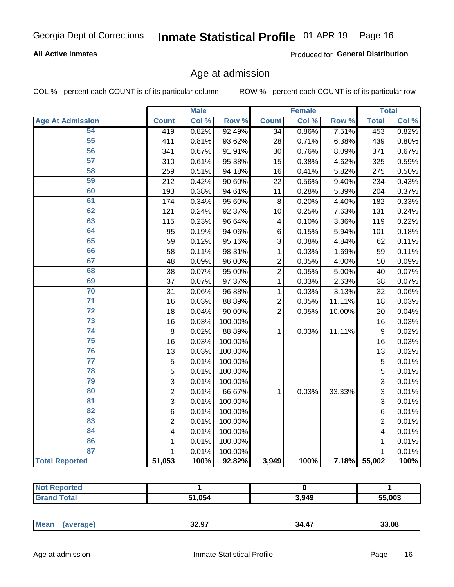#### Inmate Statistical Profile 01-APR-19 Page 16

## **All Active Inmates**

Produced for General Distribution

# Age at admission

COL % - percent each COUNT is of its particular column

|                         |                         | <b>Male</b> |         |                | <b>Female</b> |        |                | <b>Total</b> |
|-------------------------|-------------------------|-------------|---------|----------------|---------------|--------|----------------|--------------|
| <b>Age At Admission</b> | <b>Count</b>            | Col %       | Row %   | <b>Count</b>   | Col %         | Row %  | <b>Total</b>   | Col %        |
| 54                      | 419                     | 0.82%       | 92.49%  | 34             | 0.86%         | 7.51%  | 453            | 0.82%        |
| $\overline{55}$         | 411                     | 0.81%       | 93.62%  | 28             | 0.71%         | 6.38%  | 439            | 0.80%        |
| 56                      | 341                     | 0.67%       | 91.91%  | 30             | 0.76%         | 8.09%  | 371            | 0.67%        |
| $\overline{57}$         | 310                     | 0.61%       | 95.38%  | 15             | 0.38%         | 4.62%  | 325            | 0.59%        |
| 58                      | 259                     | 0.51%       | 94.18%  | 16             | 0.41%         | 5.82%  | 275            | 0.50%        |
| 59                      | 212                     | 0.42%       | 90.60%  | 22             | 0.56%         | 9.40%  | 234            | 0.43%        |
| 60                      | 193                     | 0.38%       | 94.61%  | 11             | 0.28%         | 5.39%  | 204            | 0.37%        |
| 61                      | 174                     | 0.34%       | 95.60%  | 8              | 0.20%         | 4.40%  | 182            | 0.33%        |
| 62                      | 121                     | 0.24%       | 92.37%  | 10             | 0.25%         | 7.63%  | 131            | 0.24%        |
| 63                      | 115                     | 0.23%       | 96.64%  | 4              | 0.10%         | 3.36%  | 119            | 0.22%        |
| 64                      | 95                      | 0.19%       | 94.06%  | $\,6$          | 0.15%         | 5.94%  | 101            | 0.18%        |
| 65                      | 59                      | 0.12%       | 95.16%  | $\overline{3}$ | 0.08%         | 4.84%  | 62             | 0.11%        |
| 66                      | 58                      | 0.11%       | 98.31%  | $\mathbf{1}$   | 0.03%         | 1.69%  | 59             | 0.11%        |
| 67                      | 48                      | 0.09%       | 96.00%  | $\overline{2}$ | 0.05%         | 4.00%  | 50             | 0.09%        |
| 68                      | 38                      | 0.07%       | 95.00%  | $\overline{c}$ | 0.05%         | 5.00%  | 40             | 0.07%        |
| 69                      | 37                      | 0.07%       | 97.37%  | 1              | 0.03%         | 2.63%  | 38             | 0.07%        |
| 70                      | 31                      | 0.06%       | 96.88%  | 1              | 0.03%         | 3.13%  | 32             | 0.06%        |
| $\overline{71}$         | 16                      | 0.03%       | 88.89%  | $\overline{2}$ | 0.05%         | 11.11% | 18             | 0.03%        |
| $\overline{72}$         | 18                      | 0.04%       | 90.00%  | $\overline{2}$ | 0.05%         | 10.00% | 20             | 0.04%        |
| $\overline{73}$         | 16                      | 0.03%       | 100.00% |                |               |        | 16             | 0.03%        |
| $\overline{74}$         | 8                       | 0.02%       | 88.89%  | $\mathbf{1}$   | $0.03\%$      | 11.11% | 9              | 0.02%        |
| 75                      | 16                      | 0.03%       | 100.00% |                |               |        | 16             | 0.03%        |
| 76                      | 13                      | 0.03%       | 100.00% |                |               |        | 13             | 0.02%        |
| $\overline{77}$         | $\overline{5}$          | 0.01%       | 100.00% |                |               |        | $\overline{5}$ | 0.01%        |
| 78                      | $\overline{5}$          | 0.01%       | 100.00% |                |               |        | $\overline{5}$ | 0.01%        |
| 79                      | $\overline{3}$          | 0.01%       | 100.00% |                |               |        | $\overline{3}$ | 0.01%        |
| 80                      | $\overline{2}$          | 0.01%       | 66.67%  | 1              | 0.03%         | 33.33% | 3              | 0.01%        |
| $\overline{81}$         | $\overline{3}$          | 0.01%       | 100.00% |                |               |        | 3              | 0.01%        |
| 82                      | 6                       | 0.01%       | 100.00% |                |               |        | 6              | 0.01%        |
| 83                      | $\overline{2}$          | 0.01%       | 100.00% |                |               |        | $\overline{2}$ | 0.01%        |
| 84                      | $\overline{\mathbf{4}}$ | 0.01%       | 100.00% |                |               |        | 4              | 0.01%        |
| 86                      | 1                       | 0.01%       | 100.00% |                |               |        | 1              | 0.01%        |
| 87                      | $\mathbf{1}$            | 0.01%       | 100.00% |                |               |        | $\mathbf{1}$   | 0.01%        |
| <b>Total Reported</b>   | 51,053                  | 100%        | 92.82%  | 3,949          | 100%          | 7.18%  | 55,002         | 100%         |

| rteo<br>NO |        |       |        |
|------------|--------|-------|--------|
|            | 51.054 | 3,949 | 55.003 |

|  | <b>Me</b> | <b>00.07</b><br>32.Y<br>___ | 34<br>A | .08 |
|--|-----------|-----------------------------|---------|-----|
|--|-----------|-----------------------------|---------|-----|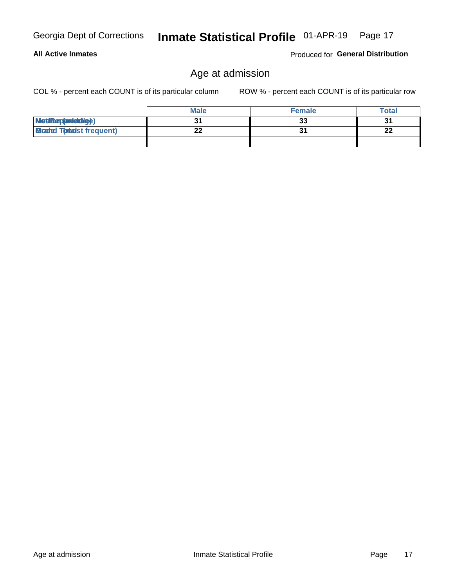**All Active Inmates** 

# Inmate Statistical Profile 01-APR-19 Page 17

# Age at admission

COL % - percent each COUNT is of its particular column

ROW % - percent each COUNT is of its particular row

Produced for General Distribution

|                                  | <b>Male</b> | <b>Female</b> | <b>Total</b> |
|----------------------------------|-------------|---------------|--------------|
| MetiRep(avieldig)                |             | 33            | 31           |
| <b>Micaded Tomadst frequent)</b> |             |               | 22           |
|                                  |             |               |              |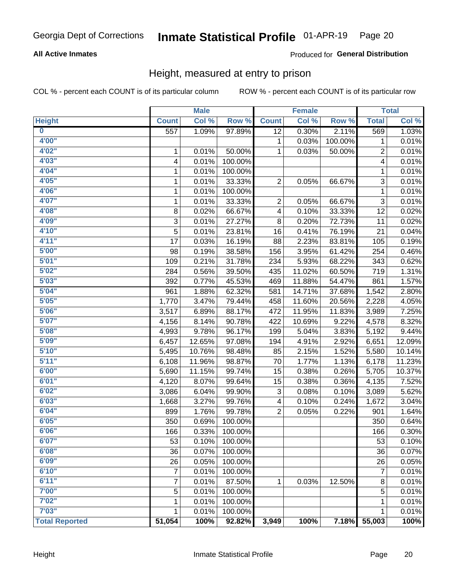#### Inmate Statistical Profile 01-APR-19 Page 20

## **All Active Inmates**

## Produced for General Distribution

# Height, measured at entry to prison

COL % - percent each COUNT is of its particular column

|                         |                  | <b>Male</b> |         |                 | <b>Female</b> |         |                           | <b>Total</b> |
|-------------------------|------------------|-------------|---------|-----------------|---------------|---------|---------------------------|--------------|
| <b>Height</b>           | <b>Count</b>     | Col %       | Row %   | <b>Count</b>    | Col %         | Row %   | <b>Total</b>              | Col %        |
| $\overline{\mathbf{0}}$ | $\overline{557}$ | 1.09%       | 97.89%  | $\overline{12}$ | 0.30%         | 2.11%   | 569                       | 1.03%        |
| 4'00"                   |                  |             |         | 1               | 0.03%         | 100.00% | 1                         | 0.01%        |
| 4'02''                  | 1                | 0.01%       | 50.00%  | 1               | 0.03%         | 50.00%  | $\overline{c}$            | 0.01%        |
| 4'03"                   | 4                | 0.01%       | 100.00% |                 |               |         | 4                         | 0.01%        |
| 4'04"                   | 1                | 0.01%       | 100.00% |                 |               |         | 1                         | 0.01%        |
| 4'05"                   | 1                | 0.01%       | 33.33%  | 2               | 0.05%         | 66.67%  | 3                         | 0.01%        |
| 4'06"                   | 1                | 0.01%       | 100.00% |                 |               |         | 1                         | 0.01%        |
| 4'07"                   | 1                | 0.01%       | 33.33%  | 2               | 0.05%         | 66.67%  | $\ensuremath{\mathsf{3}}$ | 0.01%        |
| 4'08"                   | 8                | 0.02%       | 66.67%  | 4               | 0.10%         | 33.33%  | 12                        | 0.02%        |
| 4'09"                   | $\mathsf 3$      | 0.01%       | 27.27%  | $\bf 8$         | 0.20%         | 72.73%  | 11                        | 0.02%        |
| 4'10''                  | 5                | 0.01%       | 23.81%  | 16              | 0.41%         | 76.19%  | 21                        | 0.04%        |
| 4'11''                  | 17               | 0.03%       | 16.19%  | 88              | 2.23%         | 83.81%  | 105                       | 0.19%        |
| 5'00''                  | 98               | 0.19%       | 38.58%  | 156             | 3.95%         | 61.42%  | 254                       | 0.46%        |
| 5'01"                   | 109              | 0.21%       | 31.78%  | 234             | 5.93%         | 68.22%  | 343                       | 0.62%        |
| 5'02"                   | 284              | 0.56%       | 39.50%  | 435             | 11.02%        | 60.50%  | 719                       | 1.31%        |
| 5'03''                  | 392              | 0.77%       | 45.53%  | 469             | 11.88%        | 54.47%  | 861                       | 1.57%        |
| 5'04"                   | 961              | 1.88%       | 62.32%  | 581             | 14.71%        | 37.68%  | 1,542                     | 2.80%        |
| 5'05"                   | 1,770            | 3.47%       | 79.44%  | 458             | 11.60%        | 20.56%  | 2,228                     | 4.05%        |
| 5'06''                  | 3,517            | 6.89%       | 88.17%  | 472             | 11.95%        | 11.83%  | 3,989                     | 7.25%        |
| 5'07''                  | 4,156            | 8.14%       | 90.78%  | 422             | 10.69%        | 9.22%   | 4,578                     | 8.32%        |
| 5'08''                  | 4,993            | 9.78%       | 96.17%  | 199             | 5.04%         | 3.83%   | 5,192                     | 9.44%        |
| 5'09''                  | 6,457            | 12.65%      | 97.08%  | 194             | 4.91%         | 2.92%   | 6,651                     | 12.09%       |
| 5'10''                  | 5,495            | 10.76%      | 98.48%  | 85              | 2.15%         | 1.52%   | 5,580                     | 10.14%       |
| 5'11"                   | 6,108            | 11.96%      | 98.87%  | 70              | 1.77%         | 1.13%   | 6,178                     | 11.23%       |
| 6'00''                  | 5,690            | 11.15%      | 99.74%  | 15              | 0.38%         | 0.26%   | 5,705                     | 10.37%       |
| 6'01''                  | 4,120            | 8.07%       | 99.64%  | 15              | 0.38%         | 0.36%   | 4,135                     | 7.52%        |
| 6'02"                   | 3,086            | 6.04%       | 99.90%  | 3               | 0.08%         | 0.10%   | 3,089                     | 5.62%        |
| 6'03''                  | 1,668            | 3.27%       | 99.76%  | 4               | 0.10%         | 0.24%   | 1,672                     | 3.04%        |
| 6'04"                   | 899              | 1.76%       | 99.78%  | $\overline{2}$  | 0.05%         | 0.22%   | 901                       | 1.64%        |
| 6'05"                   | 350              | 0.69%       | 100.00% |                 |               |         | 350                       | 0.64%        |
| 6'06"                   | 166              | 0.33%       | 100.00% |                 |               |         | 166                       | 0.30%        |
| 6'07"                   | 53               | 0.10%       | 100.00% |                 |               |         | 53                        | 0.10%        |
| 6'08''                  | 36               | 0.07%       | 100.00% |                 |               |         | 36                        | 0.07%        |
| 6'09''                  | 26               | 0.05%       | 100.00% |                 |               |         | 26                        | 0.05%        |
| 6'10''                  | 7                | 0.01%       | 100.00% |                 |               |         | $\overline{7}$            | 0.01%        |
| 6'11''                  | 7                | 0.01%       | 87.50%  | 1               | 0.03%         | 12.50%  | 8                         | 0.01%        |
| 7'00"                   | 5                | 0.01%       | 100.00% |                 |               |         | 5                         | 0.01%        |
| 7'02"                   | 1                | 0.01%       | 100.00% |                 |               |         | 1                         | 0.01%        |
| 7'03''                  | 1                | 0.01%       | 100.00% |                 |               |         | 1                         | 0.01%        |
| <b>Total Reported</b>   | 51,054           | 100%        | 92.82%  | 3,949           | 100%          | 7.18%   | 55,003                    | 100%         |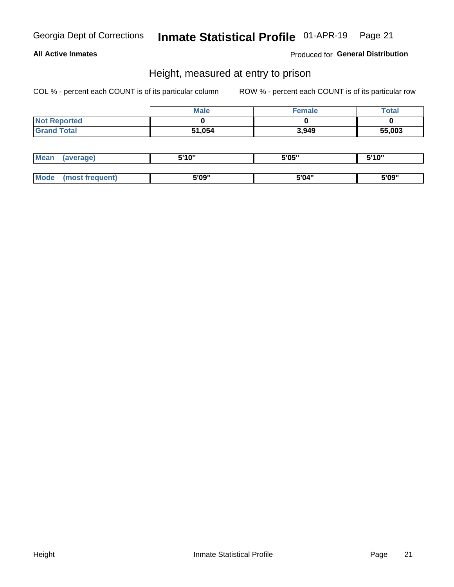# Inmate Statistical Profile 01-APR-19 Page 21

## **All Active Inmates**

Produced for General Distribution

# Height, measured at entry to prison

COL % - percent each COUNT is of its particular column

|                     | <b>Male</b> | Female | Total  |
|---------------------|-------------|--------|--------|
| <b>Not Reported</b> |             |        |        |
| <b>Grand Total</b>  | 51,054      | 3,949  | 55,003 |

| <b>Mean</b> | erage) | 5'10" | 5'05" | <b>CIA AIL</b><br>. . |
|-------------|--------|-------|-------|-----------------------|
|             |        |       |       |                       |
| <b>Mode</b> |        | 5'09" | 5'04" | 5'09"                 |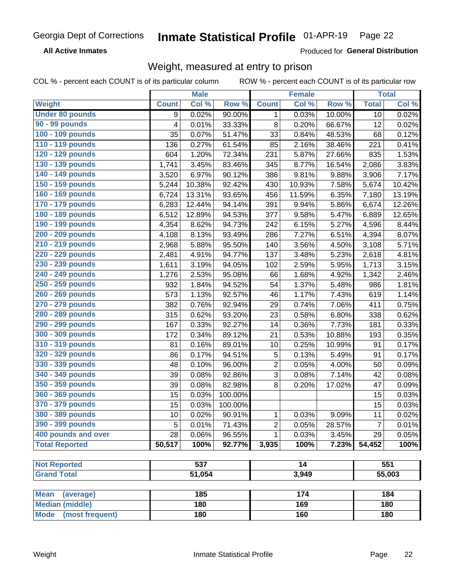#### **Inmate Statistical Profile 01-APR-19** Page 22

**All Active Inmates** 

Produced for General Distribution

# Weight, measured at entry to prison

COL % - percent each COUNT is of its particular column ROW % - percent each COUNT is of its particular row

|                                           |                | <b>Male</b> |         |                | <b>Female</b> |        |                | <b>Total</b> |
|-------------------------------------------|----------------|-------------|---------|----------------|---------------|--------|----------------|--------------|
| Weight                                    | <b>Count</b>   | Col %       | Row %   | <b>Count</b>   | Col %         | Row %  | <b>Total</b>   | Col %        |
| <b>Under 80 pounds</b>                    | 9              | 0.02%       | 90.00%  | 1              | 0.03%         | 10.00% | 10             | 0.02%        |
| <b>90 - 99 pounds</b>                     | $\overline{4}$ | 0.01%       | 33.33%  | 8              | 0.20%         | 66.67% | 12             | 0.02%        |
| 100 - 109 pounds                          | 35             | 0.07%       | 51.47%  | 33             | 0.84%         | 48.53% | 68             | 0.12%        |
| 110 - 119 pounds                          | 136            | 0.27%       | 61.54%  | 85             | 2.16%         | 38.46% | 221            | 0.41%        |
| 120 - 129 pounds                          | 604            | 1.20%       | 72.34%  | 231            | 5.87%         | 27.66% | 835            | 1.53%        |
| 130 - 139 pounds                          | 1,741          | 3.45%       | 83.46%  | 345            | 8.77%         | 16.54% | 2,086          | 3.83%        |
| 140 - 149 pounds                          | 3,520          | 6.97%       | 90.12%  | 386            | 9.81%         | 9.88%  | 3,906          | 7.17%        |
| 150 - 159 pounds                          | 5,244          | 10.38%      | 92.42%  | 430            | 10.93%        | 7.58%  | 5,674          | 10.42%       |
| 160 - 169 pounds                          | 6,724          | 13.31%      | 93.65%  | 456            | 11.59%        | 6.35%  | 7,180          | 13.19%       |
| 170 - 179 pounds                          | 6,283          | 12.44%      | 94.14%  | 391            | 9.94%         | 5.86%  | 6,674          | 12.26%       |
| 180 - 189 pounds                          | 6,512          | 12.89%      | 94.53%  | 377            | 9.58%         | 5.47%  | 6,889          | 12.65%       |
| 190 - 199 pounds                          | 4,354          | 8.62%       | 94.73%  | 242            | 6.15%         | 5.27%  | 4,596          | 8.44%        |
| 200 - 209 pounds                          | 4,108          | 8.13%       | 93.49%  | 286            | 7.27%         | 6.51%  | 4,394          | 8.07%        |
| 210 - 219 pounds                          | 2,968          | 5.88%       | 95.50%  | 140            | 3.56%         | 4.50%  | 3,108          | 5.71%        |
| 220 - 229 pounds                          | 2,481          | 4.91%       | 94.77%  | 137            | 3.48%         | 5.23%  | 2,618          | 4.81%        |
| 230 - 239 pounds                          | 1,611          | 3.19%       | 94.05%  | 102            | 2.59%         | 5.95%  | 1,713          | 3.15%        |
| 240 - 249 pounds                          | 1,276          | 2.53%       | 95.08%  | 66             | 1.68%         | 4.92%  | 1,342          | 2.46%        |
| 250 - 259 pounds                          | 932            | 1.84%       | 94.52%  | 54             | 1.37%         | 5.48%  | 986            | 1.81%        |
| 260 - 269 pounds                          | 573            | 1.13%       | 92.57%  | 46             | 1.17%         | 7.43%  | 619            | 1.14%        |
| 270 - 279 pounds                          | 382            | 0.76%       | 92.94%  | 29             | 0.74%         | 7.06%  | 411            | 0.75%        |
| 280 - 289 pounds                          | 315            | 0.62%       | 93.20%  | 23             | 0.58%         | 6.80%  | 338            | 0.62%        |
| 290 - 299 pounds                          | 167            | 0.33%       | 92.27%  | 14             | 0.36%         | 7.73%  | 181            | 0.33%        |
| 300 - 309 pounds                          | 172            | 0.34%       | 89.12%  | 21             | 0.53%         | 10.88% | 193            | 0.35%        |
| 310 - 319 pounds                          | 81             | 0.16%       | 89.01%  | 10             | 0.25%         | 10.99% | 91             | 0.17%        |
| 320 - 329 pounds                          | 86             | 0.17%       | 94.51%  | 5              | 0.13%         | 5.49%  | 91             | 0.17%        |
| 330 - 339 pounds                          | 48             | 0.10%       | 96.00%  | $\overline{2}$ | 0.05%         | 4.00%  | 50             | 0.09%        |
| 340 - 349 pounds                          | 39             | 0.08%       | 92.86%  | 3              | 0.08%         | 7.14%  | 42             | 0.08%        |
| 350 - 359 pounds                          | 39             | 0.08%       | 82.98%  | 8              | 0.20%         | 17.02% | 47             | 0.09%        |
| 360 - 369 pounds                          | 15             | 0.03%       | 100.00% |                |               |        | 15             | 0.03%        |
| 370 - 379 pounds                          | 15             | 0.03%       | 100.00% |                |               |        | 15             | 0.03%        |
| 380 - 389 pounds                          | 10             | 0.02%       | 90.91%  | 1              | 0.03%         | 9.09%  | 11             | 0.02%        |
| 390 - 399 pounds                          | 5              | 0.01%       | 71.43%  | $\mathbf 2$    | 0.05%         | 28.57% | $\overline{7}$ | 0.01%        |
| 400 pounds and over                       | 28             | 0.06%       | 96.55%  | 1              | 0.03%         | 3.45%  | 29             | 0.05%        |
| <b>Total Reported</b>                     | 50,517         | 100%        | 92.77%  | 3,935          | 100%          | 7.23%  | 54,452         | 100%         |
|                                           |                | 537         |         |                |               |        |                |              |
| <b>Not Reported</b><br><b>Grand Total</b> |                | 51,054      |         |                | 14            |        |                | 551          |
|                                           |                |             |         |                | 3,949         |        |                | 55,003       |
| <b>Mean</b><br>(average)                  |                | 185         |         |                | 174           |        |                | 184          |
| <b>Median (middle)</b>                    |                | 180         |         |                | 169           |        |                | 180          |
| <b>Mode</b><br>(most frequent)            |                | 180         |         |                | 160           |        |                | 180          |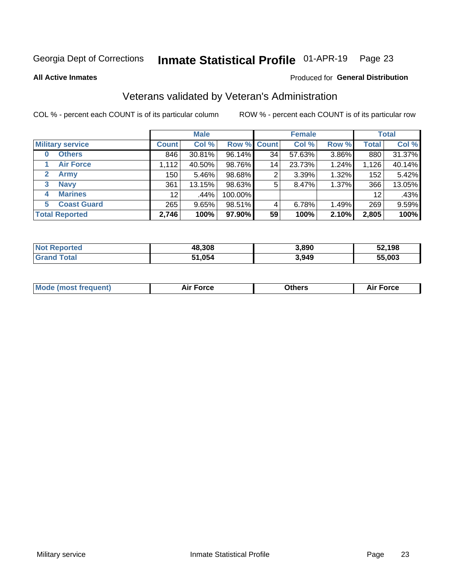#### Inmate Statistical Profile 01-APR-19 Page 23

**All Active Inmates** 

### Produced for General Distribution

# Veterans validated by Veteran's Administration

COL % - percent each COUNT is of its particular column

|                             |                 | <b>Male</b> |                    |    | <b>Female</b> |       |              | <b>Total</b> |
|-----------------------------|-----------------|-------------|--------------------|----|---------------|-------|--------------|--------------|
| <b>Military service</b>     | <b>Count</b>    | Col %       | <b>Row % Count</b> |    | Col %         | Row % | <b>Total</b> | Col %        |
| <b>Others</b><br>0          | 846             | 30.81%      | 96.14%             | 34 | 57.63%        | 3.86% | 880          | 31.37%       |
| <b>Air Force</b>            | 1,112           | 40.50%      | 98.76%             | 14 | 23.73%        | 1.24% | 1,126        | 40.14%       |
| <b>Army</b><br>$\mathbf{2}$ | 150             | 5.46%       | 98.68%             | 2  | 3.39%         | 1.32% | 152          | 5.42%        |
| <b>Navy</b><br>3            | 361             | 13.15%      | 98.63%             | 5  | 8.47%         | 1.37% | 366          | 13.05%       |
| <b>Marines</b><br>4         | 12 <sup>2</sup> | .44%        | 100.00%            |    |               |       | 12           | .43%         |
| <b>Coast Guard</b><br>5.    | 265             | 9.65%       | 98.51%             | 4  | 6.78%         | 1.49% | 269          | 9.59%        |
| <b>Total Reported</b>       | 2,746           | 100%        | 97.90%             | 59 | 100%          | 2.10% | 2,805        | 100%         |

| <b>ported</b><br><b>Not</b> | 48,308 | 3,890 | 52,198 |
|-----------------------------|--------|-------|--------|
| <b>otal</b>                 | ,054   | 3,949 | 55,003 |

|  |  | <b>Mode (most frequent)</b> | <b>Force</b><br>Aır | วthers | orce |
|--|--|-----------------------------|---------------------|--------|------|
|--|--|-----------------------------|---------------------|--------|------|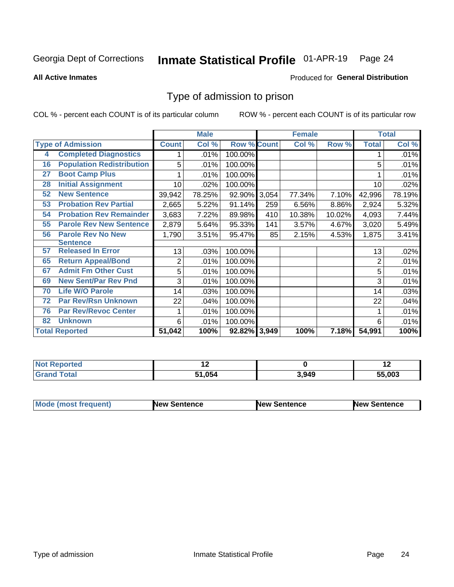#### Inmate Statistical Profile 01-APR-19 Page 24

**All Active Inmates** 

### Produced for General Distribution

# Type of admission to prison

COL % - percent each COUNT is of its particular column

|    |                                  |                 | <b>Male</b> |                    |     | <b>Female</b> |        |              | <b>Total</b> |
|----|----------------------------------|-----------------|-------------|--------------------|-----|---------------|--------|--------------|--------------|
|    | <b>Type of Admission</b>         | <b>Count</b>    | Col %       | <b>Row % Count</b> |     | Col %         | Row %  | <b>Total</b> | Col %        |
| 4  | <b>Completed Diagnostics</b>     | 1               | .01%        | 100.00%            |     |               |        |              | .01%         |
| 16 | <b>Population Redistribution</b> | 5               | .01%        | 100.00%            |     |               |        | 5            | .01%         |
| 27 | <b>Boot Camp Plus</b>            |                 | .01%        | 100.00%            |     |               |        |              | .01%         |
| 28 | <b>Initial Assignment</b>        | 10 <sup>1</sup> | .02%        | 100.00%            |     |               |        | 10           | .02%         |
| 52 | <b>New Sentence</b>              | 39,942          | 78.25%      | 92.90% 3,054       |     | 77.34%        | 7.10%  | 42,996       | 78.19%       |
| 53 | <b>Probation Rev Partial</b>     | 2,665           | 5.22%       | 91.14%             | 259 | 6.56%         | 8.86%  | 2,924        | 5.32%        |
| 54 | <b>Probation Rev Remainder</b>   | 3,683           | 7.22%       | 89.98%             | 410 | 10.38%        | 10.02% | 4,093        | 7.44%        |
| 55 | <b>Parole Rev New Sentence</b>   | 2,879           | 5.64%       | 95.33%             | 141 | 3.57%         | 4.67%  | 3,020        | 5.49%        |
| 56 | <b>Parole Rev No New</b>         | 1,790           | 3.51%       | 95.47%             | 85  | 2.15%         | 4.53%  | 1,875        | 3.41%        |
|    | <b>Sentence</b>                  |                 |             |                    |     |               |        |              |              |
| 57 | <b>Released In Error</b>         | 13              | .03%        | 100.00%            |     |               |        | 13           | .02%         |
| 65 | <b>Return Appeal/Bond</b>        | 2               | .01%        | 100.00%            |     |               |        | 2            | .01%         |
| 67 | <b>Admit Fm Other Cust</b>       | 5               | .01%        | 100.00%            |     |               |        | 5            | .01%         |
| 69 | <b>New Sent/Par Rev Pnd</b>      | 3               | .01%        | 100.00%            |     |               |        | 3            | .01%         |
| 70 | <b>Life W/O Parole</b>           | 14              | .03%        | 100.00%            |     |               |        | 14           | .03%         |
| 72 | <b>Par Rev/Rsn Unknown</b>       | 22              | .04%        | 100.00%            |     |               |        | 22           | .04%         |
| 76 | <b>Par Rev/Revoc Center</b>      | 1               | .01%        | 100.00%            |     |               |        |              | .01%         |
| 82 | <b>Unknown</b>                   | 6               | .01%        | 100.00%            |     |               |        | 6            | .01%         |
|    | <b>Total Reported</b>            | 51,042          | 100%        | 92.82% 3,949       |     | 100%          | 7.18%  | 54,991       | 100%         |

| <b>Not</b><br><b>Reported</b> |        |       | . .    |
|-------------------------------|--------|-------|--------|
| $\mathsf{Total}$<br>Grar      | 51.054 | 3.949 | 55.003 |

| <b>Mode (most frequent)</b> | New Sentence | <b>New Sentence</b> | <b>New Sentence</b> |
|-----------------------------|--------------|---------------------|---------------------|
|                             |              |                     |                     |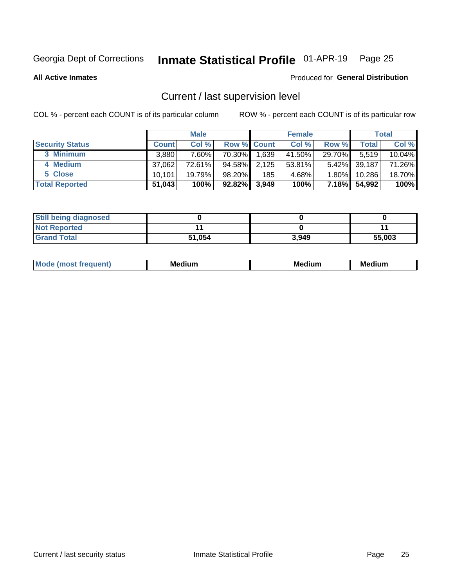# Inmate Statistical Profile 01-APR-19 Page 25

**All Active Inmates** 

### Produced for General Distribution

# Current / last supervision level

COL % - percent each COUNT is of its particular column

|                        |              | <b>Male</b> |                    |       | <b>Female</b> |          |        | <b>Total</b> |
|------------------------|--------------|-------------|--------------------|-------|---------------|----------|--------|--------------|
| <b>Security Status</b> | <b>Count</b> | Col %       | <b>Row % Count</b> |       | Col %         | Row %    | Total  | Col %        |
| 3 Minimum              | 3,880        | $7.60\%$    | 70.30%             | 1,639 | 41.50%        | 29.70%   | 5,519  | $10.04\%$    |
| 4 Medium               | 37,062       | 72.61%      | 94.58%             | 2,125 | $53.81\%$     | $5.42\%$ | 39,187 | 71.26%       |
| 5 Close                | 10.101       | $19.79\%$   | 98.20%             | 185   | 4.68%         | $1.80\%$ | 10,286 | 18.70%       |
| <b>Total Reported</b>  | 51,043       | 100%        | 92.82%             | 3,949 | 100%          | $7.18\%$ | 54,992 | 100%         |

| <b>Still being diagnosed</b> |        |       |        |
|------------------------------|--------|-------|--------|
| <b>Not Reported</b>          |        |       |        |
| <b>Grand Total</b>           | 51,054 | 3.949 | 55,003 |

| M | м | M | - - - -<br>м |
|---|---|---|--------------|
|   |   |   |              |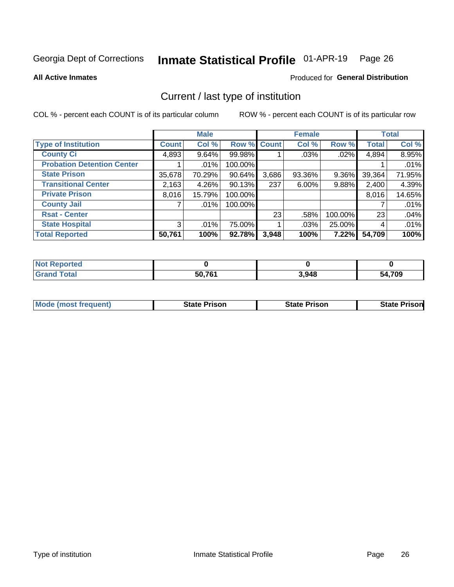#### Inmate Statistical Profile 01-APR-19 Page 26

**All Active Inmates** 

### Produced for General Distribution

# Current / last type of institution

COL % - percent each COUNT is of its particular column

|                                   |              | <b>Male</b> |             |       | <b>Female</b> |         |              | <b>Total</b> |
|-----------------------------------|--------------|-------------|-------------|-------|---------------|---------|--------------|--------------|
| <b>Type of Institution</b>        | <b>Count</b> | Col %       | Row % Count |       | Col %         | Row %   | <b>Total</b> | Col %        |
| <b>County Ci</b>                  | 4,893        | $9.64\%$    | 99.98%      |       | .03%          | .02%    | 4,894        | 8.95%        |
| <b>Probation Detention Center</b> |              | .01%        | 100.00%     |       |               |         |              | .01%         |
| <b>State Prison</b>               | 35,678       | 70.29%      | 90.64%      | 3,686 | 93.36%        | 9.36%   | 39,364       | 71.95%       |
| <b>Transitional Center</b>        | 2,163        | 4.26%       | 90.13%      | 237   | $6.00\%$      | 9.88%   | 2,400        | 4.39%        |
| <b>Private Prison</b>             | 8,016        | 15.79%      | 100.00%     |       |               |         | 8,016        | 14.65%       |
| <b>County Jail</b>                |              | .01%        | 100.00%     |       |               |         |              | .01%         |
| <b>Rsat - Center</b>              |              |             |             | 23    | .58%          | 100.00% | 23           | .04%         |
| <b>State Hospital</b>             | 3            | .01%        | 75.00%      |       | .03%          | 25.00%  | 4            | .01%         |
| <b>Total Reported</b>             | 50,761       | 100%        | 92.78%      | 3,948 | 100%          | 7.22%   | 54,709       | 100%         |

| oorted<br><b>NOT</b> |        |       |        |
|----------------------|--------|-------|--------|
| `otal<br><b>Gret</b> | 50,761 | 3,948 | 54,709 |

| Mode (most frequent) | <b>State Prison</b> | <b>State Prison</b> | <b>State Prisonl</b> |
|----------------------|---------------------|---------------------|----------------------|
|                      |                     |                     |                      |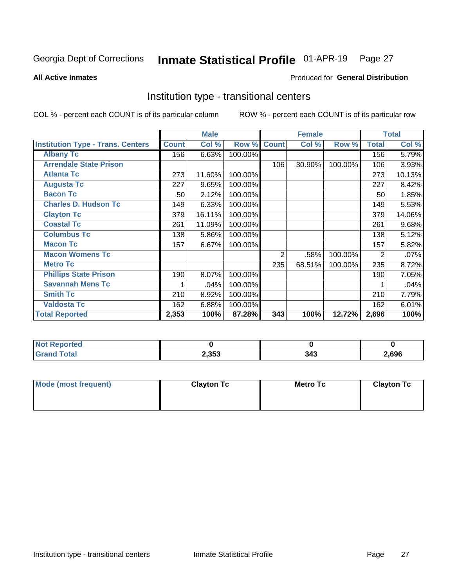#### Inmate Statistical Profile 01-APR-19 Page 27

Produced for General Distribution

#### **All Active Inmates**

# Institution type - transitional centers

COL % - percent each COUNT is of its particular column

|                                          |              | <b>Male</b> |         |                | <b>Female</b> |         |              | <b>Total</b> |
|------------------------------------------|--------------|-------------|---------|----------------|---------------|---------|--------------|--------------|
| <b>Institution Type - Trans. Centers</b> | <b>Count</b> | Col %       | Row %   | <b>Count</b>   | Col %         | Row %   | <b>Total</b> | Col %        |
| <b>Albany Tc</b>                         | 156          | 6.63%       | 100.00% |                |               |         | 156          | 5.79%        |
| <b>Arrendale State Prison</b>            |              |             |         | 106            | 30.90%        | 100.00% | 106          | 3.93%        |
| <b>Atlanta Tc</b>                        | 273          | 11.60%      | 100.00% |                |               |         | 273          | 10.13%       |
| <b>Augusta Tc</b>                        | 227          | 9.65%       | 100.00% |                |               |         | 227          | 8.42%        |
| <b>Bacon Tc</b>                          | 50           | 2.12%       | 100.00% |                |               |         | 50           | 1.85%        |
| <b>Charles D. Hudson Tc</b>              | 149          | 6.33%       | 100.00% |                |               |         | 149          | 5.53%        |
| <b>Clayton Tc</b>                        | 379          | 16.11%      | 100.00% |                |               |         | 379          | 14.06%       |
| <b>Coastal Tc</b>                        | 261          | 11.09%      | 100.00% |                |               |         | 261          | 9.68%        |
| <b>Columbus Tc</b>                       | 138          | 5.86%       | 100.00% |                |               |         | 138          | 5.12%        |
| <b>Macon Tc</b>                          | 157          | 6.67%       | 100.00% |                |               |         | 157          | 5.82%        |
| <b>Macon Womens Tc</b>                   |              |             |         | $\overline{2}$ | .58%          | 100.00% | 2            | .07%         |
| <b>Metro Tc</b>                          |              |             |         | 235            | 68.51%        | 100.00% | 235          | 8.72%        |
| <b>Phillips State Prison</b>             | 190          | 8.07%       | 100.00% |                |               |         | 190          | 7.05%        |
| <b>Savannah Mens Tc</b>                  | 1            | .04%        | 100.00% |                |               |         |              | .04%         |
| <b>Smith Tc</b>                          | 210          | 8.92%       | 100.00% |                |               |         | 210          | 7.79%        |
| <b>Valdosta Tc</b>                       | 162          | 6.88%       | 100.00% |                |               |         | 162          | 6.01%        |
| <b>Total Reported</b>                    | 2,353        | 100%        | 87.28%  | 343            | 100%          | 12.72%  | 2,696        | 100%         |

| Reported<br>NOT. |       |     |       |
|------------------|-------|-----|-------|
| <b>Total</b>     | 2,353 | J4J | 2,696 |

| Mode (most frequent) | <b>Clayton Tc</b> | Metro Tc | <b>Clayton Tc</b> |
|----------------------|-------------------|----------|-------------------|
|                      |                   |          |                   |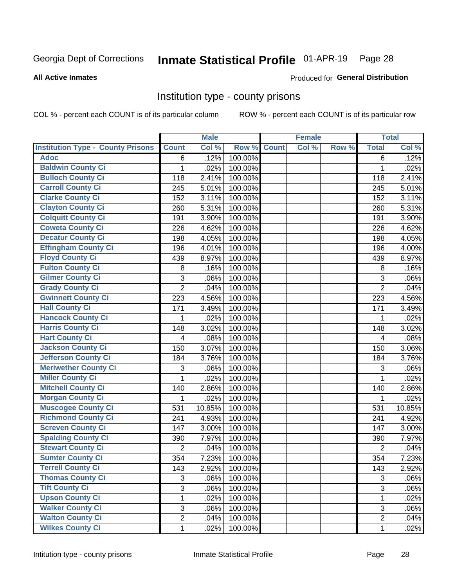# Inmate Statistical Profile 01-APR-19 Page 28

#### **All Active Inmates**

### Produced for General Distribution

## Institution type - county prisons

COL % - percent each COUNT is of its particular column

|                                          |                | <b>Male</b> |         |              | <b>Female</b> |       |                | <b>Total</b> |
|------------------------------------------|----------------|-------------|---------|--------------|---------------|-------|----------------|--------------|
| <b>Institution Type - County Prisons</b> | <b>Count</b>   | Col %       | Row %   | <b>Count</b> | Col %         | Row % | <b>Total</b>   | Col %        |
| <b>Adoc</b>                              | 6              | .12%        | 100.00% |              |               |       | 6              | .12%         |
| <b>Baldwin County Ci</b>                 | 1              | .02%        | 100.00% |              |               |       | 1              | .02%         |
| <b>Bulloch County Ci</b>                 | 118            | 2.41%       | 100.00% |              |               |       | 118            | 2.41%        |
| <b>Carroll County Ci</b>                 | 245            | 5.01%       | 100.00% |              |               |       | 245            | 5.01%        |
| <b>Clarke County Ci</b>                  | 152            | 3.11%       | 100.00% |              |               |       | 152            | 3.11%        |
| <b>Clayton County Ci</b>                 | 260            | 5.31%       | 100.00% |              |               |       | 260            | 5.31%        |
| <b>Colquitt County Ci</b>                | 191            | 3.90%       | 100.00% |              |               |       | 191            | 3.90%        |
| <b>Coweta County Ci</b>                  | 226            | 4.62%       | 100.00% |              |               |       | 226            | 4.62%        |
| <b>Decatur County Ci</b>                 | 198            | 4.05%       | 100.00% |              |               |       | 198            | 4.05%        |
| <b>Effingham County Ci</b>               | 196            | 4.01%       | 100.00% |              |               |       | 196            | 4.00%        |
| <b>Floyd County Ci</b>                   | 439            | 8.97%       | 100.00% |              |               |       | 439            | 8.97%        |
| <b>Fulton County Ci</b>                  | 8              | .16%        | 100.00% |              |               |       | $\,8\,$        | .16%         |
| <b>Gilmer County Ci</b>                  | 3              | .06%        | 100.00% |              |               |       | 3              | .06%         |
| <b>Grady County Ci</b>                   | $\overline{2}$ | .04%        | 100.00% |              |               |       | $\overline{2}$ | .04%         |
| <b>Gwinnett County Ci</b>                | 223            | 4.56%       | 100.00% |              |               |       | 223            | 4.56%        |
| <b>Hall County Ci</b>                    | 171            | 3.49%       | 100.00% |              |               |       | 171            | 3.49%        |
| <b>Hancock County Ci</b>                 | 1              | .02%        | 100.00% |              |               |       | 1              | .02%         |
| <b>Harris County Ci</b>                  | 148            | 3.02%       | 100.00% |              |               |       | 148            | 3.02%        |
| <b>Hart County Ci</b>                    | 4              | .08%        | 100.00% |              |               |       | 4              | .08%         |
| <b>Jackson County Ci</b>                 | 150            | 3.07%       | 100.00% |              |               |       | 150            | 3.06%        |
| <b>Jefferson County Ci</b>               | 184            | 3.76%       | 100.00% |              |               |       | 184            | 3.76%        |
| <b>Meriwether County Ci</b>              | 3              | .06%        | 100.00% |              |               |       | 3              | .06%         |
| <b>Miller County Ci</b>                  | 1              | .02%        | 100.00% |              |               |       | 1              | .02%         |
| <b>Mitchell County Ci</b>                | 140            | 2.86%       | 100.00% |              |               |       | 140            | 2.86%        |
| <b>Morgan County Ci</b>                  | 1              | .02%        | 100.00% |              |               |       | 1              | .02%         |
| <b>Muscogee County Ci</b>                | 531            | 10.85%      | 100.00% |              |               |       | 531            | 10.85%       |
| <b>Richmond County Ci</b>                | 241            | 4.93%       | 100.00% |              |               |       | 241            | 4.92%        |
| <b>Screven County Ci</b>                 | 147            | 3.00%       | 100.00% |              |               |       | 147            | 3.00%        |
| <b>Spalding County Ci</b>                | 390            | 7.97%       | 100.00% |              |               |       | 390            | 7.97%        |
| <b>Stewart County Ci</b>                 | $\overline{2}$ | .04%        | 100.00% |              |               |       | $\overline{2}$ | .04%         |
| <b>Sumter County Ci</b>                  | 354            | 7.23%       | 100.00% |              |               |       | 354            | 7.23%        |
| <b>Terrell County Ci</b>                 | 143            | 2.92%       | 100.00% |              |               |       | 143            | 2.92%        |
| <b>Thomas County Ci</b>                  | 3              | .06%        | 100.00% |              |               |       | 3              | .06%         |
| <b>Tift County Ci</b>                    | 3              | .06%        | 100.00% |              |               |       | 3              | .06%         |
| <b>Upson County Ci</b>                   | 1              | .02%        | 100.00% |              |               |       | 1              | .02%         |
| <b>Walker County Ci</b>                  | 3              | .06%        | 100.00% |              |               |       | 3              | .06%         |
| <b>Walton County Ci</b>                  | $\overline{2}$ | .04%        | 100.00% |              |               |       | $\overline{2}$ | .04%         |
| <b>Wilkes County Ci</b>                  | $\mathbf{1}$   | .02%        | 100.00% |              |               |       | $\mathbf{1}$   | .02%         |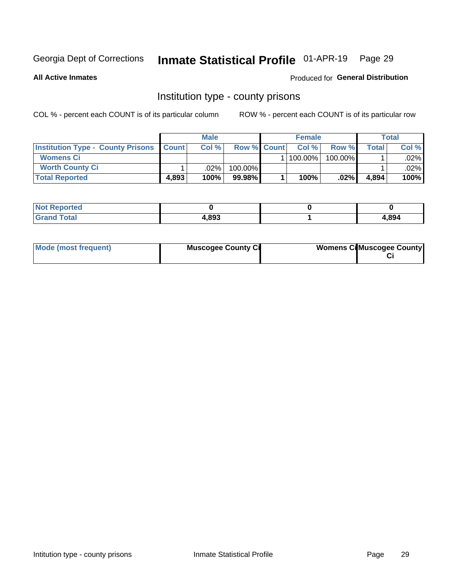# Inmate Statistical Profile 01-APR-19 Page 29

**All Active Inmates** 

Produced for General Distribution

## Institution type - county prisons

COL % - percent each COUNT is of its particular column

|                                                |       | <b>Male</b> |                    | <b>Female</b> |         |       | <b>Total</b> |
|------------------------------------------------|-------|-------------|--------------------|---------------|---------|-------|--------------|
| <b>Institution Type - County Prisons Count</b> |       | Col %       | <b>Row % Count</b> | Col%          | Row %   | Total | Col %        |
| <b>Womens Ci</b>                               |       |             |                    | $ 100.00\% $  | 100.00% |       | $.02\%$      |
| <b>Worth County Ci</b>                         |       | $.02\%$     | 100.00%            |               |         |       | .02% l       |
| <b>Total Reported</b>                          | 4,893 | 100%        | $99.98\%$          | 100%          | $.02\%$ | 4,894 | 100%         |

| <b>Not Reported</b> |       |       |
|---------------------|-------|-------|
| <b>Grand Total</b>  | 4,893 | 4,894 |

| Mode (most frequent) | <b>Muscogee County Ci</b> | <b>Womens Ci</b> Muscogee County |
|----------------------|---------------------------|----------------------------------|
|----------------------|---------------------------|----------------------------------|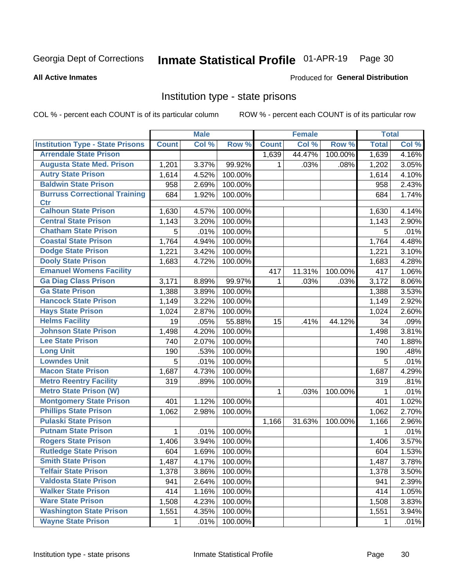#### Inmate Statistical Profile 01-APR-19 Page 30

#### **All Active Inmates**

### Produced for General Distribution

## Institution type - state prisons

COL % - percent each COUNT is of its particular column

|                                         |              | <b>Male</b> |         |              | <b>Female</b> |         | <b>Total</b> |       |
|-----------------------------------------|--------------|-------------|---------|--------------|---------------|---------|--------------|-------|
| <b>Institution Type - State Prisons</b> | <b>Count</b> | Col %       | Row %   | <b>Count</b> | Col %         | Row %   | <b>Total</b> | Col % |
| <b>Arrendale State Prison</b>           |              |             |         | 1,639        | 44.47%        | 100.00% | 1,639        | 4.16% |
| <b>Augusta State Med. Prison</b>        | 1,201        | 3.37%       | 99.92%  | 1.           | .03%          | .08%    | 1,202        | 3.05% |
| <b>Autry State Prison</b>               | 1,614        | 4.52%       | 100.00% |              |               |         | 1,614        | 4.10% |
| <b>Baldwin State Prison</b>             | 958          | 2.69%       | 100.00% |              |               |         | 958          | 2.43% |
| <b>Burruss Correctional Training</b>    | 684          | 1.92%       | 100.00% |              |               |         | 684          | 1.74% |
| <b>Ctr</b>                              |              |             |         |              |               |         |              |       |
| <b>Calhoun State Prison</b>             | 1,630        | 4.57%       | 100.00% |              |               |         | 1,630        | 4.14% |
| <b>Central State Prison</b>             | 1,143        | 3.20%       | 100.00% |              |               |         | 1,143        | 2.90% |
| <b>Chatham State Prison</b>             | 5            | .01%        | 100.00% |              |               |         | 5            | .01%  |
| <b>Coastal State Prison</b>             | 1,764        | 4.94%       | 100.00% |              |               |         | 1,764        | 4.48% |
| <b>Dodge State Prison</b>               | 1,221        | 3.42%       | 100.00% |              |               |         | 1,221        | 3.10% |
| <b>Dooly State Prison</b>               | 1,683        | 4.72%       | 100.00% |              |               |         | 1,683        | 4.28% |
| <b>Emanuel Womens Facility</b>          |              |             |         | 417          | 11.31%        | 100.00% | 417          | 1.06% |
| <b>Ga Diag Class Prison</b>             | 3,171        | 8.89%       | 99.97%  | $\mathbf 1$  | .03%          | .03%    | 3,172        | 8.06% |
| <b>Ga State Prison</b>                  | 1,388        | 3.89%       | 100.00% |              |               |         | 1,388        | 3.53% |
| <b>Hancock State Prison</b>             | 1,149        | 3.22%       | 100.00% |              |               |         | 1,149        | 2.92% |
| <b>Hays State Prison</b>                | 1,024        | 2.87%       | 100.00% |              |               |         | 1,024        | 2.60% |
| <b>Helms Facility</b>                   | 19           | .05%        | 55.88%  | 15           | .41%          | 44.12%  | 34           | .09%  |
| <b>Johnson State Prison</b>             | 1,498        | 4.20%       | 100.00% |              |               |         | 1,498        | 3.81% |
| <b>Lee State Prison</b>                 | 740          | 2.07%       | 100.00% |              |               |         | 740          | 1.88% |
| <b>Long Unit</b>                        | 190          | .53%        | 100.00% |              |               |         | 190          | .48%  |
| <b>Lowndes Unit</b>                     | 5            | .01%        | 100.00% |              |               |         | 5            | .01%  |
| <b>Macon State Prison</b>               | 1,687        | 4.73%       | 100.00% |              |               |         | 1,687        | 4.29% |
| <b>Metro Reentry Facility</b>           | 319          | .89%        | 100.00% |              |               |         | 319          | .81%  |
| <b>Metro State Prison (W)</b>           |              |             |         | 1            | .03%          | 100.00% | 1            | .01%  |
| <b>Montgomery State Prison</b>          | 401          | 1.12%       | 100.00% |              |               |         | 401          | 1.02% |
| <b>Phillips State Prison</b>            | 1,062        | 2.98%       | 100.00% |              |               |         | 1,062        | 2.70% |
| <b>Pulaski State Prison</b>             |              |             |         | 1,166        | 31.63%        | 100.00% | 1,166        | 2.96% |
| <b>Putnam State Prison</b>              | 1            | .01%        | 100.00% |              |               |         | 1            | .01%  |
| <b>Rogers State Prison</b>              | 1,406        | 3.94%       | 100.00% |              |               |         | 1,406        | 3.57% |
| <b>Rutledge State Prison</b>            | 604          | 1.69%       | 100.00% |              |               |         | 604          | 1.53% |
| <b>Smith State Prison</b>               | 1,487        | 4.17%       | 100.00% |              |               |         | 1,487        | 3.78% |
| <b>Telfair State Prison</b>             | 1,378        | 3.86%       | 100.00% |              |               |         | 1,378        | 3.50% |
| <b>Valdosta State Prison</b>            | 941          | 2.64%       | 100.00% |              |               |         | 941          | 2.39% |
| <b>Walker State Prison</b>              | 414          | 1.16%       | 100.00% |              |               |         | 414          | 1.05% |
| <b>Ware State Prison</b>                | 1,508        | 4.23%       | 100.00% |              |               |         | 1,508        | 3.83% |
| <b>Washington State Prison</b>          | 1,551        | 4.35%       | 100.00% |              |               |         | 1,551        | 3.94% |
| <b>Wayne State Prison</b>               | 1            | .01%        | 100.00% |              |               |         | 1            | .01%  |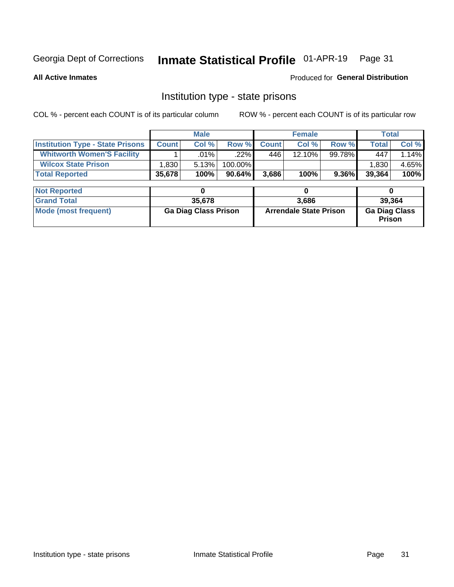# Inmate Statistical Profile 01-APR-19 Page 31

**All Active Inmates** 

Produced for General Distribution

## Institution type - state prisons

COL % - percent each COUNT is of its particular column ROW % - percent each COUNT is of its particular row

|                                         |                             | <b>Male</b> |                               | <b>Female</b> |           |                                       | <b>Total</b> |        |  |
|-----------------------------------------|-----------------------------|-------------|-------------------------------|---------------|-----------|---------------------------------------|--------------|--------|--|
| <b>Institution Type - State Prisons</b> | <b>Count</b>                | Col %       | Row %                         | <b>Count</b>  | Col %     | Row %                                 | <b>Total</b> | Col %  |  |
| <b>Whitworth Women'S Facility</b>       |                             | .01%        | .22%                          | 446           | $12.10\%$ | 99.78%                                | 447          | 1.14%  |  |
| <b>Wilcox State Prison</b>              | 1,830                       | 5.13%       | 100.00%                       |               |           |                                       | 1,830        | 4.65%  |  |
| <b>Total Reported</b>                   | 35,678                      | 100%        | 90.64%                        | 3,686         | 100%      | 9.36%                                 | 39,364       | 100%   |  |
|                                         |                             |             |                               |               |           |                                       |              |        |  |
| <b>Not Reported</b>                     |                             | 0           |                               |               | 0         |                                       | 0            |        |  |
| <b>Grand Total</b>                      |                             | 35,678      |                               |               | 3,686     |                                       |              | 39,364 |  |
| <b>Mode (most frequent)</b>             | <b>Ga Diag Class Prison</b> |             | <b>Arrendale State Prison</b> |               |           | <b>Ga Diag Class</b><br><b>Prison</b> |              |        |  |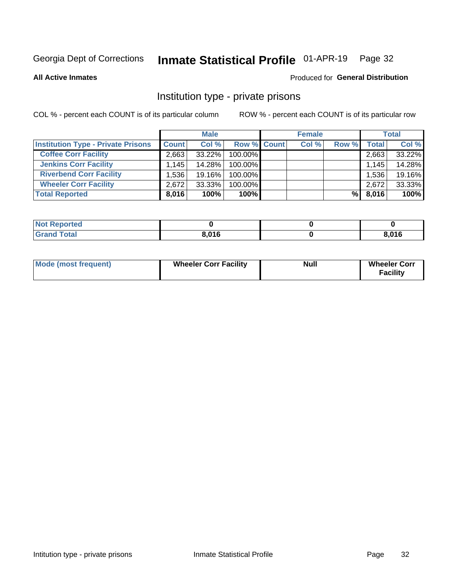# Inmate Statistical Profile 01-APR-19 Page 32

**All Active Inmates** 

### Produced for General Distribution

# Institution type - private prisons

COL % - percent each COUNT is of its particular column

|                                           |              | <b>Male</b> |                    | <b>Female</b> |       |                    | <b>Total</b> |
|-------------------------------------------|--------------|-------------|--------------------|---------------|-------|--------------------|--------------|
| <b>Institution Type - Private Prisons</b> | <b>Count</b> | Col %       | <b>Row % Count</b> | Col %         | Row % | Total <sub>1</sub> | Col %        |
| <b>Coffee Corr Facility</b>               | 2.663        | 33.22%      | 100.00%            |               |       | 2,663              | 33.22%       |
| <b>Jenkins Corr Facility</b>              | 1.145        | 14.28%      | $100.00\%$         |               |       | 1,145              | 14.28%       |
| <b>Riverbend Corr Facility</b>            | 1.536        | 19.16%      | 100.00%            |               |       | 1,536              | 19.16%       |
| <b>Wheeler Corr Facility</b>              | 2.672        | 33.33%      | 100.00%            |               |       | 2,672              | 33.33%       |
| <b>Total Reported</b>                     | 8,016        | 100%        | 100%               |               | %     | 8,016              | 100%         |

| <b>Not Reported</b> |       |       |
|---------------------|-------|-------|
| <b>Total</b>        | 8,016 | 8,016 |

| <b>Mode (most frequent)</b> | <b>Wheeler Corr Facility</b> | <b>Null</b> | <b>Wheeler Corr</b><br><b>Facility</b> |
|-----------------------------|------------------------------|-------------|----------------------------------------|
|-----------------------------|------------------------------|-------------|----------------------------------------|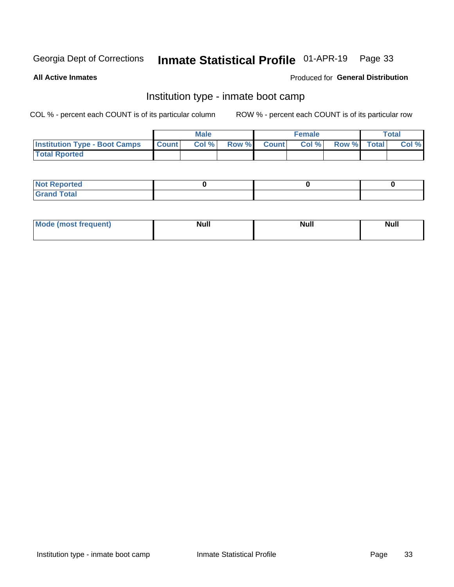# Inmate Statistical Profile 01-APR-19 Page 33

**All Active Inmates** 

### Produced for General Distribution

# Institution type - inmate boot camp

COL % - percent each COUNT is of its particular column

|                                      |                 | <b>Male</b> |              |              | <b>Female</b> |             | <b>Total</b> |
|--------------------------------------|-----------------|-------------|--------------|--------------|---------------|-------------|--------------|
| <b>Institution Type - Boot Camps</b> | <b>I</b> Count⊥ | Col %       | <b>Row %</b> | <b>Count</b> | Col %         | Row % Total | Col %        |
| <b>Total Rported</b>                 |                 |             |              |              |               |             |              |

| <b>Not Reported</b>            |  |  |
|--------------------------------|--|--|
| <b>Total</b><br>C <sub>r</sub> |  |  |

| Mod<br>uamo | Nul.<br>$- - - - - -$ | <b>Null</b> | . .<br>uu.<br>------ |
|-------------|-----------------------|-------------|----------------------|
|             |                       |             |                      |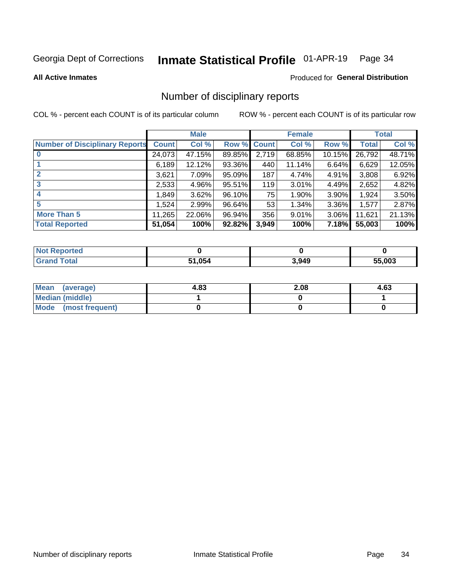#### Inmate Statistical Profile 01-APR-19 Page 34

**All Active Inmates** 

### Produced for General Distribution

# Number of disciplinary reports

COL % - percent each COUNT is of its particular column

|                                       |              | <b>Male</b> |             |       | <b>Female</b> |          |        | <b>Total</b> |
|---------------------------------------|--------------|-------------|-------------|-------|---------------|----------|--------|--------------|
| <b>Number of Disciplinary Reports</b> | <b>Count</b> | Col %       | Row % Count |       | Col %         | Row %    | Total  | Col %        |
| $\bf{0}$                              | 24,073       | 47.15%      | 89.85%      | 2,719 | 68.85%        | 10.15%   | 26,792 | 48.71%       |
|                                       | 6,189        | 12.12%      | 93.36%      | 440   | 11.14%        | 6.64%    | 6,629  | 12.05%       |
| $\mathbf{2}$                          | 3,621        | 7.09%       | 95.09%      | 187   | 4.74%         | 4.91%    | 3,808  | 6.92%        |
| 3                                     | 2,533        | 4.96%       | 95.51%      | 119   | 3.01%         | 4.49%    | 2,652  | 4.82%        |
|                                       | 1,849        | 3.62%       | 96.10%      | 75    | 1.90%         | 3.90%    | 1,924  | 3.50%        |
| 5                                     | .524         | 2.99%       | 96.64%      | 53    | 1.34%         | $3.36\%$ | 1,577  | 2.87%        |
| <b>More Than 5</b>                    | 11,265       | 22.06%      | 96.94%      | 356   | 9.01%         | $3.06\%$ | 11,621 | 21.13%       |
| <b>Total Reported</b>                 | 51,054       | 100%        | 92.82%      | 3,949 | 100%          | 7.18%    | 55,003 | 100%         |

| <b>Reported</b><br>Not <b>I</b> |        |       |        |
|---------------------------------|--------|-------|--------|
| <b>Total</b>                    | 51.054 | 3,949 | 55.003 |

| Mean (average)         | 4.83 | 2.08 | 4.63 |
|------------------------|------|------|------|
| <b>Median (middle)</b> |      |      |      |
| Mode (most frequent)   |      |      |      |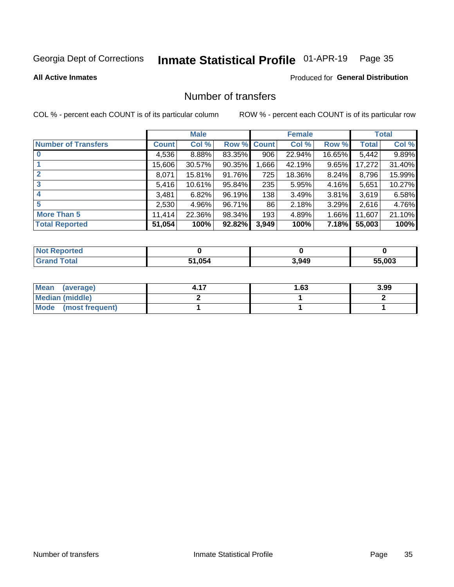# Inmate Statistical Profile 01-APR-19 Page 35

### **All Active Inmates**

## Produced for General Distribution

# Number of transfers

COL % - percent each COUNT is of its particular column

|                            |         | <b>Male</b> |        |              | <b>Female</b> |          |              | <b>Total</b> |
|----------------------------|---------|-------------|--------|--------------|---------------|----------|--------------|--------------|
| <b>Number of Transfers</b> | Count l | Col %       | Row %  | <b>Count</b> | Col %         | Row %    | <b>Total</b> | Col %        |
|                            | 4,536   | 8.88%       | 83.35% | 906          | 22.94%        | 16.65%   | 5,442        | 9.89%        |
|                            | 15,606  | 30.57%      | 90.35% | .666         | 42.19%        | 9.65%    | 17,272       | 31.40%       |
| $\mathbf{2}$               | 8,071   | 15.81%      | 91.76% | 725          | 18.36%        | $8.24\%$ | 8,796        | 15.99%       |
| 3                          | 5,416   | 10.61%      | 95.84% | 235          | 5.95%         | 4.16%    | 5,651        | 10.27%       |
| 4                          | 3,481   | 6.82%       | 96.19% | 138          | 3.49%         | $3.81\%$ | 3,619        | 6.58%        |
| 5                          | 2,530   | 4.96%       | 96.71% | 86           | 2.18%         | 3.29%    | 2,616        | 4.76%        |
| <b>More Than 5</b>         | 11,414  | 22.36%      | 98.34% | 193          | 4.89%         | $1.66\%$ | 11,607       | 21.10%       |
| <b>Total Reported</b>      | 51,054  | 100%        | 92.82% | 3,949        | 100%          | 7.18%    | 55,003       | 100%         |

| orted<br>NOT |        |       |        |
|--------------|--------|-------|--------|
| <b>Total</b> | 51.054 | 3,949 | 55.003 |

| Mean (average)       | l.63 | 3.99 |
|----------------------|------|------|
| Median (middle)      |      |      |
| Mode (most frequent) |      |      |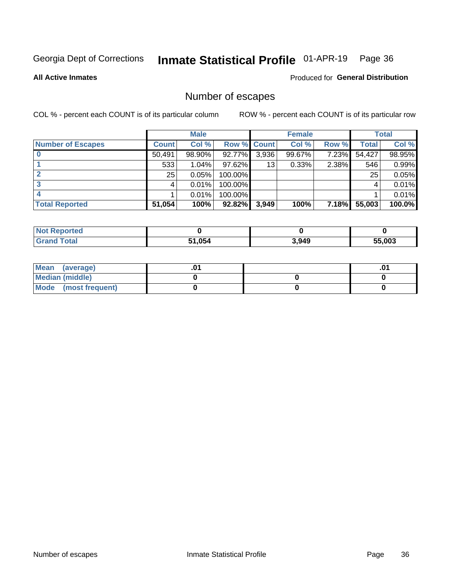# Inmate Statistical Profile 01-APR-19 Page 36

**All Active Inmates** 

**Produced for General Distribution** 

# Number of escapes

COL % - percent each COUNT is of its particular column

|                          |              | <b>Male</b> |             |       | <b>Female</b> |              |        | <b>Total</b> |
|--------------------------|--------------|-------------|-------------|-------|---------------|--------------|--------|--------------|
| <b>Number of Escapes</b> | <b>Count</b> | Col %       | Row % Count |       | Col %         | Row %        | Total  | Col %        |
|                          | 50,491       | 98.90%      | 92.77%      | 3,936 | 99.67%        | 7.23%        | 54,427 | 98.95%       |
|                          | 533          | 1.04%       | $97.62\%$   | 13    | 0.33%         | 2.38%        | 546    | 0.99%        |
|                          | 25           | 0.05%       | 100.00%     |       |               |              | 25     | 0.05%        |
|                          |              | 0.01%       | $100.00\%$  |       |               |              |        | 0.01%        |
|                          |              | 0.01%       | 100.00%     |       |               |              |        | 0.01%        |
| <b>Total Reported</b>    | 51,054       | 100%        | 92.82%      | 3,949 | 100%          | <b>7.18%</b> | 55,003 | 100.0%       |

| <b>Not Reported</b> |        |       |        |
|---------------------|--------|-------|--------|
| Total               | 51,054 | 3,949 | 55,003 |

| Mean (average)       |  | .01 |
|----------------------|--|-----|
| Median (middle)      |  |     |
| Mode (most frequent) |  |     |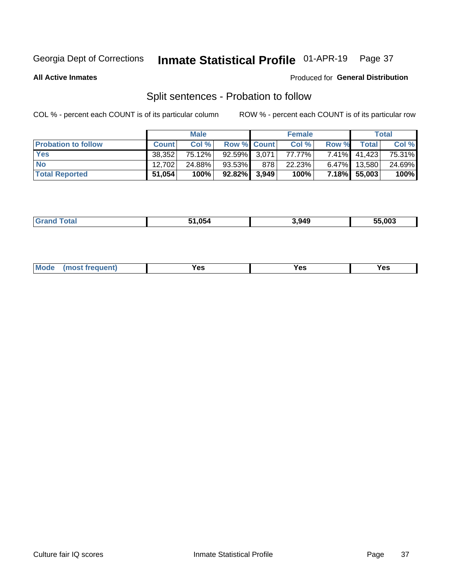#### Inmate Statistical Profile 01-APR-19 Page 37

**All Active Inmates** 

### Produced for General Distribution

# Split sentences - Probation to follow

COL % - percent each COUNT is of its particular column

|                            |              | <b>Male</b> |                    |     | <b>Female</b> |          |              | <b>Total</b> |
|----------------------------|--------------|-------------|--------------------|-----|---------------|----------|--------------|--------------|
| <b>Probation to follow</b> | <b>Count</b> | Col%        | <b>Row % Count</b> |     | Col %         | Row %    | Total        | Col %        |
| <b>Yes</b>                 | 38,352       | 75.12%      | $92.59\%$ 3.071    |     | 77.77%        | $7.41\%$ | 41,423       | 75.31%       |
| <b>No</b>                  | 12.702       | 24.88%      | $93.53\%$          | 878 | 22.23%        | $6.47\%$ | 13,580       | 24.69%       |
| <b>Total Reported</b>      | 51,054       | 100%        | $92.82\%$ 3,949    |     | 100%          |          | 7.18% 55,003 | 100%         |

| . .<br>_______ | 51.054 | 3,949 | 55.003 |
|----------------|--------|-------|--------|
|                |        |       |        |

| M<br>reauent)<br>/٥<br>$\sim$<br>v.,<br>.<br>w<br>$\cdot$ - $\cdot$ |  |  |  |  |  |
|---------------------------------------------------------------------|--|--|--|--|--|
|---------------------------------------------------------------------|--|--|--|--|--|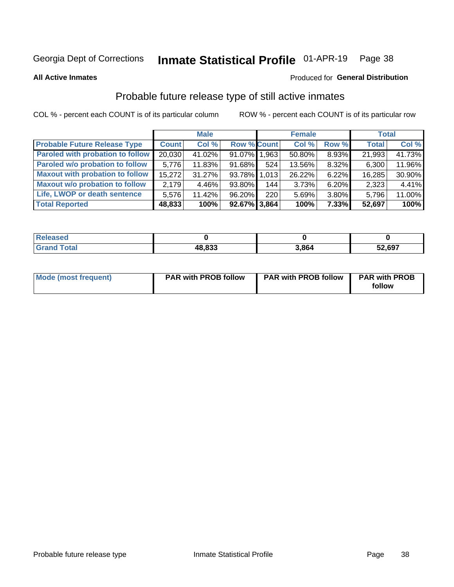#### Inmate Statistical Profile 01-APR-19 Page 38

**All Active Inmates** 

### Produced for General Distribution

# Probable future release type of still active inmates

COL % - percent each COUNT is of its particular column

|                                         |              | <b>Male</b> |                    |     | <b>Female</b> |          | <b>Total</b> |        |
|-----------------------------------------|--------------|-------------|--------------------|-----|---------------|----------|--------------|--------|
| <b>Probable Future Release Type</b>     | <b>Count</b> | Col %       | <b>Row % Count</b> |     | Col %         | Row %    | <b>Total</b> | Col %  |
| <b>Paroled with probation to follow</b> | 20,030       | 41.02%      | 91.07% 1.963       |     | 50.80%        | 8.93%    | 21,993       | 41.73% |
| Paroled w/o probation to follow         | 5,776        | 11.83%      | 91.68%             | 524 | 13.56%        | 8.32%    | 6,300        | 11.96% |
| <b>Maxout with probation to follow</b>  | 15,272       | 31.27%      | 93.78% 1,013       |     | 26.22%        | 6.22%    | 16,285       | 30.90% |
| <b>Maxout w/o probation to follow</b>   | 2,179        | 4.46%       | 93.80%             | 144 | 3.73%         | 6.20%    | 2,323        | 4.41%  |
| Life, LWOP or death sentence            | 5,576        | 11.42%      | 96.20%             | 220 | 5.69%         | 3.80%    | 5,796        | 11.00% |
| <b>Total Reported</b>                   | 48,833       | 100%        | $92.67\%$ 3,864    |     | 100%          | $7.33\%$ | 52,697       | 100%   |

| 75 GU                   |                 |      |        |
|-------------------------|-----------------|------|--------|
| $f$ $f \circ f \circ f$ | 10.022<br>,,ooo | 3864 | 52,697 |

| <b>Mode (most frequent)</b> | <b>PAR with PROB follow</b> | <b>PAR with PROB follow</b> | <b>PAR with PROB</b> |
|-----------------------------|-----------------------------|-----------------------------|----------------------|
|                             |                             |                             | follow               |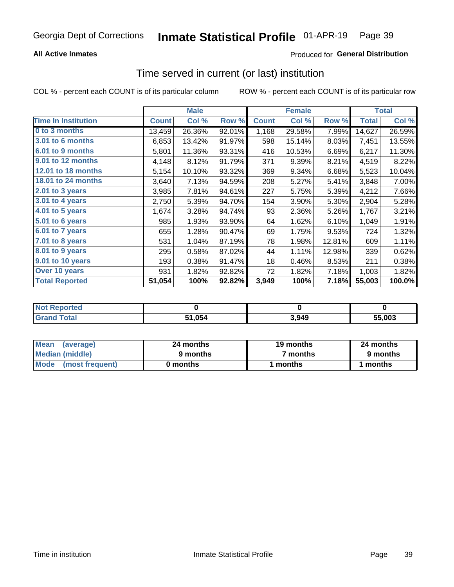### **All Active Inmates**

### Produced for General Distribution

# Time served in current (or last) institution

COL % - percent each COUNT is of its particular column

|                            |              | <b>Male</b> |        |              | <b>Female</b> |        |              | <b>Total</b> |
|----------------------------|--------------|-------------|--------|--------------|---------------|--------|--------------|--------------|
| <b>Time In Institution</b> | <b>Count</b> | Col %       | Row %  | <b>Count</b> | Col %         | Row %  | <b>Total</b> | Col %        |
| 0 to 3 months              | 13,459       | 26.36%      | 92.01% | 1,168        | 29.58%        | 7.99%  | 14,627       | 26.59%       |
| 3.01 to 6 months           | 6,853        | 13.42%      | 91.97% | 598          | 15.14%        | 8.03%  | 7,451        | 13.55%       |
| 6.01 to 9 months           | 5,801        | 11.36%      | 93.31% | 416          | 10.53%        | 6.69%  | 6,217        | 11.30%       |
| 9.01 to 12 months          | 4,148        | 8.12%       | 91.79% | 371          | 9.39%         | 8.21%  | 4,519        | 8.22%        |
| <b>12.01 to 18 months</b>  | 5,154        | 10.10%      | 93.32% | 369          | 9.34%         | 6.68%  | 5,523        | 10.04%       |
| <b>18.01 to 24 months</b>  | 3,640        | 7.13%       | 94.59% | 208          | 5.27%         | 5.41%  | 3,848        | 7.00%        |
| 2.01 to 3 years            | 3,985        | 7.81%       | 94.61% | 227          | 5.75%         | 5.39%  | 4,212        | 7.66%        |
| $3.01$ to 4 years          | 2,750        | 5.39%       | 94.70% | 154          | 3.90%         | 5.30%  | 2,904        | 5.28%        |
| 4.01 to 5 years            | 1,674        | 3.28%       | 94.74% | 93           | 2.36%         | 5.26%  | 1,767        | 3.21%        |
| 5.01 to 6 years            | 985          | 1.93%       | 93.90% | 64           | 1.62%         | 6.10%  | 1,049        | 1.91%        |
| 6.01 to 7 years            | 655          | 1.28%       | 90.47% | 69           | 1.75%         | 9.53%  | 724          | 1.32%        |
| $7.01$ to 8 years          | 531          | 1.04%       | 87.19% | 78           | 1.98%         | 12.81% | 609          | 1.11%        |
| 8.01 to 9 years            | 295          | 0.58%       | 87.02% | 44           | 1.11%         | 12.98% | 339          | 0.62%        |
| 9.01 to 10 years           | 193          | 0.38%       | 91.47% | 18           | 0.46%         | 8.53%  | 211          | 0.38%        |
| Over 10 years              | 931          | 1.82%       | 92.82% | 72           | 1.82%         | 7.18%  | 1,003        | 1.82%        |
| <b>Total Reported</b>      | 51,054       | 100%        | 92.82% | 3,949        | 100%          | 7.18%  | 55,003       | 100.0%       |

| rreo<br>INOT I |        |       |        |
|----------------|--------|-------|--------|
|                | 1.054ء | 3,949 | 55.003 |

| <b>Mean</b><br>(average) | 24 months | 19 months | 24 months |
|--------------------------|-----------|-----------|-----------|
| Median (middle)          | 9 months  | 7 months  | 9 months  |
| Mode (most frequent)     | 0 months  | months    | 1 months  |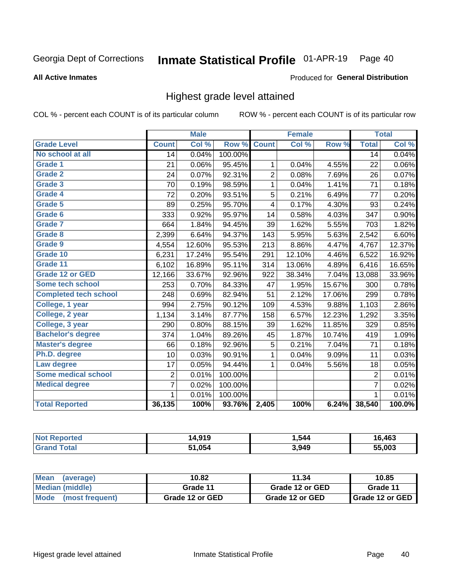#### Inmate Statistical Profile 01-APR-19 Page 40

#### **All Active Inmates**

### Produced for General Distribution

## Highest grade level attained

COL % - percent each COUNT is of its particular column

|                              |                 | <b>Male</b> |         |                | <b>Female</b> |        |                 | <b>Total</b> |
|------------------------------|-----------------|-------------|---------|----------------|---------------|--------|-----------------|--------------|
| <b>Grade Level</b>           | <b>Count</b>    | Col %       | Row %   | <b>Count</b>   | Col %         | Row %  | <b>Total</b>    | Col %        |
| No school at all             | $\overline{14}$ | 0.04%       | 100.00% |                |               |        | $\overline{14}$ | 0.04%        |
| <b>Grade 1</b>               | 21              | 0.06%       | 95.45%  | 1              | 0.04%         | 4.55%  | 22              | 0.06%        |
| <b>Grade 2</b>               | 24              | 0.07%       | 92.31%  | $\overline{c}$ | 0.08%         | 7.69%  | 26              | 0.07%        |
| Grade 3                      | 70              | 0.19%       | 98.59%  | $\mathbf{1}$   | 0.04%         | 1.41%  | 71              | 0.18%        |
| Grade 4                      | 72              | 0.20%       | 93.51%  | 5              | 0.21%         | 6.49%  | 77              | 0.20%        |
| Grade 5                      | 89              | 0.25%       | 95.70%  | 4              | 0.17%         | 4.30%  | 93              | 0.24%        |
| Grade 6                      | 333             | 0.92%       | 95.97%  | 14             | 0.58%         | 4.03%  | 347             | 0.90%        |
| <b>Grade 7</b>               | 664             | 1.84%       | 94.45%  | 39             | 1.62%         | 5.55%  | 703             | 1.82%        |
| Grade 8                      | 2,399           | 6.64%       | 94.37%  | 143            | 5.95%         | 5.63%  | 2,542           | 6.60%        |
| Grade 9                      | 4,554           | 12.60%      | 95.53%  | 213            | 8.86%         | 4.47%  | 4,767           | 12.37%       |
| Grade 10                     | 6,231           | 17.24%      | 95.54%  | 291            | 12.10%        | 4.46%  | 6,522           | 16.92%       |
| Grade 11                     | 6,102           | 16.89%      | 95.11%  | 314            | 13.06%        | 4.89%  | 6,416           | 16.65%       |
| <b>Grade 12 or GED</b>       | 12,166          | 33.67%      | 92.96%  | 922            | 38.34%        | 7.04%  | 13,088          | 33.96%       |
| <b>Some tech school</b>      | 253             | 0.70%       | 84.33%  | 47             | 1.95%         | 15.67% | 300             | 0.78%        |
| <b>Completed tech school</b> | 248             | 0.69%       | 82.94%  | 51             | 2.12%         | 17.06% | 299             | 0.78%        |
| College, 1 year              | 994             | 2.75%       | 90.12%  | 109            | 4.53%         | 9.88%  | 1,103           | 2.86%        |
| College, 2 year              | 1,134           | 3.14%       | 87.77%  | 158            | 6.57%         | 12.23% | 1,292           | 3.35%        |
| College, 3 year              | 290             | 0.80%       | 88.15%  | 39             | 1.62%         | 11.85% | 329             | 0.85%        |
| <b>Bachelor's degree</b>     | 374             | 1.04%       | 89.26%  | 45             | 1.87%         | 10.74% | 419             | 1.09%        |
| <b>Master's degree</b>       | 66              | 0.18%       | 92.96%  | 5              | 0.21%         | 7.04%  | 71              | 0.18%        |
| Ph.D. degree                 | 10              | 0.03%       | 90.91%  | 1              | 0.04%         | 9.09%  | 11              | 0.03%        |
| Law degree                   | 17              | 0.05%       | 94.44%  | 1              | 0.04%         | 5.56%  | 18              | 0.05%        |
| <b>Some medical school</b>   | $\overline{2}$  | 0.01%       | 100.00% |                |               |        | 2               | 0.01%        |
| <b>Medical degree</b>        | 7               | 0.02%       | 100.00% |                |               |        | $\overline{7}$  | 0.02%        |
|                              | 1               | 0.01%       | 100.00% |                |               |        | 1               | 0.01%        |
| <b>Total Reported</b>        | 36,135          | 100%        | 93.76%  | 2,405          | 100%          | 6.24%  | 38,540          | 100.0%       |

| 4,919<br>ıл | .544  | 16,463 |
|-------------|-------|--------|
| 51.054      | 3,949 | 55.003 |

| Mean<br>(average)    | 10.82           | 11.34           | 10.85           |
|----------------------|-----------------|-----------------|-----------------|
| Median (middle)      | Grade 11        | Grade 12 or GED | Grade 11        |
| Mode (most frequent) | Grade 12 or GED | Grade 12 or GED | Grade 12 or GED |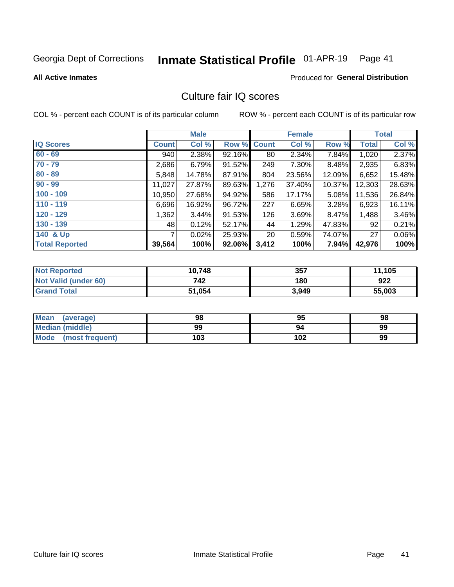#### Inmate Statistical Profile 01-APR-19 Page 41

#### **All Active Inmates**

### **Produced for General Distribution**

## Culture fair IQ scores

COL % - percent each COUNT is of its particular column

|                       |              | <b>Male</b> |             |                 | <b>Female</b> |          |                 | <b>Total</b> |
|-----------------------|--------------|-------------|-------------|-----------------|---------------|----------|-----------------|--------------|
| <b>IQ Scores</b>      | <b>Count</b> | Col %       | Row % Count |                 | Col %         | Row %    | <b>Total</b>    | Col %        |
| $60 - 69$             | 940          | 2.38%       | 92.16%      | 80              | 2.34%         | 7.84%    | 1,020           | 2.37%        |
| $70 - 79$             | 2,686        | 6.79%       | 91.52%      | 249             | 7.30%         | 8.48%    | 2,935           | 6.83%        |
| $80 - 89$             | 5,848        | 14.78%      | 87.91%      | 804             | 23.56%        | 12.09%   | 6,652           | 15.48%       |
| $90 - 99$             | 11,027       | 27.87%      | 89.63%      | 1,276           | 37.40%        | 10.37%   | 12,303          | 28.63%       |
| $100 - 109$           | 10,950       | 27.68%      | 94.92%      | 586             | 17.17%        | $5.08\%$ | 11,536          | 26.84%       |
| $110 - 119$           | 6,696        | 16.92%      | 96.72%      | 227             | 6.65%         | 3.28%    | 6,923           | 16.11%       |
| $120 - 129$           | 1,362        | 3.44%       | 91.53%      | 126             | 3.69%         | 8.47%    | 1,488           | 3.46%        |
| $130 - 139$           | 48           | 0.12%       | 52.17%      | 44              | 1.29%         | 47.83%   | 92              | 0.21%        |
| 140 & Up              | 7            | 0.02%       | 25.93%      | 20 <sub>1</sub> | 0.59%         | 74.07%   | 27 <sup>1</sup> | 0.06%        |
| <b>Total Reported</b> | 39,564       | 100%        | 92.06%      | 3,412           | 100%          | 7.94%    | 42,976          | 100%         |

| <b>Not Reported</b>         | 10,748 | 357   | 11,105 |
|-----------------------------|--------|-------|--------|
| <b>Not Valid (under 60)</b> | 742    | 180   | 922    |
| <b>Grand Total</b>          | 51,054 | 3,949 | 55,003 |

| <b>Mean</b><br>(average) | 98  | 95  | 98 |
|--------------------------|-----|-----|----|
| Median (middle)          | 99  | 94  | 99 |
| Mode<br>(most frequent)  | 103 | 102 | 99 |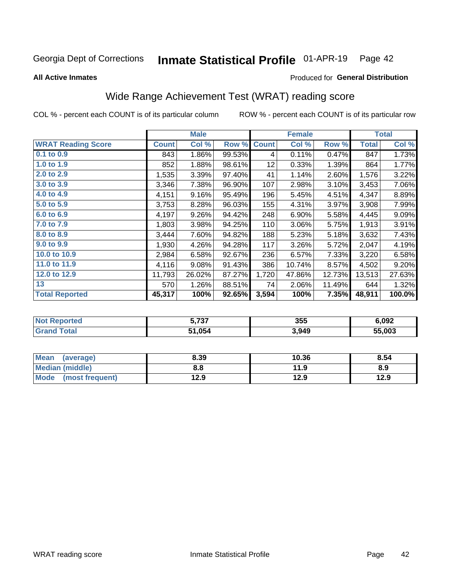#### Inmate Statistical Profile 01-APR-19 Page 42

**All Active Inmates** 

### Produced for General Distribution

## Wide Range Achievement Test (WRAT) reading score

COL % - percent each COUNT is of its particular column

|                           |              | <b>Male</b> |        |              | <b>Female</b> |        |              | <b>Total</b> |
|---------------------------|--------------|-------------|--------|--------------|---------------|--------|--------------|--------------|
| <b>WRAT Reading Score</b> | <b>Count</b> | Col %       | Row %  | <b>Count</b> | Col %         | Row %  | <b>Total</b> | Col %        |
| 0.1 to 0.9                | 843          | 1.86%       | 99.53% | 4            | 0.11%         | 0.47%  | 847          | 1.73%        |
| 1.0 to 1.9                | 852          | 1.88%       | 98.61% | 12           | 0.33%         | 1.39%  | 864          | 1.77%        |
| 2.0 to 2.9                | 1,535        | 3.39%       | 97.40% | 41           | 1.14%         | 2.60%  | 1,576        | 3.22%        |
| 3.0 to 3.9                | 3,346        | 7.38%       | 96.90% | 107          | 2.98%         | 3.10%  | 3,453        | 7.06%        |
| 4.0 to 4.9                | 4,151        | 9.16%       | 95.49% | 196          | 5.45%         | 4.51%  | 4,347        | 8.89%        |
| 5.0 to 5.9                | 3,753        | 8.28%       | 96.03% | 155          | 4.31%         | 3.97%  | 3,908        | 7.99%        |
| 6.0 to 6.9                | 4,197        | 9.26%       | 94.42% | 248          | 6.90%         | 5.58%  | 4,445        | 9.09%        |
| 7.0 to 7.9                | 1,803        | 3.98%       | 94.25% | 110          | 3.06%         | 5.75%  | 1,913        | 3.91%        |
| 8.0 to 8.9                | 3,444        | 7.60%       | 94.82% | 188          | 5.23%         | 5.18%  | 3,632        | 7.43%        |
| 9.0 to 9.9                | 1,930        | 4.26%       | 94.28% | 117          | 3.26%         | 5.72%  | 2,047        | 4.19%        |
| 10.0 to 10.9              | 2,984        | 6.58%       | 92.67% | 236          | 6.57%         | 7.33%  | 3,220        | 6.58%        |
| 11.0 to 11.9              | 4,116        | 9.08%       | 91.43% | 386          | 10.74%        | 8.57%  | 4,502        | 9.20%        |
| 12.0 to 12.9              | 11,793       | 26.02%      | 87.27% | 1,720        | 47.86%        | 12.73% | 13,513       | 27.63%       |
| 13                        | 570          | 1.26%       | 88.51% | 74           | 2.06%         | 11.49% | 644          | 1.32%        |
| <b>Total Reported</b>     | 45,317       | 100%        | 92.65% | 3,594        | 100%          | 7.35%  | 48,911       | 100.0%       |

| rteo<br>NO | こ フヘフ<br>J. I J I | 355   | 6,092  |
|------------|-------------------|-------|--------|
|            | 51,054            | 3,949 | 55.003 |

| Mean<br>(average)       | 8.39 | 10.36 | 8.54 |
|-------------------------|------|-------|------|
| Median (middle)         | 8.8  | 11.9  | 8.9  |
| Mode<br>(most frequent) | 12.9 | 12.9  | 12.9 |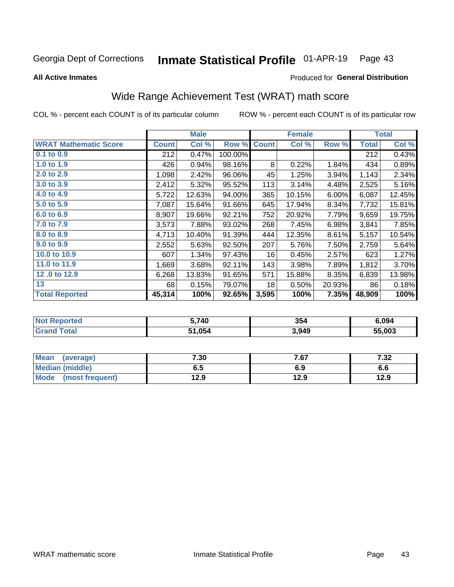#### Inmate Statistical Profile 01-APR-19 Page 43

**All Active Inmates** 

### Produced for General Distribution

## Wide Range Achievement Test (WRAT) math score

COL % - percent each COUNT is of its particular column

|                              |              | <b>Male</b> |         |              | <b>Female</b> |        |              | <b>Total</b> |
|------------------------------|--------------|-------------|---------|--------------|---------------|--------|--------------|--------------|
| <b>WRAT Mathematic Score</b> | <b>Count</b> | Col %       | Row %   | <b>Count</b> | Col %         | Row %  | <b>Total</b> | Col %        |
| 0.1 to 0.9                   | 212          | 0.47%       | 100.00% |              |               |        | 212          | 0.43%        |
| 1.0 to 1.9                   | 426          | 0.94%       | 98.16%  | 8            | 0.22%         | 1.84%  | 434          | 0.89%        |
| 2.0 to 2.9                   | 1,098        | 2.42%       | 96.06%  | 45           | 1.25%         | 3.94%  | 1,143        | 2.34%        |
| 3.0 to 3.9                   | 2,412        | 5.32%       | 95.52%  | 113          | 3.14%         | 4.48%  | 2,525        | 5.16%        |
| 4.0 to 4.9                   | 5,722        | 12.63%      | 94.00%  | 365          | 10.15%        | 6.00%  | 6,087        | 12.45%       |
| 5.0 to 5.9                   | 7,087        | 15.64%      | 91.66%  | 645          | 17.94%        | 8.34%  | 7,732        | 15.81%       |
| 6.0 to 6.9                   | 8,907        | 19.66%      | 92.21%  | 752          | 20.92%        | 7.79%  | 9,659        | 19.75%       |
| 7.0 to 7.9                   | 3,573        | 7.88%       | 93.02%  | 268          | 7.45%         | 6.98%  | 3,841        | 7.85%        |
| 8.0 to 8.9                   | 4,713        | 10.40%      | 91.39%  | 444          | 12.35%        | 8.61%  | 5,157        | 10.54%       |
| 9.0 to 9.9                   | 2,552        | 5.63%       | 92.50%  | 207          | 5.76%         | 7.50%  | 2,759        | 5.64%        |
| 10.0 to 10.9                 | 607          | 1.34%       | 97.43%  | 16           | 0.45%         | 2.57%  | 623          | 1.27%        |
| 11.0 to 11.9                 | 1,669        | 3.68%       | 92.11%  | 143          | 3.98%         | 7.89%  | 1,812        | 3.70%        |
| 12.0 to 12.9                 | 6,268        | 13.83%      | 91.65%  | 571          | 15.88%        | 8.35%  | 6,839        | 13.98%       |
| 13                           | 68           | 0.15%       | 79.07%  | 18           | 0.50%         | 20.93% | 86           | 0.18%        |
| <b>Total Reported</b>        | 45,314       | 100%        | 92.65%  | 3,595        | 100%          | 7.35%  | 48,909       | 100%         |

| rted<br>NOT | 740    | 354   | 6,094  |
|-------------|--------|-------|--------|
| いもへり        | 51,054 | 3,949 | 55.003 |

| <b>Mean</b><br>(average) | 7.30 | 7.67 | 7 22<br>∡د. ا |
|--------------------------|------|------|---------------|
| Median (middle)          | ხ. J | 6.9  | ס.ס           |
| Mode<br>(most frequent)  | 12.9 | 12.9 | 12.9          |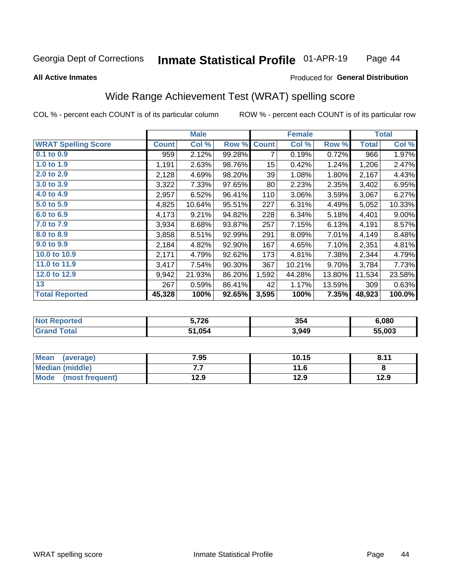#### Inmate Statistical Profile 01-APR-19 Page 44

#### **All Active Inmates**

### Produced for General Distribution

## Wide Range Achievement Test (WRAT) spelling score

COL % - percent each COUNT is of its particular column

|                            |              | <b>Male</b> |        |              | <b>Female</b> |        |              | <b>Total</b> |
|----------------------------|--------------|-------------|--------|--------------|---------------|--------|--------------|--------------|
| <b>WRAT Spelling Score</b> | <b>Count</b> | Col %       | Row %  | <b>Count</b> | Col %         | Row %  | <b>Total</b> | Col %        |
| 0.1 to 0.9                 | 959          | 2.12%       | 99.28% | 7            | 0.19%         | 0.72%  | 966          | 1.97%        |
| 1.0 to 1.9                 | 1,191        | 2.63%       | 98.76% | 15           | 0.42%         | 1.24%  | 1,206        | 2.47%        |
| 2.0 to 2.9                 | 2,128        | 4.69%       | 98.20% | 39           | 1.08%         | 1.80%  | 2,167        | 4.43%        |
| 3.0 to 3.9                 | 3,322        | 7.33%       | 97.65% | 80           | 2.23%         | 2.35%  | 3,402        | 6.95%        |
| 4.0 to 4.9                 | 2,957        | 6.52%       | 96.41% | 110          | 3.06%         | 3.59%  | 3,067        | 6.27%        |
| 5.0 to 5.9                 | 4,825        | 10.64%      | 95.51% | 227          | 6.31%         | 4.49%  | 5,052        | 10.33%       |
| 6.0 to 6.9                 | 4,173        | 9.21%       | 94.82% | 228          | 6.34%         | 5.18%  | 4,401        | $9.00\%$     |
| 7.0 to 7.9                 | 3,934        | 8.68%       | 93.87% | 257          | 7.15%         | 6.13%  | 4,191        | 8.57%        |
| 8.0 to 8.9                 | 3,858        | 8.51%       | 92.99% | 291          | 8.09%         | 7.01%  | 4,149        | 8.48%        |
| 9.0 to 9.9                 | 2,184        | 4.82%       | 92.90% | 167          | 4.65%         | 7.10%  | 2,351        | 4.81%        |
| 10.0 to 10.9               | 2,171        | 4.79%       | 92.62% | 173          | 4.81%         | 7.38%  | 2,344        | 4.79%        |
| 11.0 to 11.9               | 3,417        | 7.54%       | 90.30% | 367          | 10.21%        | 9.70%  | 3,784        | 7.73%        |
| 12.0 to 12.9               | 9,942        | 21.93%      | 86.20% | 1,592        | 44.28%        | 13.80% | 11,534       | 23.58%       |
| 13                         | 267          | 0.59%       | 86.41% | 42           | 1.17%         | 13.59% | 309          | 0.63%        |
| <b>Total Reported</b>      | 45,328       | 100%        | 92.65% | 3,595        | 100%          | 7.35%  | 48,923       | 100.0%       |

| <b>nted</b><br>NO | 5,726  | 354   | 6.080  |
|-------------------|--------|-------|--------|
|                   | 51,054 | 3,949 | 55.003 |

| <b>Mean</b><br>(average) | 7.95 | 10.15 | 9.11<br>O.11 |
|--------------------------|------|-------|--------------|
| Median (middle)          | .    | 11.6  |              |
| Mode<br>(most frequent)  | 12.9 | 12.9  | 12.9         |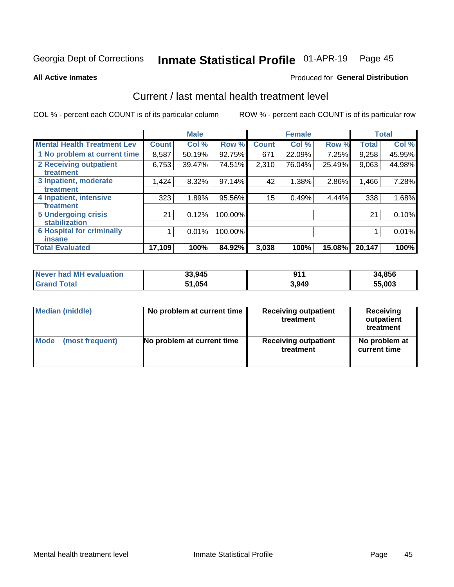#### Inmate Statistical Profile 01-APR-19 Page 45

**All Active Inmates** 

### **Produced for General Distribution**

## Current / last mental health treatment level

COL % - percent each COUNT is of its particular column

|                                    |              | <b>Male</b> |         |              | <b>Female</b> |        |              | <b>Total</b> |
|------------------------------------|--------------|-------------|---------|--------------|---------------|--------|--------------|--------------|
| <b>Mental Health Treatment Lev</b> | <b>Count</b> | Col %       | Row %   | <b>Count</b> | Col %         | Row %  | <b>Total</b> | Col %        |
| 1 No problem at current time       | 8,587        | 50.19%      | 92.75%  | 671          | 22.09%        | 7.25%  | 9,258        | 45.95%       |
| <b>2 Receiving outpatient</b>      | 6,753        | 39.47%      | 74.51%  | 2,310        | 76.04%        | 25.49% | 9,063        | 44.98%       |
| <b>Treatment</b>                   |              |             |         |              |               |        |              |              |
| 3 Inpatient, moderate              | 1,424        | 8.32%       | 97.14%  | 42           | 1.38%         | 2.86%  | 1,466        | 7.28%        |
| <b>Treatment</b>                   |              |             |         |              |               |        |              |              |
| 4 Inpatient, intensive             | 323          | 1.89%       | 95.56%  | 15           | 0.49%         | 4.44%  | 338          | 1.68%        |
| Treatment                          |              |             |         |              |               |        |              |              |
| 5 Undergoing crisis                | 21           | 0.12%       | 100.00% |              |               |        | 21           | 0.10%        |
| <b>stabilization</b>               |              |             |         |              |               |        |              |              |
| <b>6 Hospital for criminally</b>   |              | 0.01%       | 100.00% |              |               |        |              | 0.01%        |
| <b>Tinsane</b>                     |              |             |         |              |               |        |              |              |
| <b>Total Evaluated</b>             | 17,109       | 100%        | 84.92%  | 3,038        | 100%          | 15.08% | 20,147       | 100%         |

| <b>Never had MH evaluation</b> | 33,945 | 81 A  | 34,856 |
|--------------------------------|--------|-------|--------|
| $\tau$ otal                    | 51,054 | 3,949 | 55.003 |

| Median (middle) | No problem at current time | <b>Receiving outpatient</b><br>treatment | <b>Receiving</b><br>outpatient<br>treatment |
|-----------------|----------------------------|------------------------------------------|---------------------------------------------|
| <b>Mode</b>     | No problem at current time | <b>Receiving outpatient</b>              | No problem at                               |
| (most frequent) |                            | treatment                                | current time                                |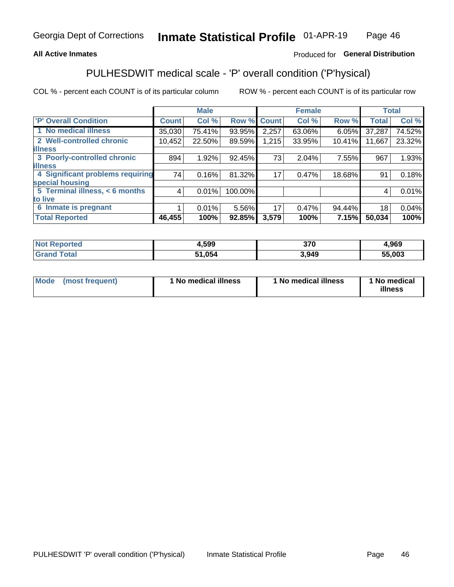### **All Active Inmates**

### Produced for General Distribution

## PULHESDWIT medical scale - 'P' overall condition ('P'hysical)

COL % - percent each COUNT is of its particular column

|                                  |              | <b>Male</b> |         |              | <b>Female</b> |        |              | <b>Total</b> |
|----------------------------------|--------------|-------------|---------|--------------|---------------|--------|--------------|--------------|
| <b>'P' Overall Condition</b>     | <b>Count</b> | Col %       | Row %   | <b>Count</b> | Col %         | Row %  | <b>Total</b> | Col %        |
| 1 No medical illness             | 35,030       | 75.41%      | 93.95%  | 2,257        | 63.06%        | 6.05%  | 37,287       | 74.52%       |
| 2 Well-controlled chronic        | 10,452       | 22.50%      | 89.59%  | 1,215        | 33.95%        | 10.41% | 11,667       | 23.32%       |
| <b>illness</b>                   |              |             |         |              |               |        |              |              |
| 3 Poorly-controlled chronic      | 894          | 1.92%       | 92.45%  | 73           | 2.04%         | 7.55%  | 967          | 1.93%        |
| <b>illness</b>                   |              |             |         |              |               |        |              |              |
| 4 Significant problems requiring | 74           | 0.16%       | 81.32%  | 17           | 0.47%         | 18.68% | 91           | 0.18%        |
| special housing                  |              |             |         |              |               |        |              |              |
| 5 Terminal illness, < 6 months   | 4            | 0.01%       | 100.00% |              |               |        | 4            | 0.01%        |
| to live                          |              |             |         |              |               |        |              |              |
| 6 Inmate is pregnant             |              | $0.01\%$    | 5.56%   | 17           | 0.47%         | 94.44% | 18           | 0.04%        |
| <b>Total Reported</b>            | 46,455       | 100%        | 92.85%  | 3,579        | 100%          | 7.15%  | 50,034       | 100%         |

| тео | 1.599 | 370   | ,969   |
|-----|-------|-------|--------|
|     | 0E.   | 3,949 | 55.003 |

| Mode | (most frequent) | 1 No medical illness | 1 No medical illness | 1 No medical<br>illness |
|------|-----------------|----------------------|----------------------|-------------------------|
|------|-----------------|----------------------|----------------------|-------------------------|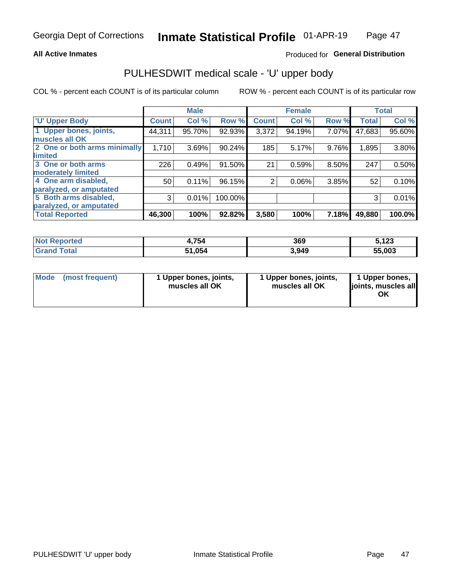### **All Active Inmates**

### Produced for General Distribution

# PULHESDWIT medical scale - 'U' upper body

COL % - percent each COUNT is of its particular column

|                              |              | <b>Male</b> |         |                | <b>Female</b> |       |              | <b>Total</b> |
|------------------------------|--------------|-------------|---------|----------------|---------------|-------|--------------|--------------|
| <b>U' Upper Body</b>         | <b>Count</b> | Col %       | Row %   | <b>Count</b>   | Col %         | Row % | <b>Total</b> | Col %        |
| 1 Upper bones, joints,       | 44,311       | 95.70%      | 92.93%  | 3,372          | 94.19%        | 7.07% | 47,683       | 95.60%       |
| muscles all OK               |              |             |         |                |               |       |              |              |
| 2 One or both arms minimally | 1,710        | 3.69%       | 90.24%  | 185            | 5.17%         | 9.76% | 1,895        | 3.80%        |
| limited                      |              |             |         |                |               |       |              |              |
| 3 One or both arms           | 226          | 0.49%       | 91.50%  | 21             | 0.59%         | 8.50% | 247          | 0.50%        |
| <b>moderately limited</b>    |              |             |         |                |               |       |              |              |
| 4 One arm disabled,          | 50           | 0.11%       | 96.15%  | $\overline{2}$ | 0.06%         | 3.85% | 52           | 0.10%        |
| paralyzed, or amputated      |              |             |         |                |               |       |              |              |
| 5 Both arms disabled,        | 3            | 0.01%       | 100.00% |                |               |       | 3            | 0.01%        |
| paralyzed, or amputated      |              |             |         |                |               |       |              |              |
| <b>Total Reported</b>        | 46,300       | 100%        | 92.82%  | 3,580          | 100%          | 7.18% | 49,880       | 100.0%       |

| <b>Not Reported</b> | 4,754  | 369   | 5,123  |
|---------------------|--------|-------|--------|
| <b>Grand Total</b>  | 51,054 | 3,949 | 55,003 |

| Mode<br>(most frequent) | 1 Upper bones, joints,<br>muscles all OK | 1 Upper bones, joints,<br>muscles all OK | 1 Upper bones,<br>joints, muscles all<br>ΟK |
|-------------------------|------------------------------------------|------------------------------------------|---------------------------------------------|
|-------------------------|------------------------------------------|------------------------------------------|---------------------------------------------|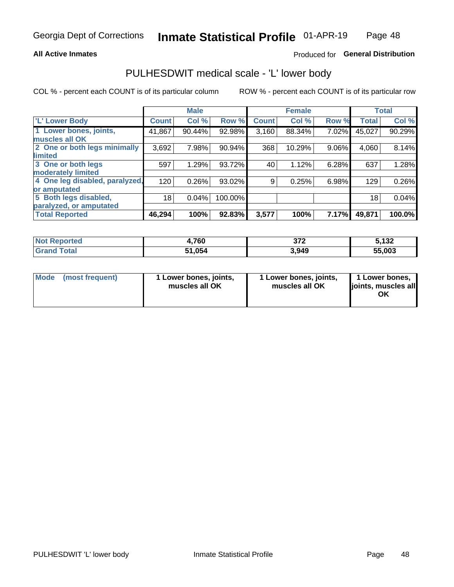### **All Active Inmates**

### Produced for General Distribution

## PULHESDWIT medical scale - 'L' lower body

COL % - percent each COUNT is of its particular column

|                                |              | <b>Male</b> |         |              | <b>Female</b> |       |                 | <b>Total</b> |
|--------------------------------|--------------|-------------|---------|--------------|---------------|-------|-----------------|--------------|
| 'L' Lower Body                 | <b>Count</b> | Col %       | Row %   | <b>Count</b> | Col %         | Row % | <b>Total</b>    | Col %        |
| 1 Lower bones, joints,         | 41,867       | 90.44%      | 92.98%  | 3,160        | 88.34%        | 7.02% | 45,027          | 90.29%       |
| muscles all OK                 |              |             |         |              |               |       |                 |              |
| 2 One or both legs minimally   | 3,692        | 7.98%       | 90.94%  | 368          | 10.29%        | 9.06% | 4,060           | 8.14%        |
| limited                        |              |             |         |              |               |       |                 |              |
| 3 One or both legs             | 597          | 1.29%       | 93.72%  | 40           | 1.12%         | 6.28% | 637             | 1.28%        |
| moderately limited             |              |             |         |              |               |       |                 |              |
| 4 One leg disabled, paralyzed, | 120          | 0.26%       | 93.02%  | 9            | 0.25%         | 6.98% | 129             | 0.26%        |
| or amputated                   |              |             |         |              |               |       |                 |              |
| 5 Both legs disabled,          | 18           | 0.04%       | 100.00% |              |               |       | 18 <sub>1</sub> | 0.04%        |
| paralyzed, or amputated        |              |             |         |              |               |       |                 |              |
| <b>Total Reported</b>          | 46,294       | 100%        | 92.83%  | 3,577        | 100%          | 7.17% | 49,871          | 100.0%       |

| <b>Not Reported</b>     | 4,760  | 272<br>◡ / 스 | 5.132         |
|-------------------------|--------|--------------|---------------|
| <b>Total</b><br>' Grand | 51,054 | 3,949        | 55,003<br>55. |

| Mode (most frequent) | 1 Lower bones, joints,<br>muscles all OK | 1 Lower bones, joints,<br>muscles all OK | 1 Lower bones,<br>joints, muscles all<br>ОK |
|----------------------|------------------------------------------|------------------------------------------|---------------------------------------------|
|----------------------|------------------------------------------|------------------------------------------|---------------------------------------------|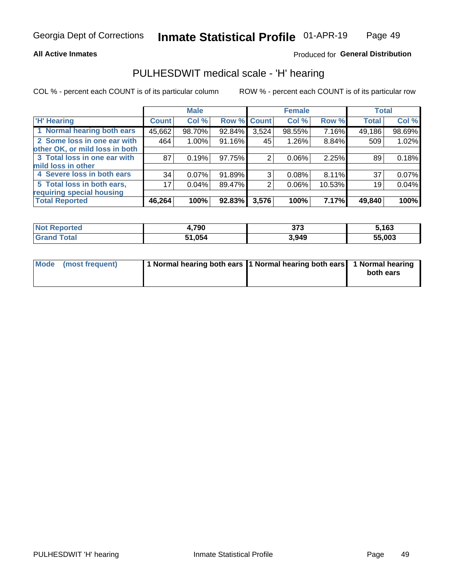### **All Active Inmates**

### Produced for General Distribution

### PULHESDWIT medical scale - 'H' hearing

COL % - percent each COUNT is of its particular column

|                                |              | <b>Male</b> |                    |       | <b>Female</b> |        | <b>Total</b> |        |
|--------------------------------|--------------|-------------|--------------------|-------|---------------|--------|--------------|--------|
| <b>'H' Hearing</b>             | <b>Count</b> | Col %       | <b>Row % Count</b> |       | Col %         | Row %  | <b>Total</b> | Col %  |
| 1 Normal hearing both ears     | 45,662       | 98.70%      | 92.84%             | 3,524 | 98.55%        | 7.16%  | 49,186       | 98.69% |
| 2 Some loss in one ear with    | 464          | 1.00%       | 91.16%             | 45    | 1.26%         | 8.84%  | 509          | 1.02%  |
| other OK, or mild loss in both |              |             |                    |       |               |        |              |        |
| 3 Total loss in one ear with   | 87           | 0.19%       | 97.75%             | 2     | $0.06\%$      | 2.25%  | 89           | 0.18%  |
| mild loss in other             |              |             |                    |       |               |        |              |        |
| 4 Severe loss in both ears     | 34           | $0.07\%$    | $91.89\%$          | 3     | 0.08%         | 8.11%  | 37           | 0.07%  |
| 5 Total loss in both ears,     | 17           | 0.04%       | 89.47%             | 2     | $0.06\%$      | 10.53% | 19           | 0.04%  |
| requiring special housing      |              |             |                    |       |               |        |              |        |
| <b>Total Reported</b>          | 46,264       | 100%        | 92.83%             | 3,576 | 100%          | 7.17%  | 49,840       | 100%   |

| <b>Not Renc</b><br><b>rported</b> | 4,790  | ヘフヘ<br>JI J | ,163   |
|-----------------------------------|--------|-------------|--------|
| Total                             | 51.054 | 3,949       | 55,003 |

| Mode (most frequent) | 1 Normal hearing both ears 11 Normal hearing both ears 1 Normal hearing | both ears |
|----------------------|-------------------------------------------------------------------------|-----------|
|                      |                                                                         |           |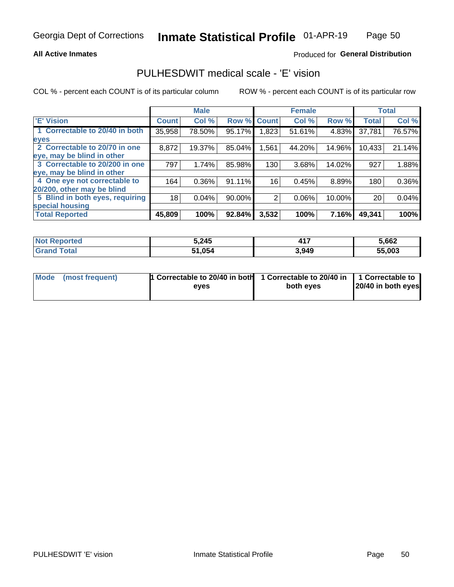### **All Active Inmates**

### Produced for General Distribution

## PULHESDWIT medical scale - 'E' vision

COL % - percent each COUNT is of its particular column

|                                 |              | <b>Male</b> |        |              | <b>Female</b> |        |              | <b>Total</b> |
|---------------------------------|--------------|-------------|--------|--------------|---------------|--------|--------------|--------------|
| <b>E' Vision</b>                | <b>Count</b> | Col %       | Row %  | <b>Count</b> | Col %         | Row %  | <b>Total</b> | Col %        |
| 1 Correctable to 20/40 in both  | 35,958       | 78.50%      | 95.17% | .823         | 51.61%        | 4.83%  | 37,781       | 76.57%       |
| eyes                            |              |             |        |              |               |        |              |              |
| 2 Correctable to 20/70 in one   | 8,872        | 19.37%      | 85.04% | 1,561        | 44.20%        | 14.96% | 10,433       | 21.14%       |
| eye, may be blind in other      |              |             |        |              |               |        |              |              |
| 3 Correctable to 20/200 in one  | 797          | 1.74%       | 85.98% | 130          | 3.68%         | 14.02% | 927          | 1.88%        |
| eye, may be blind in other      |              |             |        |              |               |        |              |              |
| 4 One eye not correctable to    | 164          | 0.36%       | 91.11% | 16           | 0.45%         | 8.89%  | 180          | 0.36%        |
| 20/200, other may be blind      |              |             |        |              |               |        |              |              |
| 5 Blind in both eyes, requiring | 18           | 0.04%       | 90.00% | 2            | 0.06%         | 10.00% | 20           | 0.04%        |
| special housing                 |              |             |        |              |               |        |              |              |
| <b>Total Reported</b>           | 45,809       | 100%        | 92.84% | 3,532        | 100%          | 7.16%  | 49,341       | 100%         |

| <b>Not Reported</b> | 5,245       | $AA =$<br>T I <i>I</i> | 5.662  |
|---------------------|-------------|------------------------|--------|
| ™∩tal               | .054<br>51. | 3,949                  | 55,003 |

| Mode (most frequent) | 1 Correctable to 20/40 in both<br>eves | 1 Correctable to 20/40 in   1 Correctable to  <br>both eyes | 20/40 in both eyes |  |
|----------------------|----------------------------------------|-------------------------------------------------------------|--------------------|--|
|                      |                                        |                                                             |                    |  |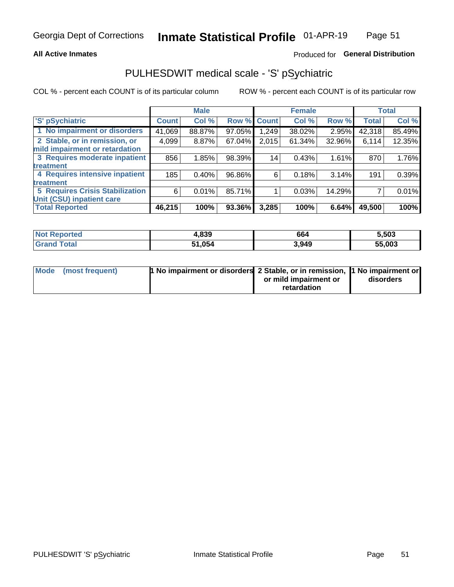### **All Active Inmates**

### Produced for General Distribution

## PULHESDWIT medical scale - 'S' pSychiatric

COL % - percent each COUNT is of its particular column

|                                        |              | <b>Male</b> |        |              | <b>Female</b> |        |              | <b>Total</b> |
|----------------------------------------|--------------|-------------|--------|--------------|---------------|--------|--------------|--------------|
| 'S' pSychiatric                        | <b>Count</b> | Col %       | Row %  | <b>Count</b> | Col %         | Row %  | <b>Total</b> | Col %        |
| 1 No impairment or disorders           | 41,069       | 88.87%      | 97.05% | .249         | 38.02%        | 2.95%  | 42,318       | 85.49%       |
| 2 Stable, or in remission, or          | 4,099        | 8.87%       | 67.04% | 2,015        | 61.34%        | 32.96% | 6,114        | 12.35%       |
| mild impairment or retardation         |              |             |        |              |               |        |              |              |
| 3 Requires moderate inpatient          | 856          | 1.85%       | 98.39% | 14           | 0.43%         | 1.61%  | 870          | 1.76%        |
| treatment                              |              |             |        |              |               |        |              |              |
| 4 Requires intensive inpatient         | 185          | 0.40%       | 96.86% | 6            | 0.18%         | 3.14%  | 191          | 0.39%        |
| treatment                              |              |             |        |              |               |        |              |              |
| <b>5 Requires Crisis Stabilization</b> | 6            | 0.01%       | 85.71% |              | 0.03%         | 14.29% |              | 0.01%        |
| Unit (CSU) inpatient care              |              |             |        |              |               |        |              |              |
| <b>Total Reported</b>                  | 46,215       | 100%        | 93.36% | 3,285        | 100%          | 6.64%  | 49,500       | 100%         |

| <b>Not Reported</b> | 1,839        | 664   | 5,503  |
|---------------------|--------------|-------|--------|
| Total<br>Grand      | 1,054<br>54. | 3,949 | 55,003 |

| Mode (most frequent) | <b>t No impairment or disorders 2 Stable, or in remission, 1 No impairment or</b> |                       |           |
|----------------------|-----------------------------------------------------------------------------------|-----------------------|-----------|
|                      |                                                                                   | or mild impairment or | disorders |
|                      |                                                                                   | retardation           |           |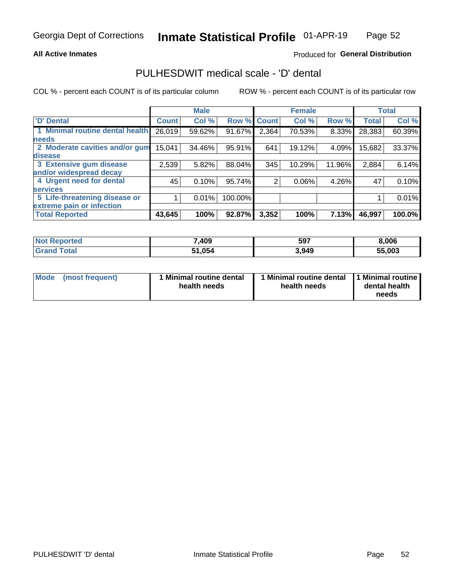### **All Active Inmates**

### Produced for General Distribution

## PULHESDWIT medical scale - 'D' dental

COL % - percent each COUNT is of its particular column

|                                 |              | <b>Male</b> |         |              | <b>Female</b> |        |              | <b>Total</b> |
|---------------------------------|--------------|-------------|---------|--------------|---------------|--------|--------------|--------------|
| <b>D'</b> Dental                | <b>Count</b> | Col %       | Row %   | <b>Count</b> | Col %         | Row %  | <b>Total</b> | Col %        |
| 1 Minimal routine dental health | 26,019       | 59.62%      | 91.67%  | 2,364        | 70.53%        | 8.33%  | 28,383       | 60.39%       |
| <b>needs</b>                    |              |             |         |              |               |        |              |              |
| 2 Moderate cavities and/or gum  | 15,041       | 34.46%      | 95.91%  | 641          | 19.12%        | 4.09%  | 15,682       | 33.37%       |
| disease                         |              |             |         |              |               |        |              |              |
| 3 Extensive gum disease         | 2,539        | 5.82%       | 88.04%  | 345          | 10.29%        | 11.96% | 2,884        | 6.14%        |
| and/or widespread decay         |              |             |         |              |               |        |              |              |
| 4 Urgent need for dental        | 45           | 0.10%       | 95.74%  | 2            | 0.06%         | 4.26%  | 47           | 0.10%        |
| <b>services</b>                 |              |             |         |              |               |        |              |              |
| 5 Life-threatening disease or   |              | 0.01%       | 100.00% |              |               |        |              | 0.01%        |
| extreme pain or infection       |              |             |         |              |               |        |              |              |
| <b>Total Reported</b>           | 43,645       | 100%        | 92.87%  | 3,352        | 100%          | 7.13%  | 46,997       | 100.0%       |

| <b>Not Reported</b> | ,409   | 597   | 8,006  |
|---------------------|--------|-------|--------|
| Гоtal               | 51,054 | 3,949 | 55,003 |

| 1 Minimal routine dental<br>Mode<br>(most frequent)<br>health needs | 1 Minimal routine dental 1 Minimal routine<br>health needs | dental health<br>needs |
|---------------------------------------------------------------------|------------------------------------------------------------|------------------------|
|---------------------------------------------------------------------|------------------------------------------------------------|------------------------|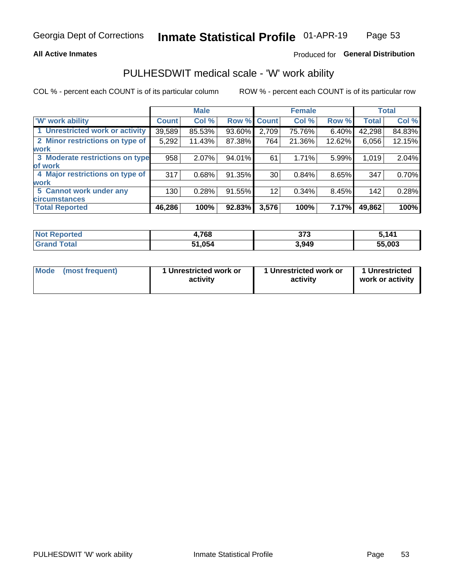### **All Active Inmates**

### Produced for General Distribution

## PULHESDWIT medical scale - 'W' work ability

COL % - percent each COUNT is of its particular column

|                                 |                    | <b>Male</b> |        |             | <b>Female</b> |        |              | <b>Total</b> |
|---------------------------------|--------------------|-------------|--------|-------------|---------------|--------|--------------|--------------|
| 'W' work ability                | Count <sup>'</sup> | Col %       |        | Row % Count | Col %         | Row %  | <b>Total</b> | Col %        |
| 1 Unrestricted work or activity | 39,589             | 85.53%      | 93.60% | 2,709       | 75.76%        | 6.40%  | 42,298       | 84.83%       |
| 2 Minor restrictions on type of | 5,292              | 11.43%      | 87.38% | 764         | 21.36%        | 12.62% | 6,056        | 12.15%       |
| <b>work</b>                     |                    |             |        |             |               |        |              |              |
| 3 Moderate restrictions on type | 958                | 2.07%       | 94.01% | 61          | 1.71%         | 5.99%  | 1,019        | 2.04%        |
| lof work                        |                    |             |        |             |               |        |              |              |
| 4 Major restrictions on type of | 317                | 0.68%       | 91.35% | 30          | 0.84%         | 8.65%  | 347          | 0.70%        |
| <b>work</b>                     |                    |             |        |             |               |        |              |              |
| 5 Cannot work under any         | 130                | 0.28%       | 91.55% | 12          | 0.34%         | 8.45%  | 142          | 0.28%        |
| <b>circumstances</b>            |                    |             |        |             |               |        |              |              |
| <b>Total Reported</b>           | 46,286             | 100%        | 92.83% | 3,576       | 100%          | 7.17%  | 49,862       | 100%         |

| NotR<br><b>Enorted</b> | ,768          | ヘラヘ<br>u i u | 5,141  |
|------------------------|---------------|--------------|--------|
| Гоtal                  | 054, ا<br>54. | 3,949        | 55,003 |

| Mode (most frequent) | 1 Unrestricted work or | 1 Unrestricted work or | 1 Unrestricted   |
|----------------------|------------------------|------------------------|------------------|
|                      | activity               | activity               | work or activity |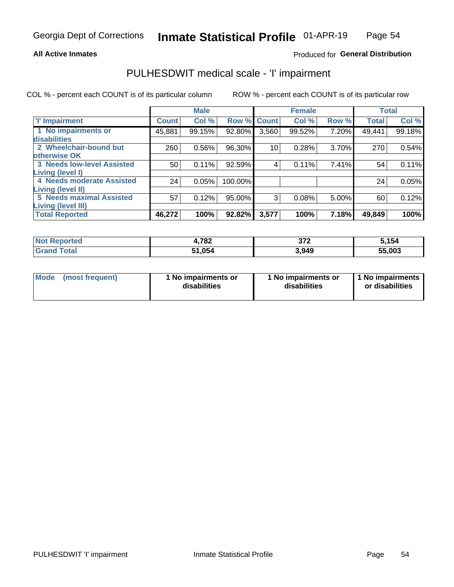### **All Active Inmates**

### Produced for General Distribution

## PULHESDWIT medical scale - 'I' impairment

COL % - percent each COUNT is of its particular column

|                                                             |              | <b>Male</b> |                    |       | <b>Female</b> |       |              | <b>Total</b> |
|-------------------------------------------------------------|--------------|-------------|--------------------|-------|---------------|-------|--------------|--------------|
| <b>T' Impairment</b>                                        | <b>Count</b> | Col %       | <b>Row % Count</b> |       | Col %         | Row % | <b>Total</b> | Col %        |
| 1 No impairments or<br>disabilities                         | 45,881       | 99.15%      | 92.80%             | 3,560 | 99.52%        | 7.20% | 49,441       | 99.18%       |
| 2 Wheelchair-bound but<br>otherwise OK                      | 260          | 0.56%       | 96.30%             | 10    | 0.28%         | 3.70% | 270          | 0.54%        |
| <b>3 Needs low-level Assisted</b>                           | 50           | 0.11%       | 92.59%             | 4     | 0.11%         | 7.41% | 54           | 0.11%        |
| Living (level I)<br>4 Needs moderate Assisted               | 24           | 0.05%       | 100.00%            |       |               |       | 24           | 0.05%        |
| <b>Living (level II)</b><br><b>5 Needs maximal Assisted</b> | 57           | 0.12%       | 95.00%             | 3     | 0.08%         | 5.00% | 60           | 0.12%        |
| <b>Living (level III)</b>                                   |              |             |                    |       |               |       |              |              |
| <b>Total Reported</b>                                       | 46,272       | 100%        | 92.82%             | 3,577 | 100%          | 7.18% | 49,849       | 100%         |

| <b>Not</b><br>Reported | 1,782  | 272<br>- 97 ⊥<br>$\sim$ $\sim$ $\sim$ $\sim$ $\sim$ $\sim$ | 5,154  |
|------------------------|--------|------------------------------------------------------------|--------|
| Total                  | 51,054 | 3.949                                                      | 55,003 |

| Mode | (most frequent) | 1 No impairments or<br>disabilities | 1 No impairments or<br>disabilities | 1 No impairments<br>or disabilities |
|------|-----------------|-------------------------------------|-------------------------------------|-------------------------------------|
|------|-----------------|-------------------------------------|-------------------------------------|-------------------------------------|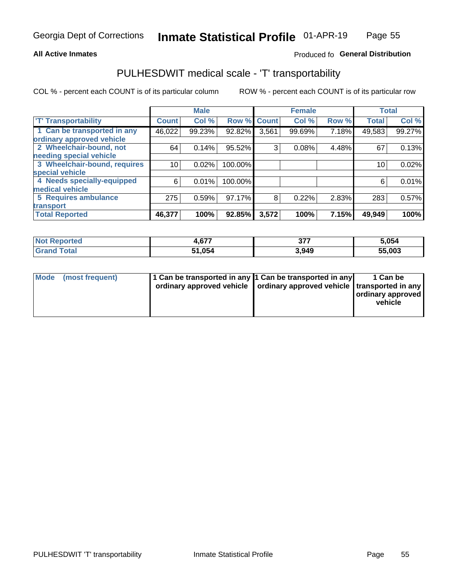### **All Active Inmates**

### Produced fo General Distribution

## PULHESDWIT medical scale - 'T' transportability

COL % - percent each COUNT is of its particular column

|                              |              | <b>Male</b> |         |              | <b>Female</b> |       |              | <b>Total</b> |
|------------------------------|--------------|-------------|---------|--------------|---------------|-------|--------------|--------------|
| <b>T' Transportability</b>   | <b>Count</b> | Col %       | Row %   | <b>Count</b> | Col %         | Row % | <b>Total</b> | Col %        |
| 1 Can be transported in any  | 46,022       | 99.23%      | 92.82%  | 3,561        | 99.69%        | 7.18% | 49,583       | 99.27%       |
| ordinary approved vehicle    |              |             |         |              |               |       |              |              |
| 2 Wheelchair-bound, not      | 64           | 0.14%       | 95.52%  | 3            | 0.08%         | 4.48% | 67           | 0.13%        |
| needing special vehicle      |              |             |         |              |               |       |              |              |
| 3 Wheelchair-bound, requires | 10           | 0.02%       | 100.00% |              |               |       | 10           | 0.02%        |
| special vehicle              |              |             |         |              |               |       |              |              |
| 4 Needs specially-equipped   | 6            | 0.01%       | 100.00% |              |               |       | 6            | 0.01%        |
| medical vehicle              |              |             |         |              |               |       |              |              |
| <b>5 Requires ambulance</b>  | 275          | 0.59%       | 97.17%  | 8            | 0.22%         | 2.83% | 283          | 0.57%        |
| transport                    |              |             |         |              |               |       |              |              |
| <b>Total Reported</b>        | 46,377       | 100%        | 92.85%  | 3,572        | 100%          | 7.15% | 49,949       | 100%         |

| ported      | .,677  | ^77   | 5,054  |
|-------------|--------|-------|--------|
| <b>otal</b> | 51.054 | 3,949 | 55,003 |

|  | Mode (most frequent) | 1 Can be transported in any 1 Can be transported in any<br>ordinary approved vehicle   ordinary approved vehicle   transported in any |  | 1 Can be<br>  ordinary approved  <br>vehicle |
|--|----------------------|---------------------------------------------------------------------------------------------------------------------------------------|--|----------------------------------------------|
|--|----------------------|---------------------------------------------------------------------------------------------------------------------------------------|--|----------------------------------------------|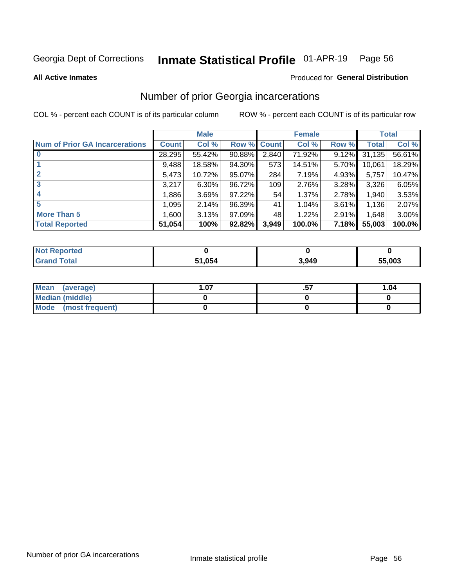#### Inmate Statistical Profile 01-APR-19 Page 56

**All Active Inmates** 

#### Produced for General Distribution

## Number of prior Georgia incarcerations

COL % - percent each COUNT is of its particular column

|                                       |              | <b>Male</b> |             |       | <b>Female</b> |       |        | <b>Total</b> |
|---------------------------------------|--------------|-------------|-------------|-------|---------------|-------|--------|--------------|
| <b>Num of Prior GA Incarcerations</b> | <b>Count</b> | Col %       | Row % Count |       | Col %         | Row % | Total  | Col %        |
| $\bf{0}$                              | 28,295       | 55.42%      | 90.88%      | 2,840 | 71.92%        | 9.12% | 31,135 | 56.61%       |
|                                       | 9,488        | 18.58%      | 94.30%      | 573   | 14.51%        | 5.70% | 10,061 | 18.29%       |
| $\mathbf{2}$                          | 5,473        | 10.72%      | 95.07%      | 284   | 7.19%         | 4.93% | 5,757  | 10.47%       |
| 3                                     | 3,217        | 6.30%       | 96.72%      | 109   | 2.76%         | 3.28% | 3,326  | 6.05%        |
| $\boldsymbol{4}$                      | 1,886        | 3.69%       | $97.22\%$   | 54    | 1.37%         | 2.78% | 1,940  | 3.53%        |
| 5                                     | 1,095        | 2.14%       | 96.39%      | 41    | 1.04%         | 3.61% | 1,136  | 2.07%        |
| <b>More Than 5</b>                    | 1,600        | 3.13%       | $97.09\%$   | 48    | 1.22%         | 2.91% | 1,648  | 3.00%        |
| <b>Total Reported</b>                 | 51,054       | 100%        | 92.82%      | 3,949 | 100.0%        | 7.18% | 55,003 | 100.0%       |

| <b>Not</b><br>Reported |        |       |        |
|------------------------|--------|-------|--------|
| ™otal<br>"Gran∟        | 51,054 | 3,949 | 55,003 |

| Mean (average)       | . .07 | 1.04 |
|----------------------|-------|------|
| Median (middle)      |       |      |
| Mode (most frequent) |       |      |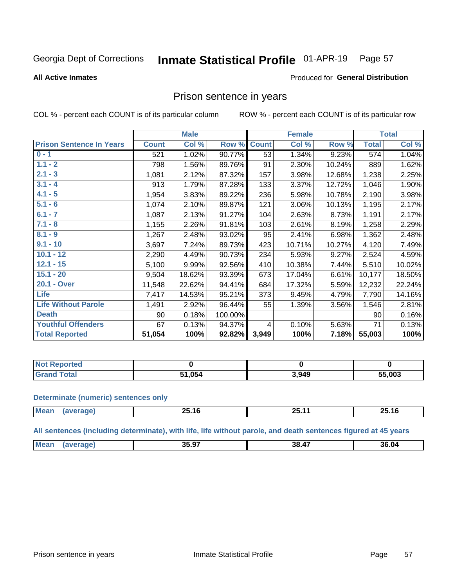#### Inmate Statistical Profile 01-APR-19 Page 57

#### **All Active Inmates**

### Produced for General Distribution

### Prison sentence in years

COL % - percent each COUNT is of its particular column

ROW % - percent each COUNT is of its particular row

|                                 |              | <b>Male</b> |         |              | <b>Female</b> |        |              | <b>Total</b> |
|---------------------------------|--------------|-------------|---------|--------------|---------------|--------|--------------|--------------|
| <b>Prison Sentence In Years</b> | <b>Count</b> | Col %       | Row %   | <b>Count</b> | Col %         | Row %  | <b>Total</b> | Col %        |
| $0 - 1$                         | 521          | 1.02%       | 90.77%  | 53           | 1.34%         | 9.23%  | 574          | 1.04%        |
| $1.1 - 2$                       | 798          | 1.56%       | 89.76%  | 91           | 2.30%         | 10.24% | 889          | 1.62%        |
| $2.1 - 3$                       | 1,081        | 2.12%       | 87.32%  | 157          | 3.98%         | 12.68% | 1,238        | 2.25%        |
| $3.1 - 4$                       | 913          | 1.79%       | 87.28%  | 133          | 3.37%         | 12.72% | 1,046        | 1.90%        |
| $4.1 - 5$                       | 1,954        | 3.83%       | 89.22%  | 236          | 5.98%         | 10.78% | 2,190        | 3.98%        |
| $5.1 - 6$                       | 1,074        | 2.10%       | 89.87%  | 121          | 3.06%         | 10.13% | 1,195        | 2.17%        |
| $6.1 - 7$                       | 1,087        | 2.13%       | 91.27%  | 104          | 2.63%         | 8.73%  | 1,191        | 2.17%        |
| $7.1 - 8$                       | 1,155        | 2.26%       | 91.81%  | 103          | 2.61%         | 8.19%  | 1,258        | 2.29%        |
| $8.1 - 9$                       | 1,267        | 2.48%       | 93.02%  | 95           | 2.41%         | 6.98%  | 1,362        | 2.48%        |
| $9.1 - 10$                      | 3,697        | 7.24%       | 89.73%  | 423          | 10.71%        | 10.27% | 4,120        | 7.49%        |
| $10.1 - 12$                     | 2,290        | 4.49%       | 90.73%  | 234          | 5.93%         | 9.27%  | 2,524        | 4.59%        |
| $12.1 - 15$                     | 5,100        | 9.99%       | 92.56%  | 410          | 10.38%        | 7.44%  | 5,510        | 10.02%       |
| $15.1 - 20$                     | 9,504        | 18.62%      | 93.39%  | 673          | 17.04%        | 6.61%  | 10,177       | 18.50%       |
| 20.1 - Over                     | 11,548       | 22.62%      | 94.41%  | 684          | 17.32%        | 5.59%  | 12,232       | 22.24%       |
| <b>Life</b>                     | 7,417        | 14.53%      | 95.21%  | 373          | 9.45%         | 4.79%  | 7,790        | 14.16%       |
| <b>Life Without Parole</b>      | 1,491        | 2.92%       | 96.44%  | 55           | 1.39%         | 3.56%  | 1,546        | 2.81%        |
| <b>Death</b>                    | 90           | 0.18%       | 100.00% |              |               |        | 90           | 0.16%        |
| <b>Youthful Offenders</b>       | 67           | 0.13%       | 94.37%  | 4            | 0.10%         | 5.63%  | 71           | 0.13%        |
| <b>Total Reported</b>           | 51,054       | 100%        | 92.82%  | 3,949        | 100%          | 7.18%  | 55,003       | 100%         |

| : Reported<br>I NOT |      |       |        |
|---------------------|------|-------|--------|
| <b>Cotal</b>        | .054 | 3,949 | 55,003 |

#### **Determinate (numeric) sentences only**

| <b>Mean</b> | חה<br>—ا د — | 25<br>. .<br><u>_____</u> | – 20.16 |
|-------------|--------------|---------------------------|---------|
|             |              |                           |         |

All sentences (including determinate), with life, life without parole, and death sentences figured at 45 years

| <b>Me</b><br>35.97<br>$\overline{a}$<br>36.04<br>38<br>.<br>$ -$ |  |  |  |
|------------------------------------------------------------------|--|--|--|
|                                                                  |  |  |  |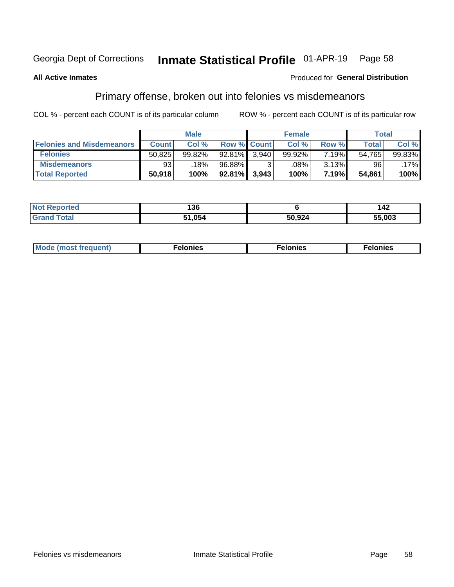#### Inmate Statistical Profile 01-APR-19 Page 58

### **All Active Inmates**

### Produced for General Distribution

## Primary offense, broken out into felonies vs misdemeanors

COL % - percent each COUNT is of its particular column

|                                  |              | <b>Male</b> |           |                    | <b>Female</b> |          | Total  |        |
|----------------------------------|--------------|-------------|-----------|--------------------|---------------|----------|--------|--------|
| <b>Felonies and Misdemeanors</b> | <b>Count</b> | Col%        |           | <b>Row % Count</b> | Col%          | Row %    | Total, | Col %  |
| <b>Felonies</b>                  | 50,825       | 99.82%      | $92.81\%$ | 3.940              | 99.92%        | $7.19\%$ | 54,765 | 99.83% |
| <b>Misdemeanors</b>              | 93           | 18%         | 96.88%    |                    | .08%          | 3.13%    | 96     | .17%   |
| <b>Total Reported</b>            | 50,918       | 100%        | $92.81\%$ | 3,943              | 100%          | 7.19%    | 54,861 | 100%   |

| <b>Not</b><br>rted<br>'enoi | "^^<br>סכ. |        | $\overline{ }$<br>44 |
|-----------------------------|------------|--------|----------------------|
| ™otai<br><b>Grano</b>       | . .054     | 50,924 | 55,003               |

| Mo | ___ | 11 C.S<br>. | onies<br>. |
|----|-----|-------------|------------|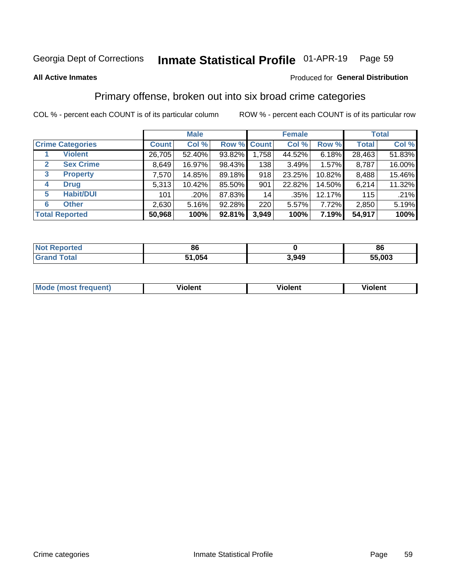#### Inmate Statistical Profile 01-APR-19 Page 59

#### **All Active Inmates**

### Produced for General Distribution

## Primary offense, broken out into six broad crime categories

COL % - percent each COUNT is of its particular column

|                                 |              | <b>Male</b> |        |                    | <b>Female</b> |        | <b>Total</b> |        |  |
|---------------------------------|--------------|-------------|--------|--------------------|---------------|--------|--------------|--------|--|
| <b>Crime Categories</b>         | <b>Count</b> | Col %       |        | <b>Row % Count</b> | Col %         | Row %  | <b>Total</b> | Col %  |  |
| <b>Violent</b>                  | 26,705       | 52.40%      | 93.82% | 1,758              | 44.52%        | 6.18%  | 28,463       | 51.83% |  |
| <b>Sex Crime</b><br>2           | 8,649        | 16.97%      | 98.43% | 138                | 3.49%         | 1.57%  | 8,787        | 16.00% |  |
| $\mathbf{3}$<br><b>Property</b> | 7,570        | 14.85%      | 89.18% | 918                | 23.25%        | 10.82% | 8,488        | 15.46% |  |
| <b>Drug</b><br>4                | 5,313        | 10.42%      | 85.50% | 901                | 22.82%        | 14.50% | 6,214        | 11.32% |  |
| <b>Habit/DUI</b><br>5           | 101          | .20%        | 87.83% | 14                 | .35%          | 12.17% | 115          | .21%   |  |
| <b>Other</b><br>6               | 2,630        | 5.16%       | 92.28% | 220                | 5.57%         | 7.72%  | 2,850        | 5.19%  |  |
| <b>Total Reported</b>           | 50,968       | 100%        | 92.81% | 3,949              | 100%          | 7.19%  | 54,917       | 100%   |  |

| rted<br>NO | -86          |       | 86   |
|------------|--------------|-------|------|
| $-$        | 51.054<br>E4 | 3,949 | .003 |

| M | - --<br>100011 | .<br><b>VIOIGIIL</b> | 1.91311 |
|---|----------------|----------------------|---------|
|   |                |                      |         |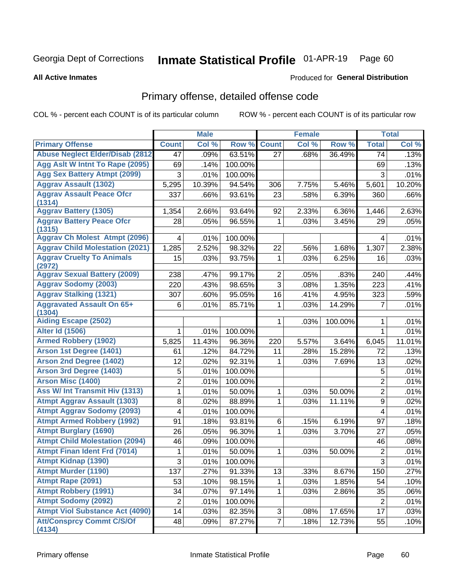#### Inmate Statistical Profile 01-APR-19 Page 60

**All Active Inmates** 

### Produced for General Distribution

## Primary offense, detailed offense code

COL % - percent each COUNT is of its particular column

|                                            |                     | <b>Male</b> |         |                | <b>Female</b> |         |                | <b>Total</b> |
|--------------------------------------------|---------------------|-------------|---------|----------------|---------------|---------|----------------|--------------|
| <b>Primary Offense</b>                     | <b>Count</b>        | Col %       | Row %   | <b>Count</b>   | Col %         | Row %   | <b>Total</b>   | Col %        |
| <b>Abuse Neglect Elder/Disab (2812)</b>    | 47                  | .09%        | 63.51%  | 27             | .68%          | 36.49%  | 74             | .13%         |
| Agg Aslt W Intnt To Rape (2095)            | 69                  | .14%        | 100.00% |                |               |         | 69             | .13%         |
| <b>Agg Sex Battery Atmpt (2099)</b>        | 3                   | .01%        | 100.00% |                |               |         | 3              | .01%         |
| <b>Aggrav Assault (1302)</b>               | 5,295               | 10.39%      | 94.54%  | 306            | 7.75%         | 5.46%   | 5,601          | 10.20%       |
| <b>Aggrav Assault Peace Ofcr</b><br>(1314) | 337                 | .66%        | 93.61%  | 23             | .58%          | 6.39%   | 360            | .66%         |
| <b>Aggrav Battery (1305)</b>               | 1,354               | 2.66%       | 93.64%  | 92             | 2.33%         | 6.36%   | 1,446          | 2.63%        |
| <b>Aggrav Battery Peace Ofcr</b><br>(1315) | 28                  | .05%        | 96.55%  | 1              | .03%          | 3.45%   | 29             | .05%         |
| <b>Aggrav Ch Molest Atmpt (2096)</b>       | 4                   | .01%        | 100.00% |                |               |         | 4              | .01%         |
| <b>Aggrav Child Molestation (2021)</b>     | 1,285               | 2.52%       | 98.32%  | 22             | .56%          | 1.68%   | 1,307          | 2.38%        |
| <b>Aggrav Cruelty To Animals</b>           | 15                  | .03%        | 93.75%  | 1              | .03%          | 6.25%   | 16             | .03%         |
| (2972)                                     |                     |             |         |                |               |         |                |              |
| <b>Aggrav Sexual Battery (2009)</b>        | 238                 | .47%        | 99.17%  | $\overline{2}$ | .05%          | .83%    | 240            | .44%         |
| <b>Aggrav Sodomy (2003)</b>                | 220                 | .43%        | 98.65%  | 3              | .08%          | 1.35%   | 223            | .41%         |
| <b>Aggrav Stalking (1321)</b>              | 307                 | .60%        | 95.05%  | 16             | .41%          | 4.95%   | 323            | .59%         |
| <b>Aggravated Assault On 65+</b>           | 6                   | .01%        | 85.71%  | 1              | .03%          | 14.29%  | 7              | .01%         |
| (1304)                                     |                     |             |         |                |               |         |                |              |
| <b>Aiding Escape (2502)</b>                |                     |             |         | 1              | .03%          | 100.00% | 1              | .01%         |
| <b>Alter Id (1506)</b>                     | 1                   | .01%        | 100.00% |                |               |         | $\mathbf{1}$   | .01%         |
| <b>Armed Robbery (1902)</b>                | 5,825               | 11.43%      | 96.36%  | 220            | 5.57%         | 3.64%   | 6,045          | 11.01%       |
| Arson 1st Degree (1401)                    | 61                  | .12%        | 84.72%  | 11             | .28%          | 15.28%  | 72             | .13%         |
| <b>Arson 2nd Degree (1402)</b>             | 12                  | .02%        | 92.31%  | 1              | .03%          | 7.69%   | 13             | .02%         |
| <b>Arson 3rd Degree (1403)</b>             | 5                   | .01%        | 100.00% |                |               |         | 5              | .01%         |
| <b>Arson Misc (1400)</b>                   | $\overline{2}$      | .01%        | 100.00% |                |               |         | $\overline{2}$ | .01%         |
| <b>Ass W/ Int Transmit Hiv (1313)</b>      | 1                   | .01%        | 50.00%  | 1              | .03%          | 50.00%  | $\overline{2}$ | .01%         |
| <b>Atmpt Aggrav Assault (1303)</b>         | 8                   | .02%        | 88.89%  | 1              | .03%          | 11.11%  | 9              | .02%         |
| <b>Atmpt Aggrav Sodomy (2093)</b>          | 4                   | .01%        | 100.00% |                |               |         | 4              | .01%         |
| <b>Atmpt Armed Robbery (1992)</b>          | 91                  | .18%        | 93.81%  | 6              | .15%          | 6.19%   | 97             | .18%         |
| <b>Atmpt Burglary (1690)</b>               | 26                  | .05%        | 96.30%  | 1              | .03%          | 3.70%   | 27             | .05%         |
| <b>Atmpt Child Molestation (2094)</b>      | 46                  | .09%        | 100.00% |                |               |         | 46             | .08%         |
| <b>Atmpt Finan Ident Frd (7014)</b>        | 1                   | .01%        | 50.00%  | 1              | .03%          | 50.00%  | 2              | .01%         |
| <b>Atmpt Kidnap (1390)</b>                 | $\overline{\omega}$ | .01%        | 100.00% |                |               |         | $\overline{3}$ | .01%         |
| <b>Atmpt Murder (1190)</b>                 | 137                 | .27%        | 91.33%  | 13             | .33%          | 8.67%   | 150            | .27%         |
| Atmpt Rape (2091)                          | 53                  | .10%        | 98.15%  | 1              | .03%          | 1.85%   | 54             | .10%         |
| <b>Atmpt Robbery (1991)</b>                | 34                  | .07%        | 97.14%  | 1              | .03%          | 2.86%   | 35             | .06%         |
| <b>Atmpt Sodomy (2092)</b>                 | $\overline{2}$      | .01%        | 100.00% |                |               |         | $\overline{2}$ | .01%         |
| <b>Atmpt Viol Substance Act (4090)</b>     | 14                  | .03%        | 82.35%  | 3              | .08%          | 17.65%  | 17             | .03%         |
| <b>Att/Consprcy Commt C/S/Of</b><br>(4134) | 48                  | .09%        | 87.27%  | $\overline{7}$ | .18%          | 12.73%  | 55             | .10%         |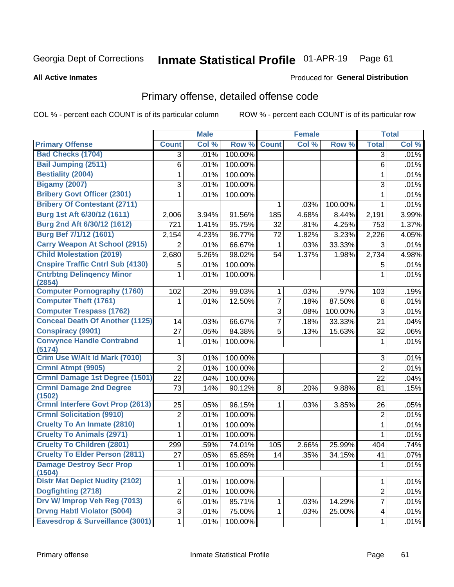#### Inmate Statistical Profile 01-APR-19 Page 61

**All Active Inmates** 

#### Produced for General Distribution

## Primary offense, detailed offense code

COL % - percent each COUNT is of its particular column

|                                            |                  | <b>Male</b> |         |                | <b>Female</b> |         |                | <b>Total</b> |
|--------------------------------------------|------------------|-------------|---------|----------------|---------------|---------|----------------|--------------|
| <b>Primary Offense</b>                     | <b>Count</b>     | Col %       | Row %   | <b>Count</b>   | Col %         | Row %   | <b>Total</b>   | Col %        |
| <b>Bad Checks (1704)</b>                   | 3                | .01%        | 100.00% |                |               |         | 3              | .01%         |
| <b>Bail Jumping (2511)</b>                 | 6                | .01%        | 100.00% |                |               |         | 6              | .01%         |
| <b>Bestiality (2004)</b>                   | 1                | .01%        | 100.00% |                |               |         | 1              | .01%         |
| <b>Bigamy (2007)</b>                       | 3                | .01%        | 100.00% |                |               |         | 3              | .01%         |
| <b>Bribery Govt Officer (2301)</b>         | 1                | .01%        | 100.00% |                |               |         | 1              | .01%         |
| <b>Bribery Of Contestant (2711)</b>        |                  |             |         | 1              | .03%          | 100.00% | $\mathbf{1}$   | .01%         |
| Burg 1st Aft 6/30/12 (1611)                | 2,006            | 3.94%       | 91.56%  | 185            | 4.68%         | 8.44%   | 2,191          | 3.99%        |
| Burg 2nd Aft 6/30/12 (1612)                | 721              | 1.41%       | 95.75%  | 32             | .81%          | 4.25%   | 753            | 1.37%        |
| Burg Bef 7/1/12 (1601)                     | 2,154            | 4.23%       | 96.77%  | 72             | 1.82%         | 3.23%   | 2,226          | 4.05%        |
| <b>Carry Weapon At School (2915)</b>       | $\overline{2}$   | .01%        | 66.67%  | 1              | .03%          | 33.33%  | 3              | .01%         |
| <b>Child Molestation (2019)</b>            | 2,680            | 5.26%       | 98.02%  | 54             | 1.37%         | 1.98%   | 2,734          | 4.98%        |
| <b>Cnspire Traffic Cntrl Sub (4130)</b>    | 5                | .01%        | 100.00% |                |               |         | 5              | .01%         |
| <b>Cntrbtng Delingency Minor</b><br>(2854) | 1                | .01%        | 100.00% |                |               |         | 1              | .01%         |
| <b>Computer Pornography (1760)</b>         | 102              | .20%        | 99.03%  | $\mathbf{1}$   | .03%          | .97%    | 103            | .19%         |
| <b>Computer Theft (1761)</b>               | 1                | .01%        | 12.50%  | $\overline{7}$ | .18%          | 87.50%  | 8              | .01%         |
| <b>Computer Trespass (1762)</b>            |                  |             |         | 3              | .08%          | 100.00% | 3              | .01%         |
| <b>Conceal Death Of Another (1125)</b>     | 14               | .03%        | 66.67%  | $\overline{7}$ | .18%          | 33.33%  | 21             | .04%         |
| <b>Conspiracy (9901)</b>                   | 27               | .05%        | 84.38%  | 5              | .13%          | 15.63%  | 32             | .06%         |
| <b>Convynce Handle Contrabnd</b><br>(5174) | 1                | .01%        | 100.00% |                |               |         | 1              | .01%         |
| Crim Use W/Alt Id Mark (7010)              | 3                | .01%        | 100.00% |                |               |         | 3              | .01%         |
| Crmnl Atmpt (9905)                         | $\overline{2}$   | .01%        | 100.00% |                |               |         | $\overline{2}$ | .01%         |
| <b>Crmnl Damage 1st Degree (1501)</b>      | 22               | .04%        | 100.00% |                |               |         | 22             | .04%         |
| <b>Crmnl Damage 2nd Degree</b><br>(1502)   | 73               | .14%        | 90.12%  | 8              | .20%          | 9.88%   | 81             | .15%         |
| <b>Crmnl Interfere Govt Prop (2613)</b>    | 25               | .05%        | 96.15%  | 1              | .03%          | 3.85%   | 26             | .05%         |
| <b>Crmnl Solicitation (9910)</b>           | $\boldsymbol{2}$ | .01%        | 100.00% |                |               |         | $\overline{c}$ | .01%         |
| <b>Cruelty To An Inmate (2810)</b>         | 1                | .01%        | 100.00% |                |               |         | 1              | .01%         |
| <b>Cruelty To Animals (2971)</b>           | 1                | .01%        | 100.00% |                |               |         | 1              | .01%         |
| <b>Cruelty To Children (2801)</b>          | 299              | .59%        | 74.01%  | 105            | 2.66%         | 25.99%  | 404            | .74%         |
| <b>Cruelty To Elder Person (2811)</b>      | 27               | .05%        | 65.85%  | 14             | .35%          | 34.15%  | 41             | .07%         |
| <b>Damage Destroy Secr Prop</b><br>(1504)  | $\mathbf 1$      | .01%        | 100.00% |                |               |         | 1              | .01%         |
| <b>Distr Mat Depict Nudity (2102)</b>      | 1                | .01%        | 100.00% |                |               |         | 1              | .01%         |
| Dogfighting (2718)                         | $\overline{2}$   | .01%        | 100.00% |                |               |         | $\overline{c}$ | .01%         |
| Drv W/ Improp Veh Reg (7013)               | 6                | .01%        | 85.71%  | $\mathbf{1}$   | .03%          | 14.29%  | $\overline{7}$ | .01%         |
| <b>Drvng Habtl Violator (5004)</b>         | 3                | .01%        | 75.00%  | 1              | .03%          | 25.00%  | 4              | .01%         |
| <b>Eavesdrop &amp; Surveillance (3001)</b> | 1                | .01%        | 100.00% |                |               |         | 1              | .01%         |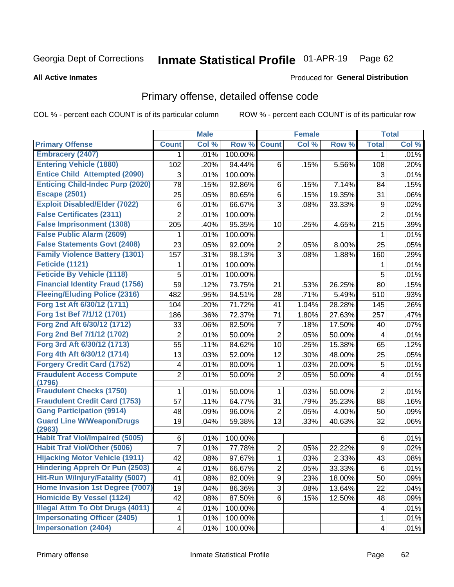#### Inmate Statistical Profile 01-APR-19 Page 62

**All Active Inmates** 

### Produced for General Distribution

## Primary offense, detailed offense code

COL % - percent each COUNT is of its particular column

|                                            |                          | <b>Male</b> |         |                | <b>Female</b> |        |                | <b>Total</b> |
|--------------------------------------------|--------------------------|-------------|---------|----------------|---------------|--------|----------------|--------------|
| <b>Primary Offense</b>                     | <b>Count</b>             | Col %       | Row %   | <b>Count</b>   | Col %         | Row %  | <b>Total</b>   | Col %        |
| <b>Embracery (2407)</b>                    | 1.                       | .01%        | 100.00% |                |               |        | 1              | .01%         |
| <b>Entering Vehicle (1880)</b>             | 102                      | .20%        | 94.44%  | 6              | .15%          | 5.56%  | 108            | .20%         |
| <b>Entice Child Attempted (2090)</b>       | 3                        | .01%        | 100.00% |                |               |        | 3              | .01%         |
| <b>Enticing Child-Indec Purp (2020)</b>    | 78                       | .15%        | 92.86%  | 6              | .15%          | 7.14%  | 84             | .15%         |
| <b>Escape (2501)</b>                       | 25                       | .05%        | 80.65%  | 6              | .15%          | 19.35% | 31             | .06%         |
| <b>Exploit Disabled/Elder (7022)</b>       | $\,6$                    | .01%        | 66.67%  | 3              | .08%          | 33.33% | 9              | .02%         |
| <b>False Certificates (2311)</b>           | $\overline{2}$           | .01%        | 100.00% |                |               |        | $\overline{2}$ | .01%         |
| <b>False Imprisonment (1308)</b>           | 205                      | .40%        | 95.35%  | 10             | .25%          | 4.65%  | 215            | .39%         |
| <b>False Public Alarm (2609)</b>           | 1                        | .01%        | 100.00% |                |               |        |                | .01%         |
| <b>False Statements Govt (2408)</b>        | 23                       | .05%        | 92.00%  | $\overline{c}$ | .05%          | 8.00%  | 25             | .05%         |
| <b>Family Violence Battery (1301)</b>      | 157                      | .31%        | 98.13%  | 3              | .08%          | 1.88%  | 160            | .29%         |
| Feticide (1121)                            | 1                        | .01%        | 100.00% |                |               |        | 1              | .01%         |
| <b>Feticide By Vehicle (1118)</b>          | 5                        | .01%        | 100.00% |                |               |        | 5              | .01%         |
| <b>Financial Identity Fraud (1756)</b>     | 59                       | .12%        | 73.75%  | 21             | .53%          | 26.25% | 80             | .15%         |
| <b>Fleeing/Eluding Police (2316)</b>       | 482                      | .95%        | 94.51%  | 28             | .71%          | 5.49%  | 510            | .93%         |
| Forg 1st Aft 6/30/12 (1711)                | 104                      | .20%        | 71.72%  | 41             | 1.04%         | 28.28% | 145            | .26%         |
| Forg 1st Bef 7/1/12 (1701)                 | 186                      | .36%        | 72.37%  | 71             | 1.80%         | 27.63% | 257            | .47%         |
| Forg 2nd Aft 6/30/12 (1712)                | 33                       | .06%        | 82.50%  | 7              | .18%          | 17.50% | 40             | .07%         |
| Forg 2nd Bef 7/1/12 (1702)                 | 2                        | .01%        | 50.00%  | $\overline{2}$ | .05%          | 50.00% | 4              | .01%         |
| Forg 3rd Aft 6/30/12 (1713)                | 55                       | .11%        | 84.62%  | 10             | .25%          | 15.38% | 65             | .12%         |
| Forg 4th Aft 6/30/12 (1714)                | 13                       | .03%        | 52.00%  | 12             | .30%          | 48.00% | 25             | .05%         |
| <b>Forgery Credit Card (1752)</b>          | 4                        | .01%        | 80.00%  | 1              | .03%          | 20.00% | 5              | .01%         |
| <b>Fraudulent Access Compute</b><br>(1796) | $\overline{2}$           | .01%        | 50.00%  | $\overline{2}$ | .05%          | 50.00% | 4              | .01%         |
| <b>Fraudulent Checks (1750)</b>            | 1                        | .01%        | 50.00%  | 1              | .03%          | 50.00% | $\overline{2}$ | .01%         |
| <b>Fraudulent Credit Card (1753)</b>       | 57                       | .11%        | 64.77%  | 31             | .79%          | 35.23% | 88             | .16%         |
| <b>Gang Participation (9914)</b>           | 48                       | .09%        | 96.00%  | $\overline{2}$ | .05%          | 4.00%  | 50             | .09%         |
| <b>Guard Line W/Weapon/Drugs</b><br>(2963) | 19                       | .04%        | 59.38%  | 13             | .33%          | 40.63% | 32             | .06%         |
| <b>Habit Traf Viol/Impaired (5005)</b>     | 6                        | .01%        | 100.00% |                |               |        | 6              | .01%         |
| <b>Habit Traf Viol/Other (5006)</b>        | 7                        | .01%        | 77.78%  | $\overline{2}$ | .05%          | 22.22% | 9              | .02%         |
| <b>Hijacking Motor Vehicle (1911)</b>      | 42                       | .08%        | 97.67%  | 1              | .03%          | 2.33%  | 43             | .08%         |
| <b>Hindering Appreh Or Pun (2503)</b>      | $\overline{\mathcal{A}}$ | .01%        | 66.67%  | $\overline{2}$ | .05%          | 33.33% | $\,6$          | .01%         |
| Hit-Run W/Injury/Fatality (5007)           | 41                       | .08%        | 82.00%  | 9              | .23%          | 18.00% | 50             | .09%         |
| Home Invasion 1st Degree (7007)            | 19                       | .04%        | 86.36%  | $\overline{3}$ | .08%          | 13.64% | 22             | .04%         |
| <b>Homicide By Vessel (1124)</b>           | 42                       | .08%        | 87.50%  | 6              | .15%          | 12.50% | 48             | .09%         |
| <b>Illegal Attm To Obt Drugs (4011)</b>    | 4                        | .01%        | 100.00% |                |               |        | 4              | .01%         |
| <b>Impersonating Officer (2405)</b>        | $\mathbf 1$              | .01%        | 100.00% |                |               |        | $\mathbf 1$    | .01%         |
| <b>Impersonation (2404)</b>                | 4                        | .01%        | 100.00% |                |               |        | 4              | .01%         |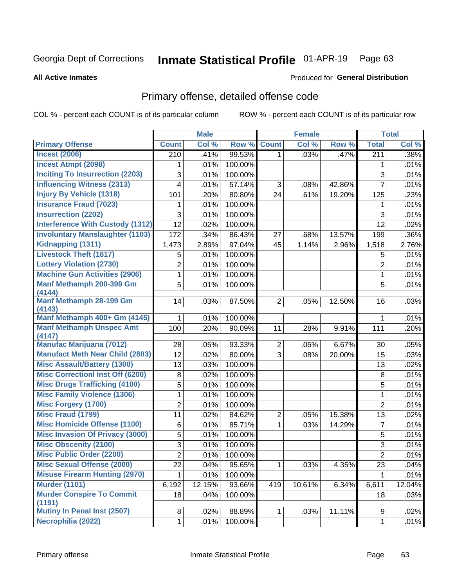#### Inmate Statistical Profile 01-APR-19 Page 63

#### **All Active Inmates**

#### Produced for General Distribution

## Primary offense, detailed offense code

COL % - percent each COUNT is of its particular column

|                                         |                | <b>Male</b> |         |                | <b>Female</b> |        |                  | <b>Total</b> |
|-----------------------------------------|----------------|-------------|---------|----------------|---------------|--------|------------------|--------------|
| <b>Primary Offense</b>                  | <b>Count</b>   | Col %       | Row %   | <b>Count</b>   | Col %         | Row %  | <b>Total</b>     | Col %        |
| <b>Incest (2006)</b>                    | 210            | .41%        | 99.53%  | 1 <sup>1</sup> | .03%          | .47%   | $\overline{211}$ | .38%         |
| <b>Incest Atmpt (2098)</b>              | 1              | .01%        | 100.00% |                |               |        | 1                | .01%         |
| <b>Inciting To Insurrection (2203)</b>  | 3              | .01%        | 100.00% |                |               |        | $\overline{3}$   | .01%         |
| <b>Influencing Witness (2313)</b>       | 4              | .01%        | 57.14%  | 3              | .08%          | 42.86% | $\overline{7}$   | .01%         |
| <b>Injury By Vehicle (1318)</b>         | 101            | .20%        | 80.80%  | 24             | .61%          | 19.20% | 125              | .23%         |
| <b>Insurance Fraud (7023)</b>           | 1              | .01%        | 100.00% |                |               |        | 1                | .01%         |
| <b>Insurrection (2202)</b>              | 3              | .01%        | 100.00% |                |               |        | 3                | .01%         |
| <b>Interference With Custody (1312)</b> | 12             | .02%        | 100.00% |                |               |        | 12               | .02%         |
| <b>Involuntary Manslaughter (1103)</b>  | 172            | .34%        | 86.43%  | 27             | .68%          | 13.57% | 199              | .36%         |
| Kidnapping (1311)                       | 1,473          | 2.89%       | 97.04%  | 45             | 1.14%         | 2.96%  | 1,518            | 2.76%        |
| <b>Livestock Theft (1817)</b>           | 5              | .01%        | 100.00% |                |               |        | 5                | .01%         |
| <b>Lottery Violation (2730)</b>         | $\overline{2}$ | .01%        | 100.00% |                |               |        | 2                | .01%         |
| <b>Machine Gun Activities (2906)</b>    | 1              | .01%        | 100.00% |                |               |        | $\mathbf{1}$     | .01%         |
| Manf Methamph 200-399 Gm                | 5              | .01%        | 100.00% |                |               |        | 5                | .01%         |
| (4144)<br>Manf Methamph 28-199 Gm       | 14             | .03%        | 87.50%  | $\overline{2}$ | .05%          | 12.50% | 16               | .03%         |
| (4143)                                  |                |             |         |                |               |        |                  |              |
| Manf Methamph 400+ Gm (4145)            | 1              | .01%        | 100.00% |                |               |        | 1                | .01%         |
| <b>Manf Methamph Unspec Amt</b>         | 100            | .20%        | 90.09%  | 11             | .28%          | 9.91%  | 111              | .20%         |
| (4147)                                  |                |             |         |                |               |        |                  |              |
| <b>Manufac Marijuana (7012)</b>         | 28             | .05%        | 93.33%  | $\overline{2}$ | .05%          | 6.67%  | 30               | .05%         |
| <b>Manufact Meth Near Child (2803)</b>  | 12             | .02%        | 80.00%  | 3              | .08%          | 20.00% | 15               | .03%         |
| <b>Misc Assault/Battery (1300)</b>      | 13             | .03%        | 100.00% |                |               |        | 13               | .02%         |
| <b>Misc Correctionl Inst Off (6200)</b> | 8              | .02%        | 100.00% |                |               |        | 8                | .01%         |
| <b>Misc Drugs Trafficking (4100)</b>    | 5              | .01%        | 100.00% |                |               |        | 5                | .01%         |
| <b>Misc Family Violence (1306)</b>      | 1              | $.01\%$     | 100.00% |                |               |        | $\mathbf{1}$     | .01%         |
| <b>Misc Forgery (1700)</b>              | $\overline{2}$ | .01%        | 100.00% |                |               |        | $\overline{2}$   | .01%         |
| <b>Misc Fraud (1799)</b>                | 11             | .02%        | 84.62%  | $\overline{2}$ | .05%          | 15.38% | 13               | .02%         |
| <b>Misc Homicide Offense (1100)</b>     | 6              | .01%        | 85.71%  | $\mathbf 1$    | .03%          | 14.29% | $\overline{7}$   | .01%         |
| <b>Misc Invasion Of Privacy (3000)</b>  | 5              | $.01\%$     | 100.00% |                |               |        | 5                | .01%         |
| <b>Misc Obscenity (2100)</b>            | 3              | .01%        | 100.00% |                |               |        | $\sqrt{3}$       | .01%         |
| <b>Misc Public Order (2200)</b>         | $\overline{2}$ | .01%        | 100.00% |                |               |        | $\overline{2}$   | .01%         |
| <b>Misc Sexual Offense (2000)</b>       | 22             | .04%        | 95.65%  | $\mathbf{1}$   | .03%          | 4.35%  | 23               | .04%         |
| <b>Misuse Firearm Hunting (2970)</b>    | 1              | .01%        | 100.00% |                |               |        | 1                | .01%         |
| <b>Murder (1101)</b>                    | 6,192          | 12.15%      | 93.66%  | 419            | 10.61%        | 6.34%  | 6,611            | 12.04%       |
| <b>Murder Conspire To Commit</b>        | 18             | .04%        | 100.00% |                |               |        | 18               | .03%         |
| (1191)<br>Mutiny In Penal Inst (2507)   | 8              | .02%        | 88.89%  | $\mathbf{1}$   | .03%          | 11.11% | 9                | .02%         |
| Necrophilia (2022)                      |                | .01%        | 100.00% |                |               |        | $\mathbf{1}$     | .01%         |
|                                         | 1              |             |         |                |               |        |                  |              |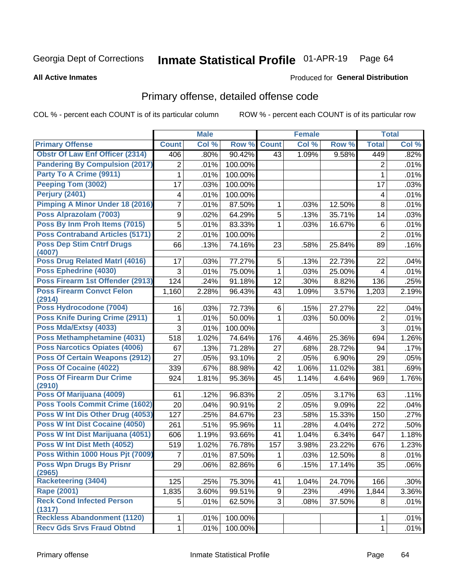#### Inmate Statistical Profile 01-APR-19 Page 64

**All Active Inmates** 

### Produced for General Distribution

## Primary offense, detailed offense code

COL % - percent each COUNT is of its particular column

|                                            |                | <b>Male</b> |         |                | <b>Female</b> |        |                | <b>Total</b> |
|--------------------------------------------|----------------|-------------|---------|----------------|---------------|--------|----------------|--------------|
| <b>Primary Offense</b>                     | <b>Count</b>   | Col %       | Row %   | <b>Count</b>   | Col %         | Row %  | <b>Total</b>   | Col %        |
| <b>Obstr Of Law Enf Officer (2314)</b>     | 406            | .80%        | 90.42%  | 43             | 1.09%         | 9.58%  | 449            | .82%         |
| <b>Pandering By Compulsion (2017)</b>      | 2              | .01%        | 100.00% |                |               |        | 2              | .01%         |
| Party To A Crime (9911)                    | 1              | .01%        | 100.00% |                |               |        | 1              | .01%         |
| Peeping Tom (3002)                         | 17             | .03%        | 100.00% |                |               |        | 17             | .03%         |
| Perjury (2401)                             | 4              | .01%        | 100.00% |                |               |        | 4              | .01%         |
| <b>Pimping A Minor Under 18 (2016)</b>     | 7              | .01%        | 87.50%  | 1              | .03%          | 12.50% | 8              | .01%         |
| Poss Alprazolam (7003)                     | 9              | .02%        | 64.29%  | 5              | .13%          | 35.71% | 14             | .03%         |
| Poss By Inm Proh Items (7015)              | 5              | .01%        | 83.33%  | $\mathbf 1$    | .03%          | 16.67% | $\,6$          | .01%         |
| <b>Poss Contraband Articles (5171)</b>     | $\overline{2}$ | .01%        | 100.00% |                |               |        | $\overline{2}$ | .01%         |
| <b>Poss Dep Stim Cntrf Drugs</b><br>(4007) | 66             | .13%        | 74.16%  | 23             | .58%          | 25.84% | 89             | .16%         |
| Poss Drug Related Matrl (4016)             | 17             | .03%        | 77.27%  | 5              | .13%          | 22.73% | 22             | .04%         |
| Poss Ephedrine (4030)                      | 3              | .01%        | 75.00%  | $\mathbf{1}$   | .03%          | 25.00% | 4              | .01%         |
| Poss Firearm 1st Offender (2913)           | 124            | .24%        | 91.18%  | 12             | .30%          | 8.82%  | 136            | .25%         |
| <b>Poss Firearm Convct Felon</b>           | 1,160          | 2.28%       | 96.43%  | 43             | 1.09%         | 3.57%  | 1,203          | 2.19%        |
| (2914)                                     |                |             |         |                |               |        |                |              |
| Poss Hydrocodone (7004)                    | 16             | .03%        | 72.73%  | 6              | .15%          | 27.27% | 22             | .04%         |
| <b>Poss Knife During Crime (2911)</b>      | 1              | .01%        | 50.00%  | $\mathbf 1$    | .03%          | 50.00% | $\overline{2}$ | .01%         |
| Poss Mda/Extsy (4033)                      | 3              | .01%        | 100.00% |                |               |        | $\overline{3}$ | .01%         |
| Poss Methamphetamine (4031)                | 518            | 1.02%       | 74.64%  | 176            | 4.46%         | 25.36% | 694            | 1.26%        |
| <b>Poss Narcotics Opiates (4006)</b>       | 67             | .13%        | 71.28%  | 27             | .68%          | 28.72% | 94             | .17%         |
| <b>Poss Of Certain Weapons (2912)</b>      | 27             | .05%        | 93.10%  | $\overline{2}$ | .05%          | 6.90%  | 29             | .05%         |
| Poss Of Cocaine (4022)                     | 339            | .67%        | 88.98%  | 42             | 1.06%         | 11.02% | 381            | .69%         |
| <b>Poss Of Firearm Dur Crime</b><br>(2910) | 924            | 1.81%       | 95.36%  | 45             | 1.14%         | 4.64%  | 969            | 1.76%        |
| Poss Of Marijuana (4009)                   | 61             | .12%        | 96.83%  | $\overline{2}$ | .05%          | 3.17%  | 63             | .11%         |
| <b>Poss Tools Commit Crime (1602)</b>      | 20             | .04%        | 90.91%  | $\overline{2}$ | .05%          | 9.09%  | 22             | .04%         |
| Poss W Int Dis Other Drug (4053)           | 127            | .25%        | 84.67%  | 23             | .58%          | 15.33% | 150            | .27%         |
| Poss W Int Dist Cocaine (4050)             | 261            | .51%        | 95.96%  | 11             | .28%          | 4.04%  | 272            | .50%         |
| Poss W Int Dist Marijuana (4051)           | 606            | 1.19%       | 93.66%  | 41             | 1.04%         | 6.34%  | 647            | 1.18%        |
| Poss W Int Dist Meth (4052)                | 519            | 1.02%       | 76.78%  | 157            | 3.98%         | 23.22% | 676            | 1.23%        |
| Poss Within 1000 Hous Pjt (7009)           | 7              | .01%        | 87.50%  | 1              | .03%          | 12.50% | 8              | .01%         |
| <b>Poss Wpn Drugs By Prisnr</b><br>(2965)  | 29             | .06%        | 82.86%  | 6              | .15%          | 17.14% | 35             | .06%         |
| <b>Racketeering (3404)</b>                 | 125            | .25%        | 75.30%  | 41             | 1.04%         | 24.70% | 166            | .30%         |
| Rape (2001)                                | 1,835          | 3.60%       | 99.51%  | 9 <sup>1</sup> | .23%          | .49%   | 1,844          | 3.36%        |
| <b>Reck Cond Infected Person</b>           | 5              | .01%        | 62.50%  | 3 <sup>1</sup> | .08%          | 37.50% | 8              | .01%         |
| (1317)                                     |                |             |         |                |               |        |                |              |
| <b>Reckless Abandonment (1120)</b>         | 1              | .01%        | 100.00% |                |               |        | 1              | .01%         |
| <b>Recv Gds Srvs Fraud Obtnd</b>           | $\mathbf 1$    | .01%        | 100.00% |                |               |        | $\mathbf{1}$   | .01%         |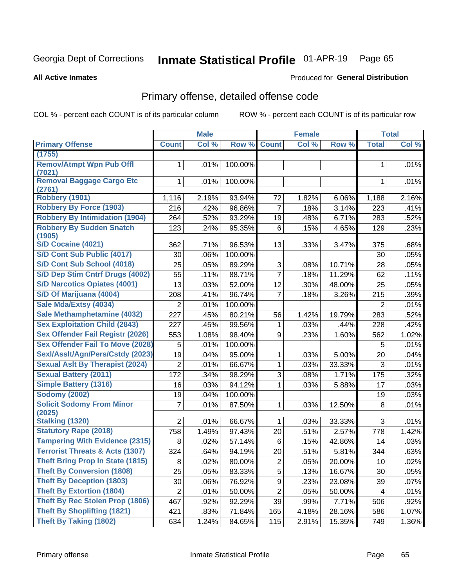#### Inmate Statistical Profile 01-APR-19 Page 65

**Produced for General Distribution** 

#### **All Active Inmates**

# Primary offense, detailed offense code

COL % - percent each COUNT is of its particular column

|                                            |                | <b>Male</b> |         |                         | <b>Female</b> |        |              | <b>Total</b> |
|--------------------------------------------|----------------|-------------|---------|-------------------------|---------------|--------|--------------|--------------|
| <b>Primary Offense</b>                     | <b>Count</b>   | Col %       | Row %   | <b>Count</b>            | Col %         | Row %  | <b>Total</b> | Col %        |
| (1755)                                     |                |             |         |                         |               |        |              |              |
| <b>Remov/Atmpt Wpn Pub Offl</b><br>(7021)  | $\mathbf{1}$   | .01%        | 100.00% |                         |               |        | 1            | .01%         |
| <b>Removal Baggage Cargo Etc</b><br>(2761) | 1              | .01%        | 100.00% |                         |               |        | 1            | .01%         |
| <b>Robbery (1901)</b>                      | 1,116          | 2.19%       | 93.94%  | 72                      | 1.82%         | 6.06%  | 1,188        | 2.16%        |
| <b>Robbery By Force (1903)</b>             | 216            | .42%        | 96.86%  | $\overline{7}$          | .18%          | 3.14%  | 223          | .41%         |
| <b>Robbery By Intimidation (1904)</b>      | 264            | .52%        | 93.29%  | 19                      | .48%          | 6.71%  | 283          | .52%         |
| <b>Robbery By Sudden Snatch</b><br>(1905)  | 123            | .24%        | 95.35%  | 6                       | .15%          | 4.65%  | 129          | .23%         |
| <b>S/D Cocaine (4021)</b>                  | 362            | .71%        | 96.53%  | 13                      | .33%          | 3.47%  | 375          | .68%         |
| S/D Cont Sub Public (4017)                 | 30             | .06%        | 100.00% |                         |               |        | 30           | .05%         |
| S/D Cont Sub School (4018)                 | 25             | .05%        | 89.29%  | 3                       | .08%          | 10.71% | 28           | .05%         |
| S/D Dep Stim Cntrf Drugs (4002)            | 55             | .11%        | 88.71%  | $\overline{7}$          | .18%          | 11.29% | 62           | .11%         |
| <b>S/D Narcotics Opiates (4001)</b>        | 13             | .03%        | 52.00%  | 12                      | .30%          | 48.00% | 25           | .05%         |
| S/D Of Marijuana (4004)                    | 208            | .41%        | 96.74%  | $\overline{7}$          | .18%          | 3.26%  | 215          | .39%         |
| Sale Mda/Extsy (4034)                      | $\overline{2}$ | .01%        | 100.00% |                         |               |        | 2            | .01%         |
| Sale Methamphetamine (4032)                | 227            | .45%        | 80.21%  | 56                      | 1.42%         | 19.79% | 283          | .52%         |
| <b>Sex Exploitation Child (2843)</b>       | 227            | .45%        | 99.56%  | 1                       | .03%          | .44%   | 228          | .42%         |
| <b>Sex Offender Fail Registr (2026)</b>    | 553            | 1.08%       | 98.40%  | 9                       | .23%          | 1.60%  | 562          | 1.02%        |
| <b>Sex Offender Fail To Move (2028)</b>    | 5              | .01%        | 100.00% |                         |               |        | 5            | .01%         |
| Sexl/Asslt/Agn/Pers/Cstdy (2023)           | 19             | .04%        | 95.00%  | $\mathbf{1}$            | .03%          | 5.00%  | 20           | .04%         |
| <b>Sexual Aslt By Therapist (2024)</b>     | $\overline{2}$ | .01%        | 66.67%  | $\mathbf{1}$            | .03%          | 33.33% | 3            | .01%         |
| <b>Sexual Battery (2011)</b>               | 172            | .34%        | 98.29%  | 3                       | .08%          | 1.71%  | 175          | .32%         |
| <b>Simple Battery (1316)</b>               | 16             | .03%        | 94.12%  | 1                       | .03%          | 5.88%  | 17           | .03%         |
| <b>Sodomy (2002)</b>                       | 19             | .04%        | 100.00% |                         |               |        | 19           | .03%         |
| <b>Solicit Sodomy From Minor</b><br>(2025) | 7              | .01%        | 87.50%  | 1                       | .03%          | 12.50% | 8            | .01%         |
| <b>Stalking (1320)</b>                     | $\overline{2}$ | .01%        | 66.67%  | 1                       | .03%          | 33.33% | 3            | .01%         |
| <b>Statutory Rape (2018)</b>               | 758            | 1.49%       | 97.43%  | 20                      | .51%          | 2.57%  | 778          | 1.42%        |
| <b>Tampering With Evidence (2315)</b>      | 8              | .02%        | 57.14%  | 6                       | .15%          | 42.86% | 14           | .03%         |
| <b>Terrorist Threats &amp; Acts (1307)</b> | 324            | .64%        | 94.19%  | 20                      | .51%          | 5.81%  | 344          | .63%         |
| <b>Theft Bring Prop In State (1815)</b>    | 8 <sup>1</sup> | .02%        | 80.00%  | $\overline{\mathbf{c}}$ | .05%          | 20.00% | $10$         | .02%         |
| <b>Theft By Conversion (1808)</b>          | 25             | .05%        | 83.33%  | 5                       | .13%          | 16.67% | 30           | .05%         |
| <b>Theft By Deception (1803)</b>           | 30             | .06%        | 76.92%  | 9                       | .23%          | 23.08% | 39           | .07%         |
| <b>Theft By Extortion (1804)</b>           | $\overline{2}$ | .01%        | 50.00%  | $\overline{2}$          | .05%          | 50.00% | 4            | .01%         |
| <b>Theft By Rec Stolen Prop (1806)</b>     | 467            | .92%        | 92.29%  | 39                      | .99%          | 7.71%  | 506          | .92%         |
| <b>Theft By Shoplifting (1821)</b>         | 421            | .83%        | 71.84%  | 165                     | 4.18%         | 28.16% | 586          | 1.07%        |
| <b>Theft By Taking (1802)</b>              | 634            | 1.24%       | 84.65%  | 115                     | 2.91%         | 15.35% | 749          | 1.36%        |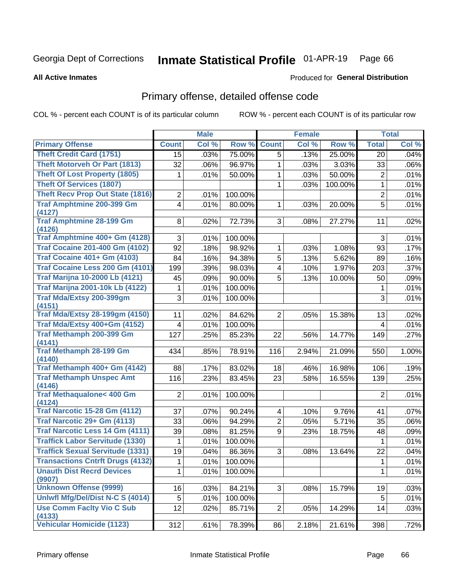#### Inmate Statistical Profile 01-APR-19 Page 66

**All Active Inmates** 

### Produced for General Distribution

## Primary offense, detailed offense code

COL % - percent each COUNT is of its particular column

|                                            |                | <b>Male</b> |         |                         | <b>Female</b> |         |                | <b>Total</b> |
|--------------------------------------------|----------------|-------------|---------|-------------------------|---------------|---------|----------------|--------------|
| <b>Primary Offense</b>                     | <b>Count</b>   | Col %       | Row %   | <b>Count</b>            | Col %         | Row %   | <b>Total</b>   | Col %        |
| <b>Theft Credit Card (1751)</b>            | 15             | .03%        | 75.00%  | $\overline{5}$          | .13%          | 25.00%  | 20             | .04%         |
| <b>Theft Motorveh Or Part (1813)</b>       | 32             | .06%        | 96.97%  | 1                       | .03%          | 3.03%   | 33             | .06%         |
| <b>Theft Of Lost Property (1805)</b>       | 1              | .01%        | 50.00%  | 1                       | .03%          | 50.00%  | $\overline{2}$ | .01%         |
| <b>Theft Of Services (1807)</b>            |                |             |         | 1                       | .03%          | 100.00% | 1              | .01%         |
| <b>Theft Recv Prop Out State (1816)</b>    | $\overline{2}$ | .01%        | 100.00% |                         |               |         | $\overline{2}$ | .01%         |
| <b>Traf Amphtmine 200-399 Gm</b>           | 4              | .01%        | 80.00%  | 1                       | .03%          | 20.00%  | 5              | .01%         |
| (4127)                                     |                |             |         |                         |               |         |                |              |
| <b>Traf Amphtmine 28-199 Gm</b><br>(4126)  | 8              | .02%        | 72.73%  | 3                       | .08%          | 27.27%  | 11             | .02%         |
| Traf Amphtmine 400+ Gm (4128)              | 3              | .01%        | 100.00% |                         |               |         | 3              | .01%         |
| <b>Traf Cocaine 201-400 Gm (4102)</b>      | 92             | .18%        | 98.92%  | 1                       | .03%          | 1.08%   | 93             | .17%         |
| <b>Traf Cocaine 401+ Gm (4103)</b>         | 84             | .16%        | 94.38%  | $\overline{5}$          | .13%          | 5.62%   | 89             | .16%         |
| Traf Cocaine Less 200 Gm (4101)            | 199            | .39%        | 98.03%  | 4                       | .10%          | 1.97%   | 203            | .37%         |
| <b>Traf Marijna 10-2000 Lb (4121)</b>      | 45             | .09%        | 90.00%  | $\overline{5}$          | .13%          | 10.00%  | 50             | .09%         |
| <b>Traf Marijna 2001-10k Lb (4122)</b>     | 1              | .01%        | 100.00% |                         |               |         | 1              | .01%         |
| <b>Traf Mda/Extsy 200-399gm</b>            | 3              | .01%        | 100.00% |                         |               |         | 3              | .01%         |
| (4151)                                     |                |             |         |                         |               |         |                |              |
| <b>Traf Mda/Extsy 28-199gm (4150)</b>      | 11             | .02%        | 84.62%  | $\overline{2}$          | .05%          | 15.38%  | 13             | .02%         |
| Traf Mda/Extsy 400+Gm (4152)               | 4              | .01%        | 100.00% |                         |               |         | 4              | .01%         |
| Traf Methamph 200-399 Gm                   | 127            | .25%        | 85.23%  | 22                      | .56%          | 14.77%  | 149            | .27%         |
| (4141)                                     |                |             |         |                         |               |         |                |              |
| <b>Traf Methamph 28-199 Gm</b>             | 434            | .85%        | 78.91%  | 116                     | 2.94%         | 21.09%  | 550            | 1.00%        |
| (4140)<br>Traf Methamph 400+ Gm (4142)     |                |             |         |                         |               |         |                |              |
| <b>Traf Methamph Unspec Amt</b>            | 88             | .17%        | 83.02%  | 18                      | .46%          | 16.98%  | 106            | .19%         |
| (4146)                                     | 116            | .23%        | 83.45%  | 23                      | .58%          | 16.55%  | 139            | .25%         |
| <b>Traf Methaqualone&lt; 400 Gm</b>        | $\overline{2}$ | .01%        | 100.00% |                         |               |         | $\overline{2}$ | .01%         |
| (4124)                                     |                |             |         |                         |               |         |                |              |
| <b>Traf Narcotic 15-28 Gm (4112)</b>       | 37             | .07%        | 90.24%  | $\overline{\mathbf{4}}$ | .10%          | 9.76%   | 41             | .07%         |
| Traf Narcotic 29+ Gm (4113)                | 33             | .06%        | 94.29%  | $\overline{2}$          | .05%          | 5.71%   | 35             | .06%         |
| Traf Narcotic Less 14 Gm (4111)            | 39             | .08%        | 81.25%  | 9                       | .23%          | 18.75%  | 48             | .09%         |
| <b>Traffick Labor Servitude (1330)</b>     | 1              | .01%        | 100.00% |                         |               |         | 1              | .01%         |
| <b>Traffick Sexual Servitude (1331)</b>    | 19             | .04%        | 86.36%  | 3                       | .08%          | 13.64%  | 22             | .04%         |
| <b>Transactions Cntrft Drugs (4132)</b>    | $\mathbf{1}$   | .01%        | 100.00% |                         |               |         | $\mathbf{1}$   | .01%         |
| <b>Unauth Dist Recrd Devices</b>           | 1              | .01%        | 100.00% |                         |               |         | 1              | .01%         |
| (9907)                                     |                |             |         |                         |               |         |                |              |
| <b>Unknown Offense (9999)</b>              | 16             | .03%        | 84.21%  | 3 <sup>1</sup>          | .08%          | 15.79%  | 19             | .03%         |
| Uniwfl Mfg/Del/Dist N-C S (4014)           | 5              | .01%        | 100.00% |                         |               |         | 5              | .01%         |
| <b>Use Comm Facity Vio C Sub</b><br>(4133) | 12             | .02%        | 85.71%  | $\overline{2}$          | .05%          | 14.29%  | 14             | .03%         |
| <b>Vehicular Homicide (1123)</b>           | 312            | .61%        | 78.39%  | 86                      | 2.18%         | 21.61%  | 398            | .72%         |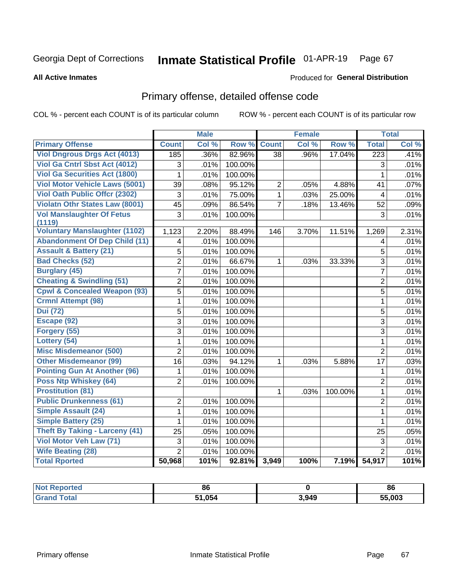#### Inmate Statistical Profile 01-APR-19 Page 67

**All Active Inmates** 

### Produced for General Distribution

## Primary offense, detailed offense code

COL % - percent each COUNT is of its particular column

|                                            |                 | <b>Male</b> |         |                 | <b>Female</b> |         |                         | <b>Total</b> |
|--------------------------------------------|-----------------|-------------|---------|-----------------|---------------|---------|-------------------------|--------------|
| <b>Primary Offense</b>                     | <b>Count</b>    | Col %       | Row %   | <b>Count</b>    | Col %         | Row %   | <b>Total</b>            | Col %        |
| <b>Viol Dngrous Drgs Act (4013)</b>        | 185             | .36%        | 82.96%  | $\overline{38}$ | .96%          | 17.04%  | $\overline{223}$        | .41%         |
| Viol Ga Cntrl Sbst Act (4012)              | 3               | .01%        | 100.00% |                 |               |         | 3                       | .01%         |
| <b>Viol Ga Securities Act (1800)</b>       | 1               | .01%        | 100.00% |                 |               |         | $\mathbf{1}$            | .01%         |
| <b>Viol Motor Vehicle Laws (5001)</b>      | 39              | .08%        | 95.12%  | $\overline{2}$  | .05%          | 4.88%   | 41                      | .07%         |
| <b>Viol Oath Public Offcr (2302)</b>       | 3               | .01%        | 75.00%  | $\mathbf{1}$    | .03%          | 25.00%  | $\overline{\mathbf{4}}$ | .01%         |
| Violatn Othr States Law (8001)             | $\overline{45}$ | .09%        | 86.54%  | $\overline{7}$  | .18%          | 13.46%  | 52                      | .09%         |
| <b>Vol Manslaughter Of Fetus</b><br>(1119) | 3               | .01%        | 100.00% |                 |               |         | 3                       | .01%         |
| <b>Voluntary Manslaughter (1102)</b>       | 1,123           | 2.20%       | 88.49%  | 146             | 3.70%         | 11.51%  | 1,269                   | 2.31%        |
| <b>Abandonment Of Dep Child (11)</b>       | 4               | .01%        | 100.00% |                 |               |         | 4                       | .01%         |
| <b>Assault &amp; Battery (21)</b>          | 5               | .01%        | 100.00% |                 |               |         | 5                       | .01%         |
| <b>Bad Checks (52)</b>                     | $\overline{2}$  | .01%        | 66.67%  | $\mathbf 1$     | .03%          | 33.33%  | $\overline{3}$          | .01%         |
| <b>Burglary (45)</b>                       | $\overline{7}$  | .01%        | 100.00% |                 |               |         | $\overline{7}$          | .01%         |
| <b>Cheating &amp; Swindling (51)</b>       | $\overline{2}$  | .01%        | 100.00% |                 |               |         | $\overline{2}$          | .01%         |
| <b>Cpwl &amp; Concealed Weapon (93)</b>    | $\overline{5}$  | .01%        | 100.00% |                 |               |         | $\overline{5}$          | .01%         |
| <b>Crmnl Attempt (98)</b>                  | 1               | .01%        | 100.00% |                 |               |         | $\mathbf{1}$            | .01%         |
| <b>Dui</b> (72)                            | 5               | .01%        | 100.00% |                 |               |         | $\sqrt{5}$              | .01%         |
| Escape (92)                                | 3               | .01%        | 100.00% |                 |               |         | $\overline{3}$          | .01%         |
| Forgery (55)                               | $\overline{3}$  | .01%        | 100.00% |                 |               |         | $\overline{3}$          | .01%         |
| Lottery (54)                               | $\mathbf{1}$    | .01%        | 100.00% |                 |               |         | $\mathbf{1}$            | .01%         |
| <b>Misc Misdemeanor (500)</b>              | $\overline{2}$  | .01%        | 100.00% |                 |               |         | $\overline{2}$          | .01%         |
| <b>Other Misdemeanor (99)</b>              | 16              | .03%        | 94.12%  | $\mathbf{1}$    | .03%          | 5.88%   | 17                      | .03%         |
| <b>Pointing Gun At Another (96)</b>        | 1               | .01%        | 100.00% |                 |               |         | 1                       | .01%         |
| Poss Ntp Whiskey (64)                      | $\overline{2}$  | .01%        | 100.00% |                 |               |         | $\overline{2}$          | .01%         |
| <b>Prostitution (81)</b>                   |                 |             |         | $\mathbf{1}$    | .03%          | 100.00% | $\mathbf{1}$            | .01%         |
| <b>Public Drunkenness (61)</b>             | $\overline{2}$  | .01%        | 100.00% |                 |               |         | $\overline{2}$          | .01%         |
| <b>Simple Assault (24)</b>                 | $\mathbf 1$     | .01%        | 100.00% |                 |               |         | $\mathbf{1}$            | .01%         |
| <b>Simple Battery (25)</b>                 | 1               | .01%        | 100.00% |                 |               |         | $\mathbf{1}$            | .01%         |
| <b>Theft By Taking - Larceny (41)</b>      | 25              | .05%        | 100.00% |                 |               |         | 25                      | .05%         |
| Viol Motor Veh Law (71)                    | 3               | .01%        | 100.00% |                 |               |         | $\overline{3}$          | .01%         |
| <b>Wife Beating (28)</b>                   | $\overline{2}$  | .01%        | 100.00% |                 |               |         | $\overline{2}$          | .01%         |
| <b>Total Rported</b>                       | 50,968          | 101%        | 92.81%  | 3,949           | 100%          | 7.19%   | 54,917                  | 101%         |

| *eporteα⊹<br>NOT | 86    |       | 86     |
|------------------|-------|-------|--------|
| $5 - 4 - 1$      | 1.051 | 3,949 | 55,003 |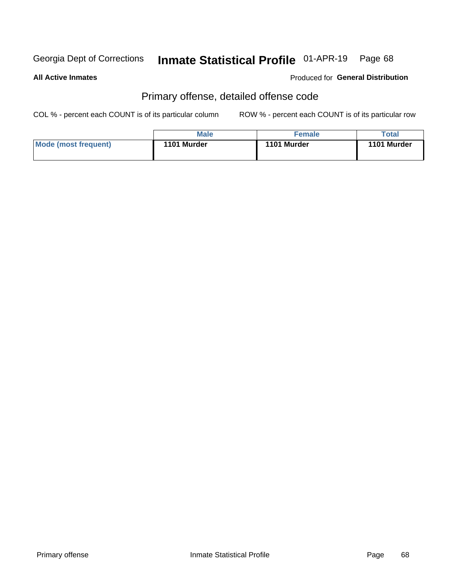#### Inmate Statistical Profile 01-APR-19 Page 68

#### **All Active Inmates**

### Produced for General Distribution

## Primary offense, detailed offense code

COL % - percent each COUNT is of its particular column

|                      | <b>Male</b> | <b>Female</b> | Total       |
|----------------------|-------------|---------------|-------------|
| Mode (most frequent) | 1101 Murder | 1101 Murder   | 1101 Murder |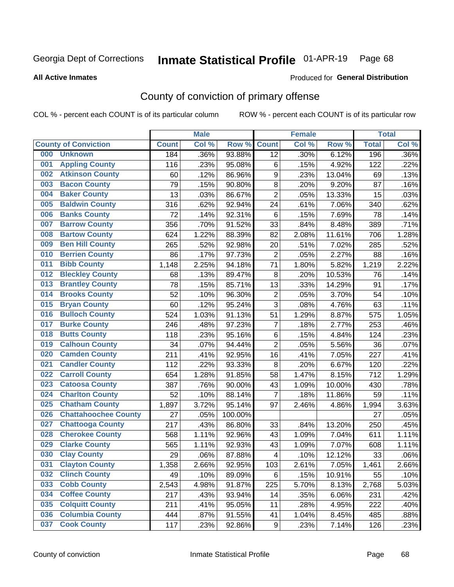# Inmate Statistical Profile 01-APR-19 Page 68

**All Active Inmates** 

### Produced for General Distribution

## County of conviction of primary offense

COL % - percent each COUNT is of its particular column

|     |                             |              | <b>Male</b> |         |                         | <b>Female</b> |        |              | <b>Total</b> |
|-----|-----------------------------|--------------|-------------|---------|-------------------------|---------------|--------|--------------|--------------|
|     | <b>County of Conviction</b> | <b>Count</b> | Col %       | Row %   | <b>Count</b>            | Col %         | Row %  | <b>Total</b> | Col %        |
| 000 | <b>Unknown</b>              | 184          | .36%        | 93.88%  | 12                      | .30%          | 6.12%  | 196          | .36%         |
| 001 | <b>Appling County</b>       | 116          | .23%        | 95.08%  | 6                       | .15%          | 4.92%  | 122          | .22%         |
| 002 | <b>Atkinson County</b>      | 60           | .12%        | 86.96%  | $\boldsymbol{9}$        | .23%          | 13.04% | 69           | .13%         |
| 003 | <b>Bacon County</b>         | 79           | .15%        | 90.80%  | 8                       | .20%          | 9.20%  | 87           | .16%         |
| 004 | <b>Baker County</b>         | 13           | .03%        | 86.67%  | $\overline{2}$          | .05%          | 13.33% | 15           | .03%         |
| 005 | <b>Baldwin County</b>       | 316          | .62%        | 92.94%  | 24                      | .61%          | 7.06%  | 340          | .62%         |
| 006 | <b>Banks County</b>         | 72           | .14%        | 92.31%  | 6                       | .15%          | 7.69%  | 78           | .14%         |
| 007 | <b>Barrow County</b>        | 356          | .70%        | 91.52%  | 33                      | .84%          | 8.48%  | 389          | .71%         |
| 008 | <b>Bartow County</b>        | 624          | 1.22%       | 88.39%  | 82                      | 2.08%         | 11.61% | 706          | 1.28%        |
| 009 | <b>Ben Hill County</b>      | 265          | .52%        | 92.98%  | 20                      | .51%          | 7.02%  | 285          | .52%         |
| 010 | <b>Berrien County</b>       | 86           | .17%        | 97.73%  | $\mathbf 2$             | .05%          | 2.27%  | 88           | .16%         |
| 011 | <b>Bibb County</b>          | 1,148        | 2.25%       | 94.18%  | 71                      | 1.80%         | 5.82%  | 1,219        | 2.22%        |
| 012 | <b>Bleckley County</b>      | 68           | .13%        | 89.47%  | 8                       | .20%          | 10.53% | 76           | .14%         |
| 013 | <b>Brantley County</b>      | 78           | .15%        | 85.71%  | 13                      | .33%          | 14.29% | 91           | .17%         |
| 014 | <b>Brooks County</b>        | 52           | .10%        | 96.30%  | $\overline{2}$          | .05%          | 3.70%  | 54           | .10%         |
| 015 | <b>Bryan County</b>         | 60           | .12%        | 95.24%  | 3                       | .08%          | 4.76%  | 63           | .11%         |
| 016 | <b>Bulloch County</b>       | 524          | 1.03%       | 91.13%  | 51                      | 1.29%         | 8.87%  | 575          | 1.05%        |
| 017 | <b>Burke County</b>         | 246          | .48%        | 97.23%  | $\overline{7}$          | .18%          | 2.77%  | 253          | .46%         |
| 018 | <b>Butts County</b>         | 118          | .23%        | 95.16%  | 6                       | .15%          | 4.84%  | 124          | .23%         |
| 019 | <b>Calhoun County</b>       | 34           | .07%        | 94.44%  | $\overline{2}$          | .05%          | 5.56%  | 36           | .07%         |
| 020 | <b>Camden County</b>        | 211          | .41%        | 92.95%  | 16                      | .41%          | 7.05%  | 227          | .41%         |
| 021 | <b>Candler County</b>       | 112          | .22%        | 93.33%  | $\,8\,$                 | .20%          | 6.67%  | 120          | .22%         |
| 022 | <b>Carroll County</b>       | 654          | 1.28%       | 91.85%  | 58                      | 1.47%         | 8.15%  | 712          | 1.29%        |
| 023 | <b>Catoosa County</b>       | 387          | .76%        | 90.00%  | 43                      | 1.09%         | 10.00% | 430          | .78%         |
| 024 | <b>Charlton County</b>      | 52           | .10%        | 88.14%  | $\overline{7}$          | .18%          | 11.86% | 59           | .11%         |
| 025 | <b>Chatham County</b>       | 1,897        | 3.72%       | 95.14%  | 97                      | 2.46%         | 4.86%  | 1,994        | 3.63%        |
| 026 | <b>Chattahoochee County</b> | 27           | .05%        | 100.00% |                         |               |        | 27           | .05%         |
| 027 | <b>Chattooga County</b>     | 217          | .43%        | 86.80%  | 33                      | .84%          | 13.20% | 250          | .45%         |
| 028 | <b>Cherokee County</b>      | 568          | 1.11%       | 92.96%  | 43                      | 1.09%         | 7.04%  | 611          | 1.11%        |
| 029 | <b>Clarke County</b>        | 565          | 1.11%       | 92.93%  | 43                      | 1.09%         | 7.07%  | 608          | 1.11%        |
| 030 | <b>Clay County</b>          | 29           | .06%        | 87.88%  | $\overline{\mathbf{4}}$ | .10%          | 12.12% | 33           | .06%         |
| 031 | <b>Clayton County</b>       | 1,358        | 2.66%       | 92.95%  | 103                     | 2.61%         | 7.05%  | 1,461        | 2.66%        |
| 032 | <b>Clinch County</b>        | 49           | .10%        | 89.09%  | 6                       | .15%          | 10.91% | 55           | .10%         |
| 033 | <b>Cobb County</b>          | 2,543        | 4.98%       | 91.87%  | 225                     | 5.70%         | 8.13%  | 2,768        | 5.03%        |
| 034 | <b>Coffee County</b>        | 217          | .43%        | 93.94%  | 14                      | .35%          | 6.06%  | 231          | .42%         |
| 035 | <b>Colquitt County</b>      | 211          | .41%        | 95.05%  | 11                      | .28%          | 4.95%  | 222          | .40%         |
| 036 | <b>Columbia County</b>      | 444          | .87%        | 91.55%  | 41                      | 1.04%         | 8.45%  | 485          | .88%         |
| 037 | <b>Cook County</b>          | 117          | .23%        | 92.86%  | 9                       | .23%          | 7.14%  | 126          | .23%         |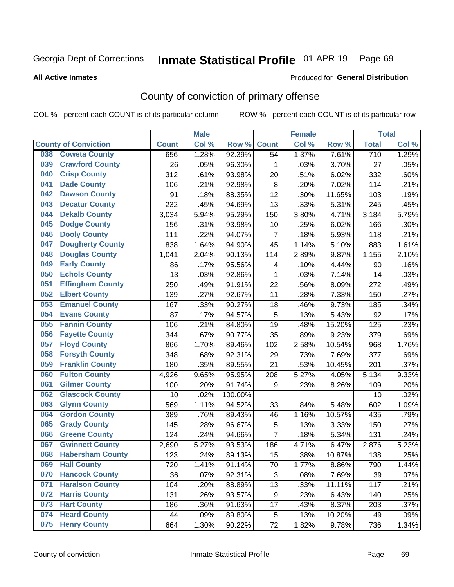# Inmate Statistical Profile 01-APR-19 Page 69

**All Active Inmates** 

### Produced for General Distribution

## County of conviction of primary offense

COL % - percent each COUNT is of its particular column

|     |                             |              | <b>Male</b> |         |                | <b>Female</b> |        |                  | <b>Total</b> |
|-----|-----------------------------|--------------|-------------|---------|----------------|---------------|--------|------------------|--------------|
|     | <b>County of Conviction</b> | <b>Count</b> | Col %       | Row %   | <b>Count</b>   | Col%          | Row %  | <b>Total</b>     | Col %        |
| 038 | <b>Coweta County</b>        | 656          | 1.28%       | 92.39%  | 54             | 1.37%         | 7.61%  | $\overline{710}$ | 1.29%        |
| 039 | <b>Crawford County</b>      | 26           | .05%        | 96.30%  | 1              | .03%          | 3.70%  | 27               | .05%         |
| 040 | <b>Crisp County</b>         | 312          | .61%        | 93.98%  | 20             | .51%          | 6.02%  | 332              | .60%         |
| 041 | <b>Dade County</b>          | 106          | .21%        | 92.98%  | 8              | .20%          | 7.02%  | 114              | .21%         |
| 042 | <b>Dawson County</b>        | 91           | .18%        | 88.35%  | 12             | .30%          | 11.65% | 103              | .19%         |
| 043 | <b>Decatur County</b>       | 232          | .45%        | 94.69%  | 13             | .33%          | 5.31%  | 245              | .45%         |
| 044 | <b>Dekalb County</b>        | 3,034        | 5.94%       | 95.29%  | 150            | 3.80%         | 4.71%  | 3,184            | 5.79%        |
| 045 | <b>Dodge County</b>         | 156          | .31%        | 93.98%  | 10             | .25%          | 6.02%  | 166              | .30%         |
| 046 | <b>Dooly County</b>         | 111          | .22%        | 94.07%  | $\overline{7}$ | .18%          | 5.93%  | 118              | .21%         |
| 047 | <b>Dougherty County</b>     | 838          | 1.64%       | 94.90%  | 45             | 1.14%         | 5.10%  | 883              | 1.61%        |
| 048 | <b>Douglas County</b>       | 1,041        | 2.04%       | 90.13%  | 114            | 2.89%         | 9.87%  | 1,155            | 2.10%        |
| 049 | <b>Early County</b>         | 86           | .17%        | 95.56%  | 4              | .10%          | 4.44%  | 90               | .16%         |
| 050 | <b>Echols County</b>        | 13           | .03%        | 92.86%  | $\mathbf{1}$   | .03%          | 7.14%  | 14               | .03%         |
| 051 | <b>Effingham County</b>     | 250          | .49%        | 91.91%  | 22             | .56%          | 8.09%  | 272              | .49%         |
| 052 | <b>Elbert County</b>        | 139          | .27%        | 92.67%  | 11             | .28%          | 7.33%  | 150              | .27%         |
| 053 | <b>Emanuel County</b>       | 167          | .33%        | 90.27%  | 18             | .46%          | 9.73%  | 185              | .34%         |
| 054 | <b>Evans County</b>         | 87           | .17%        | 94.57%  | 5              | .13%          | 5.43%  | 92               | .17%         |
| 055 | <b>Fannin County</b>        | 106          | .21%        | 84.80%  | 19             | .48%          | 15.20% | 125              | .23%         |
| 056 | <b>Fayette County</b>       | 344          | .67%        | 90.77%  | 35             | .89%          | 9.23%  | 379              | .69%         |
| 057 | <b>Floyd County</b>         | 866          | 1.70%       | 89.46%  | 102            | 2.58%         | 10.54% | 968              | 1.76%        |
| 058 | <b>Forsyth County</b>       | 348          | .68%        | 92.31%  | 29             | .73%          | 7.69%  | 377              | .69%         |
| 059 | <b>Franklin County</b>      | 180          | .35%        | 89.55%  | 21             | .53%          | 10.45% | 201              | .37%         |
| 060 | <b>Fulton County</b>        | 4,926        | 9.65%       | 95.95%  | 208            | 5.27%         | 4.05%  | 5,134            | 9.33%        |
| 061 | <b>Gilmer County</b>        | 100          | .20%        | 91.74%  | 9              | .23%          | 8.26%  | 109              | .20%         |
| 062 | <b>Glascock County</b>      | 10           | .02%        | 100.00% |                |               |        | 10               | .02%         |
| 063 | <b>Glynn County</b>         | 569          | 1.11%       | 94.52%  | 33             | .84%          | 5.48%  | 602              | 1.09%        |
| 064 | <b>Gordon County</b>        | 389          | .76%        | 89.43%  | 46             | 1.16%         | 10.57% | 435              | .79%         |
| 065 | <b>Grady County</b>         | 145          | .28%        | 96.67%  | 5              | .13%          | 3.33%  | 150              | .27%         |
| 066 | <b>Greene County</b>        | 124          | .24%        | 94.66%  | $\overline{7}$ | .18%          | 5.34%  | 131              | .24%         |
| 067 | <b>Gwinnett County</b>      | 2,690        | 5.27%       | 93.53%  | 186            | 4.71%         | 6.47%  | 2,876            | 5.23%        |
| 068 | <b>Habersham County</b>     | 123          | .24%        | 89.13%  | 15             | .38%          | 10.87% | 138              | .25%         |
| 069 | <b>Hall County</b>          | 720          | 1.41%       | 91.14%  | 70             | 1.77%         | 8.86%  | 790              | 1.44%        |
| 070 | <b>Hancock County</b>       | 36           | .07%        | 92.31%  | 3              | .08%          | 7.69%  | 39               | .07%         |
| 071 | <b>Haralson County</b>      | 104          | .20%        | 88.89%  | 13             | .33%          | 11.11% | 117              | .21%         |
| 072 | <b>Harris County</b>        | 131          | .26%        | 93.57%  | 9              | .23%          | 6.43%  | 140              | .25%         |
| 073 | <b>Hart County</b>          | 186          | .36%        | 91.63%  | 17             | .43%          | 8.37%  | 203              | .37%         |
| 074 | <b>Heard County</b>         | 44           | .09%        | 89.80%  | $\mathbf 5$    | .13%          | 10.20% | 49               | .09%         |
| 075 | <b>Henry County</b>         | 664          | 1.30%       | 90.22%  | 72             | 1.82%         | 9.78%  | 736              | 1.34%        |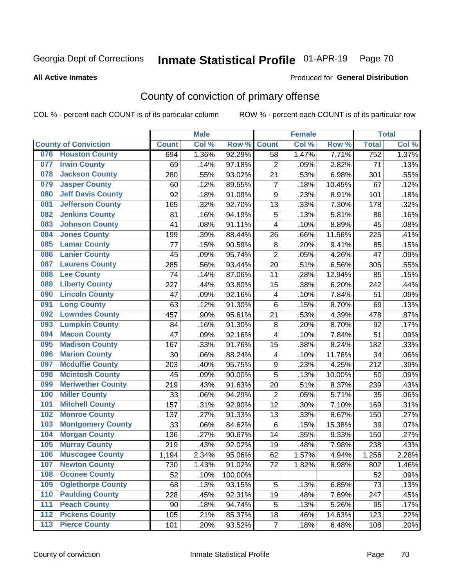# Inmate Statistical Profile 01-APR-19 Page 70

Produced for General Distribution

#### **All Active Inmates**

## County of conviction of primary offense

COL % - percent each COUNT is of its particular column

|     |                             |              | <b>Male</b> |         |                         | <b>Female</b> |        |                  | <b>Total</b> |
|-----|-----------------------------|--------------|-------------|---------|-------------------------|---------------|--------|------------------|--------------|
|     | <b>County of Conviction</b> | <b>Count</b> | Col %       | Row %   | <b>Count</b>            | Col %         | Row %  | <b>Total</b>     | Col %        |
| 076 | <b>Houston County</b>       | 694          | 1.36%       | 92.29%  | 58                      | 1.47%         | 7.71%  | $\overline{752}$ | 1.37%        |
| 077 | <b>Irwin County</b>         | 69           | .14%        | 97.18%  | $\overline{c}$          | .05%          | 2.82%  | 71               | .13%         |
| 078 | <b>Jackson County</b>       | 280          | .55%        | 93.02%  | 21                      | .53%          | 6.98%  | 301              | .55%         |
| 079 | <b>Jasper County</b>        | 60           | .12%        | 89.55%  | $\overline{7}$          | .18%          | 10.45% | 67               | .12%         |
| 080 | <b>Jeff Davis County</b>    | 92           | .18%        | 91.09%  | $\boldsymbol{9}$        | .23%          | 8.91%  | 101              | .18%         |
| 081 | <b>Jefferson County</b>     | 165          | .32%        | 92.70%  | 13                      | .33%          | 7.30%  | 178              | .32%         |
| 082 | <b>Jenkins County</b>       | 81           | .16%        | 94.19%  | $\mathbf 5$             | .13%          | 5.81%  | 86               | .16%         |
| 083 | <b>Johnson County</b>       | 41           | .08%        | 91.11%  | 4                       | .10%          | 8.89%  | 45               | .08%         |
| 084 | <b>Jones County</b>         | 199          | .39%        | 88.44%  | 26                      | .66%          | 11.56% | 225              | .41%         |
| 085 | <b>Lamar County</b>         | 77           | .15%        | 90.59%  | 8                       | .20%          | 9.41%  | 85               | .15%         |
| 086 | <b>Lanier County</b>        | 45           | .09%        | 95.74%  | $\overline{2}$          | .05%          | 4.26%  | 47               | .09%         |
| 087 | <b>Laurens County</b>       | 285          | .56%        | 93.44%  | 20                      | .51%          | 6.56%  | 305              | .55%         |
| 088 | <b>Lee County</b>           | 74           | .14%        | 87.06%  | 11                      | .28%          | 12.94% | 85               | .15%         |
| 089 | <b>Liberty County</b>       | 227          | .44%        | 93.80%  | 15                      | .38%          | 6.20%  | 242              | .44%         |
| 090 | <b>Lincoln County</b>       | 47           | .09%        | 92.16%  | $\overline{\mathbf{4}}$ | .10%          | 7.84%  | 51               | .09%         |
| 091 | <b>Long County</b>          | 63           | .12%        | 91.30%  | 6                       | .15%          | 8.70%  | 69               | .13%         |
| 092 | <b>Lowndes County</b>       | 457          | .90%        | 95.61%  | 21                      | .53%          | 4.39%  | 478              | .87%         |
| 093 | <b>Lumpkin County</b>       | 84           | .16%        | 91.30%  | 8                       | .20%          | 8.70%  | 92               | .17%         |
| 094 | <b>Macon County</b>         | 47           | .09%        | 92.16%  | 4                       | .10%          | 7.84%  | 51               | .09%         |
| 095 | <b>Madison County</b>       | 167          | .33%        | 91.76%  | 15                      | .38%          | 8.24%  | 182              | .33%         |
| 096 | <b>Marion County</b>        | 30           | .06%        | 88.24%  | 4                       | .10%          | 11.76% | 34               | .06%         |
| 097 | <b>Mcduffie County</b>      | 203          | .40%        | 95.75%  | $\boldsymbol{9}$        | .23%          | 4.25%  | 212              | .39%         |
| 098 | <b>Mcintosh County</b>      | 45           | .09%        | 90.00%  | 5                       | .13%          | 10.00% | 50               | .09%         |
| 099 | <b>Meriwether County</b>    | 219          | .43%        | 91.63%  | 20                      | .51%          | 8.37%  | 239              | .43%         |
| 100 | <b>Miller County</b>        | 33           | .06%        | 94.29%  | $\overline{2}$          | .05%          | 5.71%  | 35               | .06%         |
| 101 | <b>Mitchell County</b>      | 157          | .31%        | 92.90%  | 12                      | .30%          | 7.10%  | 169              | .31%         |
| 102 | <b>Monroe County</b>        | 137          | .27%        | 91.33%  | 13                      | .33%          | 8.67%  | 150              | .27%         |
| 103 | <b>Montgomery County</b>    | 33           | .06%        | 84.62%  | 6                       | .15%          | 15.38% | 39               | .07%         |
| 104 | <b>Morgan County</b>        | 136          | .27%        | 90.67%  | 14                      | .35%          | 9.33%  | 150              | .27%         |
| 105 | <b>Murray County</b>        | 219          | .43%        | 92.02%  | 19                      | .48%          | 7.98%  | 238              | .43%         |
| 106 | <b>Muscogee County</b>      | 1,194        | 2.34%       | 95.06%  | 62                      | 1.57%         | 4.94%  | 1,256            | 2.28%        |
| 107 | <b>Newton County</b>        | 730          | 1.43%       | 91.02%  | 72                      | 1.82%         | 8.98%  | 802              | 1.46%        |
| 108 | <b>Oconee County</b>        | 52           | .10%        | 100.00% |                         |               |        | 52               | .09%         |
| 109 | <b>Oglethorpe County</b>    | 68           | .13%        | 93.15%  | 5                       | .13%          | 6.85%  | 73               | .13%         |
| 110 | <b>Paulding County</b>      | 228          | .45%        | 92.31%  | 19                      | .48%          | 7.69%  | 247              | .45%         |
| 111 | <b>Peach County</b>         | 90           | .18%        | 94.74%  | 5                       | .13%          | 5.26%  | 95               | .17%         |
| 112 | <b>Pickens County</b>       | 105          | .21%        | 85.37%  | 18                      | .46%          | 14.63% | 123              | .22%         |
| 113 | <b>Pierce County</b>        | 101          | .20%        | 93.52%  | $\overline{7}$          | .18%          | 6.48%  | 108              | .20%         |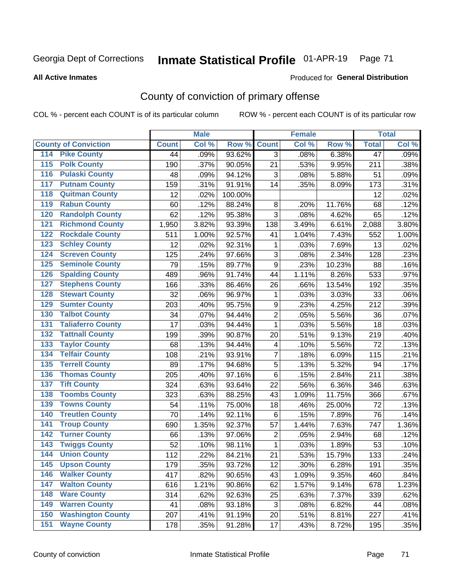# Inmate Statistical Profile 01-APR-19 Page 71

Produced for General Distribution

#### **All Active Inmates**

## County of conviction of primary offense

COL % - percent each COUNT is of its particular column

|                                          |              | <b>Male</b> |         |                 | <b>Female</b> |        |                 | <b>Total</b> |
|------------------------------------------|--------------|-------------|---------|-----------------|---------------|--------|-----------------|--------------|
| <b>County of Conviction</b>              | <b>Count</b> | Col %       | Row %   | <b>Count</b>    | Col %         | Row %  | <b>Total</b>    | Col %        |
| 114 Pike County                          | 44           | .09%        | 93.62%  | 3               | .08%          | 6.38%  | $\overline{47}$ | .09%         |
| <b>Polk County</b><br>$\overline{115}$   | 190          | .37%        | 90.05%  | 21              | .53%          | 9.95%  | 211             | .38%         |
| <b>Pulaski County</b><br>116             | 48           | .09%        | 94.12%  | 3               | .08%          | 5.88%  | 51              | .09%         |
| <b>Putnam County</b><br>117              | 159          | .31%        | 91.91%  | 14              | .35%          | 8.09%  | 173             | .31%         |
| <b>Quitman County</b><br>118             | 12           | .02%        | 100.00% |                 |               |        | 12              | .02%         |
| <b>Rabun County</b><br>119               | 60           | .12%        | 88.24%  | 8               | .20%          | 11.76% | 68              | .12%         |
| <b>Randolph County</b><br>120            | 62           | .12%        | 95.38%  | 3               | .08%          | 4.62%  | 65              | .12%         |
| <b>Richmond County</b><br>121            | 1,950        | 3.82%       | 93.39%  | 138             | 3.49%         | 6.61%  | 2,088           | 3.80%        |
| <b>Rockdale County</b><br>122            | 511          | 1.00%       | 92.57%  | 41              | 1.04%         | 7.43%  | 552             | 1.00%        |
| <b>Schley County</b><br>123              | 12           | .02%        | 92.31%  | 1               | .03%          | 7.69%  | 13              | .02%         |
| <b>Screven County</b><br>124             | 125          | .24%        | 97.66%  | 3               | .08%          | 2.34%  | 128             | .23%         |
| <b>Seminole County</b><br>125            | 79           | .15%        | 89.77%  | 9               | .23%          | 10.23% | 88              | .16%         |
| 126<br><b>Spalding County</b>            | 489          | .96%        | 91.74%  | 44              | 1.11%         | 8.26%  | 533             | .97%         |
| <b>Stephens County</b><br>127            | 166          | .33%        | 86.46%  | 26              | .66%          | 13.54% | 192             | .35%         |
| <b>Stewart County</b><br>128             | 32           | .06%        | 96.97%  | $\mathbf{1}$    | .03%          | 3.03%  | 33              | .06%         |
| <b>Sumter County</b><br>129              | 203          | .40%        | 95.75%  | 9               | .23%          | 4.25%  | 212             | .39%         |
| <b>Talbot County</b><br>130              | 34           | .07%        | 94.44%  | $\overline{2}$  | .05%          | 5.56%  | 36              | .07%         |
| <b>Taliaferro County</b><br>131          | 17           | .03%        | 94.44%  | $\mathbf{1}$    | .03%          | 5.56%  | 18              | .03%         |
| <b>Tattnall County</b><br>132            | 199          | .39%        | 90.87%  | 20              | .51%          | 9.13%  | 219             | .40%         |
| <b>Taylor County</b><br>133              | 68           | .13%        | 94.44%  | 4               | .10%          | 5.56%  | 72              | .13%         |
| <b>Telfair County</b><br>134             | 108          | .21%        | 93.91%  | $\overline{7}$  | .18%          | 6.09%  | 115             | .21%         |
| <b>Terrell County</b><br>135             | 89           | .17%        | 94.68%  | 5               | .13%          | 5.32%  | 94              | .17%         |
| <b>Thomas County</b><br>136              | 205          | .40%        | 97.16%  | $6\phantom{1}6$ | .15%          | 2.84%  | 211             | .38%         |
| <b>Tift County</b><br>137                | 324          | .63%        | 93.64%  | 22              | .56%          | 6.36%  | 346             | .63%         |
| <b>Toombs County</b><br>138              | 323          | .63%        | 88.25%  | 43              | 1.09%         | 11.75% | 366             | .67%         |
| <b>Towns County</b><br>139               | 54           | .11%        | 75.00%  | 18              | .46%          | 25.00% | 72              | .13%         |
| <b>Treutlen County</b><br>140            | 70           | .14%        | 92.11%  | $\,6\,$         | .15%          | 7.89%  | 76              | .14%         |
| <b>Troup County</b><br>141               | 690          | 1.35%       | 92.37%  | 57              | 1.44%         | 7.63%  | 747             | 1.36%        |
| <b>Turner County</b><br>142              | 66           | .13%        | 97.06%  | 2               | .05%          | 2.94%  | 68              | .12%         |
| <b>Twiggs County</b><br>$\overline{143}$ | 52           | .10%        | 98.11%  | $\mathbf{1}$    | .03%          | 1.89%  | 53              | .10%         |
| <b>Union County</b><br>144               | 112          | .22%        | 84.21%  | 21              | .53%          | 15.79% | 133             | .24%         |
| 145<br><b>Upson County</b>               | 179          | .35%        | 93.72%  | 12              | .30%          | 6.28%  | 191             | .35%         |
| <b>Walker County</b><br>146              | 417          | .82%        | 90.65%  | 43              | 1.09%         | 9.35%  | 460             | .84%         |
| <b>Walton County</b><br>147              | 616          | 1.21%       | 90.86%  | 62              | 1.57%         | 9.14%  | 678             | 1.23%        |
| <b>Ware County</b><br>148                | 314          | .62%        | 92.63%  | 25              | .63%          | 7.37%  | 339             | .62%         |
| <b>Warren County</b><br>149              | 41           | .08%        | 93.18%  | 3               | .08%          | 6.82%  | 44              | .08%         |
| <b>Washington County</b><br>150          | 207          | .41%        | 91.19%  | 20              | .51%          | 8.81%  | 227             | .41%         |
| <b>Wayne County</b><br>151               | 178          | .35%        | 91.28%  | 17              | .43%          | 8.72%  | 195             | .35%         |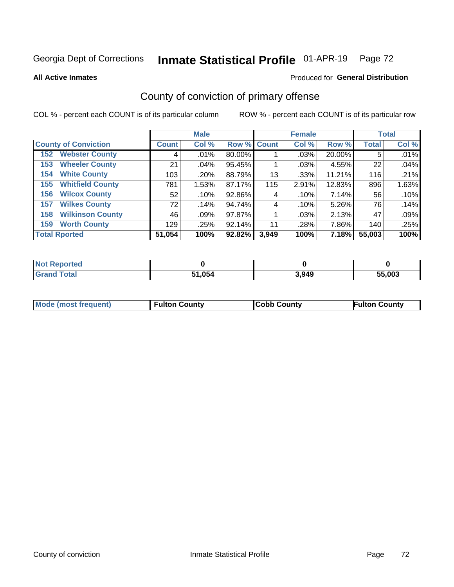# Inmate Statistical Profile 01-APR-19 Page 72

**All Active Inmates** 

### Produced for General Distribution

## County of conviction of primary offense

COL % - percent each COUNT is of its particular column

|                                |                 | <b>Male</b> |             |       | <b>Female</b> |        |              | <b>Total</b> |
|--------------------------------|-----------------|-------------|-------------|-------|---------------|--------|--------------|--------------|
| <b>County of Conviction</b>    | <b>Count</b>    | Col %       | Row % Count |       | Col %         | Row %  | <b>Total</b> | Col %        |
| <b>Webster County</b><br>152   | 4               | .01%        | 80.00%      |       | .03%          | 20.00% | 5            | .01%         |
| <b>Wheeler County</b><br>153   | 21              | .04%        | 95.45%      |       | .03%          | 4.55%  | 22           | .04%         |
| <b>White County</b><br>154     | 103             | .20%        | 88.79%      | 13    | .33%          | 11.21% | 116          | .21%         |
| <b>Whitfield County</b><br>155 | 781             | 1.53%       | 87.17%      | 115   | 2.91%         | 12.83% | 896          | 1.63%        |
| <b>Wilcox County</b><br>156    | 52              | .10%        | 92.86%      | 4     | .10%          | 7.14%  | 56           | .10%         |
| <b>Wilkes County</b><br>157    | 72 <sub>1</sub> | .14%        | 94.74%      | 4     | .10%          | 5.26%  | 76           | .14%         |
| <b>Wilkinson County</b><br>158 | 46              | .09%        | 97.87%      |       | .03%          | 2.13%  | 47           | .09%         |
| <b>Worth County</b><br>159     | 129             | .25%        | 92.14%      | 11    | .28%          | 7.86%  | 140          | .25%         |
| <b>Total Rported</b>           | 51,054          | 100%        | 92.82%      | 3,949 | 100%          | 7.18%  | 55,003       | 100%         |

| <b>Not Reported</b> |        |       |        |
|---------------------|--------|-------|--------|
| <b>Grand Total</b>  | 51,054 | 3,949 | 55,003 |

| Mode (most frequent) | <b>Fulton County</b> | <b>Cobb County</b> | <b>Fulton County</b> |
|----------------------|----------------------|--------------------|----------------------|
|                      |                      |                    |                      |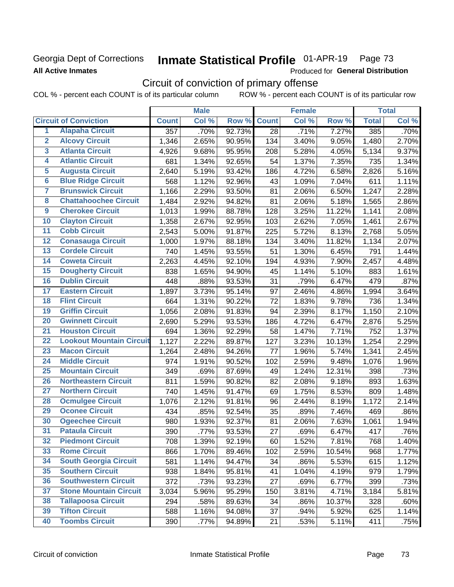## Georgia Dept of Corrections **All Active Inmates**

#### Inmate Statistical Profile 01-APR-19 Page 73

Produced for General Distribution

# Circuit of conviction of primary offense

COL % - percent each COUNT is of its particular column ROW % - percent each COUNT is of its particular row

|                         |                                 |              | <b>Male</b> |        |              | <b>Female</b> |        |              | <b>Total</b> |
|-------------------------|---------------------------------|--------------|-------------|--------|--------------|---------------|--------|--------------|--------------|
|                         | <b>Circuit of Conviction</b>    | <b>Count</b> | Col %       | Row %  | <b>Count</b> | Col %         | Row %  | <b>Total</b> | Col %        |
| 1                       | <b>Alapaha Circuit</b>          | 357          | .70%        | 92.73% | 28           | .71%          | 7.27%  | 385          | .70%         |
| $\overline{2}$          | <b>Alcovy Circuit</b>           | 1,346        | 2.65%       | 90.95% | 134          | 3.40%         | 9.05%  | 1,480        | 2.70%        |
| $\overline{\mathbf{3}}$ | <b>Atlanta Circuit</b>          | 4,926        | 9.68%       | 95.95% | 208          | 5.28%         | 4.05%  | 5,134        | 9.37%        |
| 4                       | <b>Atlantic Circuit</b>         | 681          | 1.34%       | 92.65% | 54           | 1.37%         | 7.35%  | 735          | 1.34%        |
| 5                       | <b>Augusta Circuit</b>          | 2,640        | 5.19%       | 93.42% | 186          | 4.72%         | 6.58%  | 2,826        | 5.16%        |
| $\overline{6}$          | <b>Blue Ridge Circuit</b>       | 568          | 1.12%       | 92.96% | 43           | 1.09%         | 7.04%  | 611          | 1.11%        |
| $\overline{\mathbf{7}}$ | <b>Brunswick Circuit</b>        | 1,166        | 2.29%       | 93.50% | 81           | 2.06%         | 6.50%  | 1,247        | 2.28%        |
| 8                       | <b>Chattahoochee Circuit</b>    | 1,484        | 2.92%       | 94.82% | 81           | 2.06%         | 5.18%  | 1,565        | 2.86%        |
| $\overline{9}$          | <b>Cherokee Circuit</b>         | 1,013        | 1.99%       | 88.78% | 128          | 3.25%         | 11.22% | 1,141        | 2.08%        |
| 10                      | <b>Clayton Circuit</b>          | 1,358        | 2.67%       | 92.95% | 103          | 2.62%         | 7.05%  | 1,461        | 2.67%        |
| $\overline{11}$         | <b>Cobb Circuit</b>             | 2,543        | 5.00%       | 91.87% | 225          | 5.72%         | 8.13%  | 2,768        | 5.05%        |
| $\overline{12}$         | <b>Conasauga Circuit</b>        | 1,000        | 1.97%       | 88.18% | 134          | 3.40%         | 11.82% | 1,134        | 2.07%        |
| $\overline{13}$         | <b>Cordele Circuit</b>          | 740          | 1.45%       | 93.55% | 51           | 1.30%         | 6.45%  | 791          | 1.44%        |
| $\overline{14}$         | <b>Coweta Circuit</b>           | 2,263        | 4.45%       | 92.10% | 194          | 4.93%         | 7.90%  | 2,457        | 4.48%        |
| $\overline{15}$         | <b>Dougherty Circuit</b>        | 838          | 1.65%       | 94.90% | 45           | 1.14%         | 5.10%  | 883          | 1.61%        |
| 16                      | <b>Dublin Circuit</b>           | 448          | .88%        | 93.53% | 31           | .79%          | 6.47%  | 479          | .87%         |
| $\overline{17}$         | <b>Eastern Circuit</b>          | 1,897        | 3.73%       | 95.14% | 97           | 2.46%         | 4.86%  | 1,994        | 3.64%        |
| $\overline{18}$         | <b>Flint Circuit</b>            | 664          | 1.31%       | 90.22% | 72           | 1.83%         | 9.78%  | 736          | 1.34%        |
| 19                      | <b>Griffin Circuit</b>          | 1,056        | 2.08%       | 91.83% | 94           | 2.39%         | 8.17%  | 1,150        | 2.10%        |
| 20                      | <b>Gwinnett Circuit</b>         | 2,690        | 5.29%       | 93.53% | 186          | 4.72%         | 6.47%  | 2,876        | 5.25%        |
| 21                      | <b>Houston Circuit</b>          | 694          | 1.36%       | 92.29% | 58           | 1.47%         | 7.71%  | 752          | 1.37%        |
| $\overline{22}$         | <b>Lookout Mountain Circuit</b> | 1,127        | 2.22%       | 89.87% | 127          | 3.23%         | 10.13% | 1,254        | 2.29%        |
| 23                      | <b>Macon Circuit</b>            | 1,264        | 2.48%       | 94.26% | 77           | 1.96%         | 5.74%  | 1,341        | 2.45%        |
| 24                      | <b>Middle Circuit</b>           | 974          | 1.91%       | 90.52% | 102          | 2.59%         | 9.48%  | 1,076        | 1.96%        |
| $\overline{25}$         | <b>Mountain Circuit</b>         | 349          | .69%        | 87.69% | 49           | 1.24%         | 12.31% | 398          | .73%         |
| 26                      | <b>Northeastern Circuit</b>     | 811          | 1.59%       | 90.82% | 82           | 2.08%         | 9.18%  | 893          | 1.63%        |
| $\overline{27}$         | <b>Northern Circuit</b>         | 740          | 1.45%       | 91.47% | 69           | 1.75%         | 8.53%  | 809          | 1.48%        |
| 28                      | <b>Ocmulgee Circuit</b>         | 1,076        | 2.12%       | 91.81% | 96           | 2.44%         | 8.19%  | 1,172        | 2.14%        |
| 29                      | <b>Oconee Circuit</b>           | 434          | .85%        | 92.54% | 35           | .89%          | 7.46%  | 469          | .86%         |
| 30                      | <b>Ogeechee Circuit</b>         | 980          | 1.93%       | 92.37% | 81           | 2.06%         | 7.63%  | 1,061        | 1.94%        |
| $\overline{31}$         | <b>Pataula Circuit</b>          | 390          | .77%        | 93.53% | 27           | .69%          | 6.47%  | 417          | .76%         |
| 32                      | <b>Piedmont Circuit</b>         | 708          | 1.39%       | 92.19% | 60           | 1.52%         | 7.81%  | 768          | 1.40%        |
| 33                      | <b>Rome Circuit</b>             | 866          | 1.70%       | 89.46% | 102          | 2.59%         | 10.54% | 968          | 1.77%        |
| 34                      | <b>South Georgia Circuit</b>    | 581          | 1.14%       | 94.47% | 34           | .86%          | 5.53%  | 615          | 1.12%        |
| 35                      | <b>Southern Circuit</b>         | 938          | 1.84%       | 95.81% | 41           | 1.04%         | 4.19%  | 979          | 1.79%        |
| 36                      | <b>Southwestern Circuit</b>     | 372          | .73%        | 93.23% | 27           | .69%          | 6.77%  | 399          | .73%         |
| 37                      | <b>Stone Mountain Circuit</b>   | 3,034        | 5.96%       | 95.29% | 150          | 3.81%         | 4.71%  | 3,184        | 5.81%        |
| 38                      | <b>Tallapoosa Circuit</b>       | 294          | .58%        | 89.63% | 34           | .86%          | 10.37% | 328          | .60%         |
| 39                      | <b>Tifton Circuit</b>           | 588          | 1.16%       | 94.08% | 37           | .94%          | 5.92%  | 625          | 1.14%        |
| 40                      | <b>Toombs Circuit</b>           | 390          | .77%        | 94.89% | 21           | .53%          | 5.11%  | 411          | .75%         |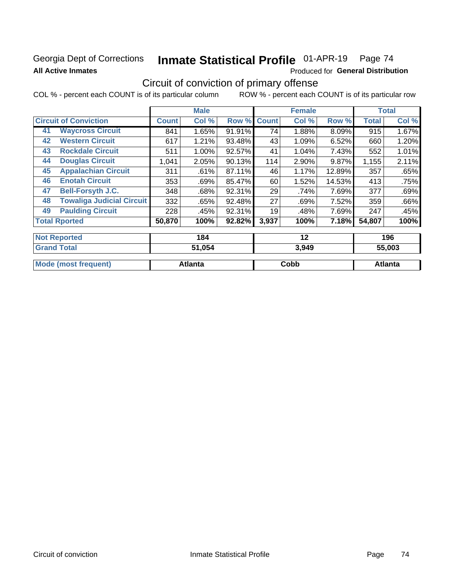### Georgia Dept of Corrections **All Active Inmates**

# Inmate Statistical Profile 01-APR-19 Page 74

Produced for General Distribution

## Circuit of conviction of primary offense

|                                        |              | <b>Male</b> |        |              | <b>Female</b> |        |              | <b>Total</b>              |
|----------------------------------------|--------------|-------------|--------|--------------|---------------|--------|--------------|---------------------------|
| <b>Circuit of Conviction</b>           | <b>Count</b> | Col %       | Row %  | <b>Count</b> | Col %         | Row %  | <b>Total</b> | Col %                     |
| <b>Waycross Circuit</b><br>41          | 841          | 1.65%       | 91.91% | 74           | 1.88%         | 8.09%  | 915          | 1.67%                     |
| <b>Western Circuit</b><br>42           | 617          | 1.21%       | 93.48% | 43           | 1.09%         | 6.52%  | 660          | 1.20%                     |
| <b>Rockdale Circuit</b><br>43          | 511          | 1.00%       | 92.57% | 41           | 1.04%         | 7.43%  | 552          | 1.01%                     |
| <b>Douglas Circuit</b><br>44           | 1,041        | 2.05%       | 90.13% | 114          | 2.90%         | 9.87%  | 1,155        | 2.11%                     |
| <b>Appalachian Circuit</b><br>45       | 311          | .61%        | 87.11% | 46           | 1.17%         | 12.89% | 357          | .65%                      |
| <b>Enotah Circuit</b><br>46            | 353          | .69%        | 85.47% | 60           | 1.52%         | 14.53% | 413          | .75%                      |
| 47<br><b>Bell-Forsyth J.C.</b>         | 348          | .68%        | 92.31% | 29           | .74%          | 7.69%  | 377          | .69%                      |
| <b>Towaliga Judicial Circuit</b><br>48 | 332          | .65%        | 92.48% | 27           | .69%          | 7.52%  | 359          | .66%                      |
| <b>Paulding Circuit</b><br>49          | 228          | .45%        | 92.31% | 19           | .48%          | 7.69%  | 247          | .45%                      |
| <b>Total Rported</b>                   | 50,870       | 100%        | 92.82% | 3,937        | 100%          | 7.18%  | 54,807       | 100%                      |
| <b>Not Reported</b>                    |              | 184         |        |              | 12            |        |              | 196                       |
| Concert Tradell                        |              | FA AFA      |        |              | 0010          |        |              | $F$ $F$ $\alpha$ $\alpha$ |

| <b>Grand Total</b>          | 51,054  | 3.949 | 55.003  |
|-----------------------------|---------|-------|---------|
| <b>Mode (most frequent)</b> | Atlanta | Cobb  | Atlanta |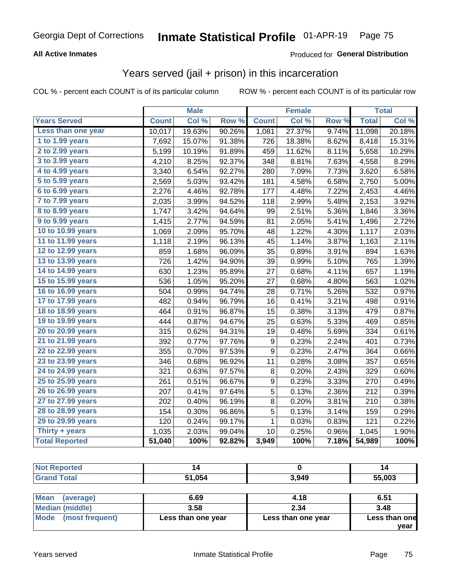#### **All Active Inmates**

#### Produced for **General Distribution**

## Years served (jail + prison) in this incarceration

|                              |              | <b>Male</b> |        |                | <b>Female</b> |       |              | <b>Total</b> |
|------------------------------|--------------|-------------|--------|----------------|---------------|-------|--------------|--------------|
| <b>Years Served</b>          | <b>Count</b> | Col %       | Row %  | <b>Count</b>   | Col %         | Row % | <b>Total</b> | Col %        |
| Less than one year           | 10,017       | 19.63%      | 90.26% | 1,081          | 27.37%        | 9.74% | 11,098       | 20.18%       |
| 1 to 1.99 years              | 7,692        | 15.07%      | 91.38% | 726            | 18.38%        | 8.62% | 8,418        | 15.31%       |
| 2 to 2.99 years              | 5,199        | 10.19%      | 91.89% | 459            | 11.62%        | 8.11% | 5,658        | 10.29%       |
| 3 to 3.99 years              | 4,210        | 8.25%       | 92.37% | 348            | 8.81%         | 7.63% | 4,558        | 8.29%        |
| 4 to 4.99 years              | 3,340        | 6.54%       | 92.27% | 280            | 7.09%         | 7.73% | 3,620        | 6.58%        |
| $\overline{5}$ to 5.99 years | 2,569        | 5.03%       | 93.42% | 181            | 4.58%         | 6.58% | 2,750        | 5.00%        |
| 6 to 6.99 years              | 2,276        | 4.46%       | 92.78% | 177            | 4.48%         | 7.22% | 2,453        | 4.46%        |
| 7 to 7.99 years              | 2,035        | 3.99%       | 94.52% | 118            | 2.99%         | 5.48% | 2,153        | 3.92%        |
| <b>8 to 8.99 years</b>       | 1,747        | 3.42%       | 94.64% | 99             | 2.51%         | 5.36% | 1,846        | 3.36%        |
| 9 to 9.99 years              | 1,415        | 2.77%       | 94.59% | 81             | 2.05%         | 5.41% | 1,496        | 2.72%        |
| 10 to 10.99 years            | 1,069        | 2.09%       | 95.70% | 48             | 1.22%         | 4.30% | 1,117        | 2.03%        |
| 11 to 11.99 years            | 1,118        | 2.19%       | 96.13% | 45             | 1.14%         | 3.87% | 1,163        | 2.11%        |
| 12 to 12.99 years            | 859          | 1.68%       | 96.09% | 35             | 0.89%         | 3.91% | 894          | 1.63%        |
| 13 to 13.99 years            | 726          | 1.42%       | 94.90% | 39             | 0.99%         | 5.10% | 765          | 1.39%        |
| 14 to 14.99 years            | 630          | 1.23%       | 95.89% | 27             | 0.68%         | 4.11% | 657          | 1.19%        |
| 15 to 15.99 years            | 536          | 1.05%       | 95.20% | 27             | 0.68%         | 4.80% | 563          | 1.02%        |
| 16 to 16.99 years            | 504          | 0.99%       | 94.74% | 28             | 0.71%         | 5.26% | 532          | 0.97%        |
| 17 to 17.99 years            | 482          | 0.94%       | 96.79% | 16             | 0.41%         | 3.21% | 498          | 0.91%        |
| 18 to 18.99 years            | 464          | 0.91%       | 96.87% | 15             | 0.38%         | 3.13% | 479          | 0.87%        |
| 19 to 19.99 years            | 444          | 0.87%       | 94.67% | 25             | 0.63%         | 5.33% | 469          | 0.85%        |
| 20 to 20.99 years            | 315          | 0.62%       | 94.31% | 19             | 0.48%         | 5.69% | 334          | 0.61%        |
| 21 to 21.99 years            | 392          | 0.77%       | 97.76% | 9              | 0.23%         | 2.24% | 401          | 0.73%        |
| 22 to 22.99 years            | 355          | 0.70%       | 97.53% | 9              | 0.23%         | 2.47% | 364          | 0.66%        |
| 23 to 23.99 years            | 346          | 0.68%       | 96.92% | 11             | 0.28%         | 3.08% | 357          | 0.65%        |
| 24 to 24.99 years            | 321          | 0.63%       | 97.57% | $\bf 8$        | 0.20%         | 2.43% | 329          | 0.60%        |
| 25 to 25.99 years            | 261          | 0.51%       | 96.67% | 9              | 0.23%         | 3.33% | 270          | 0.49%        |
| 26 to 26.99 years            | 207          | 0.41%       | 97.64% | $\overline{5}$ | 0.13%         | 2.36% | 212          | 0.39%        |
| 27 to 27.99 years            | 202          | 0.40%       | 96.19% | 8              | 0.20%         | 3.81% | 210          | 0.38%        |
| 28 to 28.99 years            | 154          | 0.30%       | 96.86% | 5              | 0.13%         | 3.14% | 159          | 0.29%        |
| 29 to 29.99 years            | 120          | 0.24%       | 99.17% | 1              | 0.03%         | 0.83% | 121          | 0.22%        |
| Thirty + years               | 1,035        | 2.03%       | 99.04% | 10             | 0.25%         | 0.96% | 1,045        | 1.90%        |
| <b>Total Reported</b>        | 51,040       | 100%        | 92.82% | 3,949          | 100%          | 7.18% | 54,989       | 100%         |

| <b>Not Reported</b>      |        |       | 14     |
|--------------------------|--------|-------|--------|
| <b>Grand Total</b>       | 51,054 | 3,949 | 55,003 |
|                          |        |       |        |
| <b>Mean</b><br>(average) | 6.69   | 4.18  | 6.51   |

| <b>INICAIL</b><br>(average)    | פס.ס               | 4. IO              | ו כ.ס         |
|--------------------------------|--------------------|--------------------|---------------|
| Median (middle)                | 3.58               | 2.34               | 3.48          |
| <b>Mode</b><br>(most frequent) | Less than one year | Less than one year | Less than one |
|                                |                    |                    | vear          |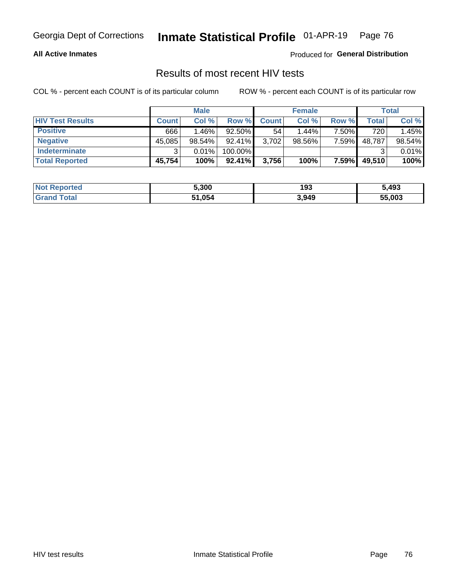#### **All Active Inmates**

Produced for **General Distribution**

### Results of most recent HIV tests

|                         | <b>Male</b>  |          |           | <b>Female</b> |           |       | Total  |        |
|-------------------------|--------------|----------|-----------|---------------|-----------|-------|--------|--------|
| <b>HIV Test Results</b> | <b>Count</b> | Col %    | Row %I    | <b>Count</b>  | Col %     | Row % | Total  | Col %  |
| <b>Positive</b>         | 666          | $1.46\%$ | 92.50%    | 54            | 1.44%     | 7.50% | 720    | 1.45%  |
| <b>Negative</b>         | 45,085       | 98.54%   | $92.41\%$ | 3,702         | $98.56\%$ | 7.59% | 48,787 | 98.54% |
| Indeterminate           | າ            | 0.01%    | 100.00%   |               |           |       |        | 0.01%  |
| <b>Total Reported</b>   | 45,754       | 100%     | $92.41\%$ | 3,756         | 100%      | 7.59% | 49,510 | 100%   |

| <b>Not Reported</b> | 5,300  | 193   | 5,493  |
|---------------------|--------|-------|--------|
| Total<br>' Grand    | 51,054 | 3,949 | 55,003 |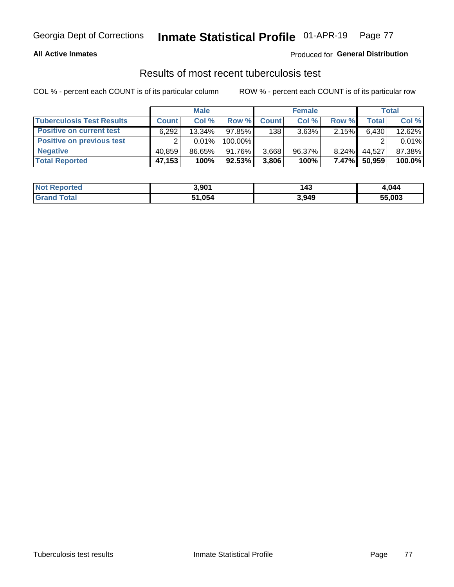#### **All Active Inmates**

#### Produced for **General Distribution**

### Results of most recent tuberculosis test

|                                  | <b>Male</b>  |           |           | <b>Female</b> |           |          | Total  |        |
|----------------------------------|--------------|-----------|-----------|---------------|-----------|----------|--------|--------|
| <b>Tuberculosis Test Results</b> | <b>Count</b> | Col%      | Row %I    | <b>Count</b>  | Col %     | Row %    | Total  | Col %  |
| <b>Positive on current test</b>  | 6,292        | $13.34\%$ | $97.85\%$ | 138           | 3.63%     | 2.15%    | 6,430  | 12.62% |
| <b>Positive on previous test</b> | ົ            | $0.01\%$  | 100.00%   |               |           |          |        | 0.01%  |
| <b>Negative</b>                  | 40.859       | 86.65%    | $91.76\%$ | 3,668         | $96.37\%$ | $8.24\%$ | 44,527 | 87.38% |
| <b>Total Reported</b>            | 47,153       | 100%      | 92.53%    | 3,806         | 100%      | $7.47\%$ | 50,959 | 100.0% |

| <b>Not Reported</b>     | 3,901  | 143   | 1.044  |
|-------------------------|--------|-------|--------|
| <b>Total</b><br>' Grand | 51,054 | 3,949 | 55,003 |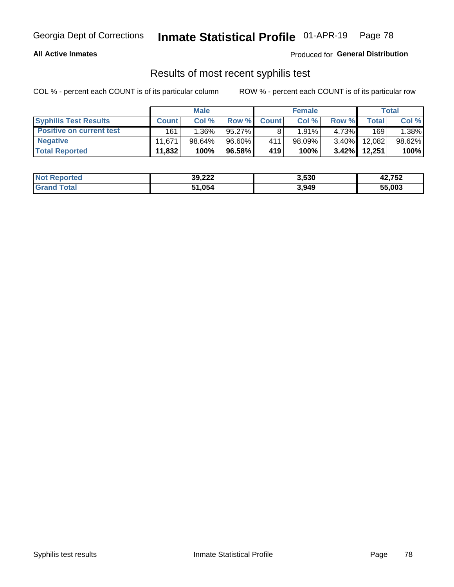#### **All Active Inmates**

Produced for **General Distribution**

### Results of most recent syphilis test

|                                 | <b>Male</b>  |           |           | <b>Female</b> |           |          | Total   |        |
|---------------------------------|--------------|-----------|-----------|---------------|-----------|----------|---------|--------|
| <b>Syphilis Test Results</b>    | <b>Count</b> | Col%      | Row %     | <b>Count</b>  | Col %     | Row %    | Total I | Col %  |
| <b>Positive on current test</b> | 161          | $1.36\%$  | $95.27\%$ |               | 1.91%     | 4.73%    | 169     | 1.38%  |
| <b>Negative</b>                 | 11.671       | $98.64\%$ | 96.60%    | 411           | $98.09\%$ | $3.40\%$ | 12,082  | 98.62% |
| <b>Total Reported</b>           | 11,832       | 100%      | 96.58%    | 419           | 100%      | $3.42\%$ | 12,251  | 100%   |

| <b>Not Reported</b> | 39,222 | 3,530 | 42,752 |
|---------------------|--------|-------|--------|
| <b>Grand Total</b>  | 51,054 | 3,949 | 55,003 |